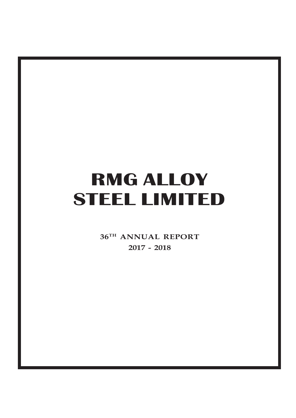**36TH ANNUAL REPORT 2017 - 2018**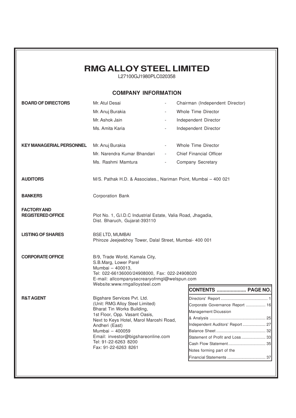|                                                | <b>RMG ALLOY STEEL LIMITED</b><br>L27100GJ1980PLC020358                                                                                                                                                                                                                                             |                                                                            |                                                                                                                                                              |
|------------------------------------------------|-----------------------------------------------------------------------------------------------------------------------------------------------------------------------------------------------------------------------------------------------------------------------------------------------------|----------------------------------------------------------------------------|--------------------------------------------------------------------------------------------------------------------------------------------------------------|
|                                                | <b>COMPANY INFORMATION</b>                                                                                                                                                                                                                                                                          |                                                                            |                                                                                                                                                              |
| <b>BOARD OF DIRECTORS</b>                      | Mr. Atul Desai<br>Mr. Anuj Burakia<br>Mr. Ashok Jain<br>Ms. Amita Karia                                                                                                                                                                                                                             | $\overline{\phantom{a}}$<br>$\overline{\phantom{a}}$                       | Chairman (Independent Director)<br>Whole Time Director<br>Independent Director<br>Independent Director                                                       |
| <b>KEY MANAGERIAL PERSONNEL</b>                | Mr. Anuj Burakia<br>Mr. Narendra Kumar Bhandari<br>Ms. Rashmi Mamtura                                                                                                                                                                                                                               | $\overline{\phantom{a}}$<br><b>All Control</b><br>$\overline{\phantom{a}}$ | Whole Time Director<br><b>Chief Financial Officer</b><br>Company Secretary                                                                                   |
| <b>AUDITORS</b>                                | M/S. Pathak H.D. & Associates., Nariman Point, Mumbai - 400 021                                                                                                                                                                                                                                     |                                                                            |                                                                                                                                                              |
| <b>BANKERS</b>                                 | Corporation Bank                                                                                                                                                                                                                                                                                    |                                                                            |                                                                                                                                                              |
| <b>FACTORY AND</b><br><b>REGISTERED OFFICE</b> | Plot No. 1, G.I.D.C Industrial Estate, Valia Road, Jhagadia,<br>Dist. Bharuch, Gujarat-393110                                                                                                                                                                                                       |                                                                            |                                                                                                                                                              |
| <b>LISTING OF SHARES</b>                       | <b>BSE LTD, MUMBAI</b><br>Phiroze Jeejeebhoy Tower, Dalal Street, Mumbai- 400 001                                                                                                                                                                                                                   |                                                                            |                                                                                                                                                              |
| <b>CORPORATE OFFICE</b>                        | B/9, Trade World, Kamala City,<br>S.B.Marg, Lower Parel<br>Mumbai - 400013,<br>Tel: 022-66136000/24908000, Fax: 022-24908020<br>E-mail: allcompanysecrearyofrmgl@welspun.com<br>Website:www.rmgalloysteel.com                                                                                       |                                                                            |                                                                                                                                                              |
|                                                |                                                                                                                                                                                                                                                                                                     |                                                                            | <b>CONTENTS  PAGE NO.</b>                                                                                                                                    |
| <b>R&amp;T AGENT</b>                           | Bigshare Services Pvt. Ltd.<br>(Unit: RMG Alloy Steel Limited)<br>Bharat Tin Works Building,<br>1st Floor, Opp. Vasant Oasis,<br>Next to Keys Hotel, Marol Maroshi Road,<br>Andheri (East)<br>Mumbai - 400059<br>Email: investor@bigshareonline.com<br>Tel: 91-22-6263 8200<br>Fax: 91-22-6263 8261 |                                                                            | Corporate Governance Report  16<br>Management Dicussion<br>Independent Auditors' Report  27<br>Statement of Profit and Loss  33<br>Notes forming part of the |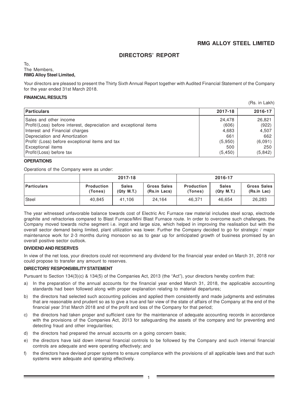(Rs. in Lakh)

# **DIRECTORS' REPORT**

### To, The Members, **RMG Alloy Steel Limited,**

Your directors are pleased to present the Thirty Sixth Annual Report together with Audited Financial Statement of the Company for the year ended 31st March 2018.

### **FINANCIAL RESULTS**

|                                                                   |          | (RS. III LAKII) |
|-------------------------------------------------------------------|----------|-----------------|
| <b>Particulars</b>                                                | 2017-18  | 2016-17         |
| Sales and other income                                            | 24,478   | 26,821          |
| Profit/(Loss) before interest, depreciation and exceptional items | (606)    | (922)           |
| Interest and Financial charges                                    | 4,683    | 4,507           |
| Depreciation and Amortization                                     | 661      | 662             |
| Profit/ (Loss) before exceptional items and tax                   | (5,950)  | (6,091)         |
| <b>Exceptional items</b>                                          | 500      | 250             |
| Profit/(Loss) before tax                                          | (5, 450) | (5,842)         |

### **OPERATIONS**

Operations of the Company were as under:

|                    |                              | 2017-18                                |                                    | 2016-17                      |                                 |                            |  |
|--------------------|------------------------------|----------------------------------------|------------------------------------|------------------------------|---------------------------------|----------------------------|--|
| <b>Particulars</b> | <b>Production</b><br>(Tones) | <b>Sales</b><br>(Q <sub>tv</sub> M.T.) | <b>Gross Sales</b><br>(Rs.in Lacs) | <b>Production</b><br>(Tones) | <b>Sales</b><br>$(Qtv$ M.T. $)$ | Gross Sales<br>(Rs.in Lac) |  |
| Steel              | 40.845                       | 41.106                                 | 24.164                             | 46.371                       | 46.654                          | 26,283                     |  |

The year witnessed unfavorable balance towards cost of Electric Arc Furnace raw material includes steel scrap, electrode graphite and refractories compared to Blast Furnace/Mini Blast Furnace route. In order to overcome such challenges, the Company moved towards niche segment i.e. ingot and large size, which helped in improving the realisation but with the overall sector demand being limited, plant utilization was lower. Further the Company decided to go for strategic / major maintenance work for 2-3 months during monsoon so as to gear up for anticipated growth of business promised by an overall positive sector outlook.

### **DIVIDEND AND RESERVES**

In view of the net loss, your directors could not recommend any dividend for the financial year ended on March 31, 2018 nor could propose to transfer any amount to reserves.

### **DIRECTORS' RESPONSIBILITY STATEMENT**

Pursuant to Section 134(3)(c) & 134(5) of the Companies Act, 2013 (the "Act"), your directors hereby confirm that:

- a) In the preparation of the annual accounts for the financial year ended March 31, 2018, the applicable accounting standards had been followed along with proper explanation relating to material departures;
- b) the directors had selected such accounting policies and applied them consistently and made judgments and estimates that are reasonable and prudent so as to give a true and fair view of the state of affairs of the Company at the end of the financial year 31st March 2018 and of the profit and loss of the Company for that period;
- c) the directors had taken proper and sufficient care for the maintenance of adequate accounting records in accordance with the provisions of the Companies Act, 2013 for safeguarding the assets of the company and for preventing and detecting fraud and other irregularities;
- d) the directors had prepared the annual accounts on a going concern basis;
- e) the directors have laid down internal financial controls to be followed by the Company and such internal financial controls are adequate and were operating effectively; and
- f) the directors have devised proper systems to ensure compliance with the provisions of all applicable laws and that such systems were adequate and operating effectively.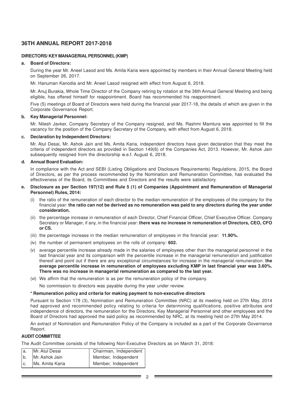### **DIRECTORS/ KEY MANAGERIAL PERSONNEL (KMP)**

### **a. Board of Directors:**

During the year Mr. Aneel Lasod and Ms. Amita Karia were appointed by members in their Annual General Meeting held on September 26, 2017.

Mr. Hanuman Kanodia and Mr. Aneel Lasod resigned with effect from August 6, 2018.

Mr. Anuj Burakia, Whole Time Director of the Company retiring by rotation at the 36th Annual General Meeting and being eligible, has offered himself for reappointment. Board has recommended his reappointment.

Five (5) meetings of Board of Directors were held during the financial year 2017-18, the details of which are given in the Corporate Governance Report.

### **b. Key Managerial Personnel:**

Mr. Nilesh Javker, Company Secretary of the Company resigned, and Ms. Rashmi Mamtura was appointed to fill the vacancy for the position of the Company Secretary of the Company, with effect from August 6, 2018.

### **c. Declaration by Independent Directors:**

Mr. Atul Desai, Mr. Ashok Jain and Ms. Amita Karia, independent directors have given declaration that they meet the criteria of independent directors as provided in Section 149(6) of the Companies Act, 2013. However, Mr. Ashok Jain subsequently resigned from the directorship w.e.f. August 6, 2018.

### **d. Annual Board Evaluation:**

In compliance with the Act and SEBI (Listing Obligations and Disclosure Requirements) Regulations, 2015, the Board of Directors, as per the process recommended by the Nomination and Remuneration Committee, has evaluated the effectiveness of the Board, its Committees and Directors and the results were satisfactory.

### **e. Disclosure as per Section 197(12) and Rule 5 (1) of Companies (Appointment and Remuneration of Managerial Personnel) Rules, 2014:**

- (i) the ratio of the remuneration of each director to the median remuneration of the employees of the company for the financial year: **the ratio can not be derived as no remuneration was paid to any directors during the year under consideration.**
- (ii) the percentage increase in remuneration of each Director, Chief Financial Officer, Chief Executive Officer, Company Secretary or Manager, if any, in the financial year: **there was no increase in remuneration of Directors, CEO, CFO or CS.**
- (iii) the percentage increase in the median remuneration of employees in the financial year: **11.90%.**
- (iv) the number of permanent employees on the rolls of company: **602.**
- (v) average percentile increase already made in the salaries of employees other than the managerial personnel in the last financial year and its comparison with the percentile increase in the managerial remuneration and justification thereof and point out if there are any exceptional circumstances for increase in the managerial remuneration: **the average percentile increase in remuneration of employees excluding KMP in last financial year was 3.60%. There was no increase in managerial remuneration as compared to the last year.**
- (vi) We affirm that the remuneration is as per the remuneration policy of the company.

No commission to directors was payable during the year under review.

### **\* Remuneration policy and criteria for making payment to non-executive directors**

Pursuant to Section 178 (3), Nomination and Remuneration Committee (NRC) at its meeting held on 27th May, 2014 had approved and recommended policy relating to criteria for determining qualifications, positive attributes and independence of directors, the remuneration for the Directors, Key Managerial Personnel and other employees and the Board of Directors had approved the said policy as recommended by NRC, at its meeting held on 27th May 2014.

An extract of Nomination and Remuneration Policy of the Company is included as a part of the Corporate Governance Report.

### **AUDIT COMMITTEE**

The Audit Committee consists of the following Non-Executive Directors as on March 31, 2018:

| la. | Mr. Atul Desai    | Chairman, Independent |
|-----|-------------------|-----------------------|
|     | b. Mr. Ashok Jain | Member, Independent   |
| lc. | Ms. Amita Karia   | Member, Independent   |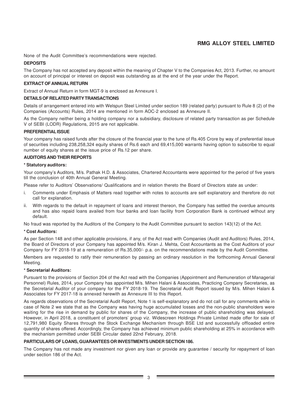None of the Audit Committee's recommendations were rejected.

### **DEPOSITS**

The Company has not accepted any deposit within the meaning of Chapter V to the Companies Act, 2013. Further, no amount on account of principal or interest on deposit was outstanding as at the end of the year under the Report.

### **EXTRACT OF ANNUAL RETURN**

Extract of Annual Return in form MGT-9 is enclosed as Annexure I.

### **DETAILS OF RELATED PARTY TRANSACTIONS**

Details of arrangement entered into with Welspun Steel Limited under section 189 (related party) pursuant to Rule 8 (2) of the Companies (Accounts) Rules, 2014 are mentioned in form AOC-2 enclosed as Annexure II.

As the Company neither being a holding company nor a subsidiary, disclosure of related party transaction as per Schedule V of SEBI (LODR) Regulations, 2015 are not applicable.

### **PREFERENTIAL ISSUE**

Your company has raised funds after the closure of the financial year to the tune of Rs.405 Crore by way of preferential issue of securities including 238,258,324 equity shares of Rs.6 each and 69,415,000 warrants having option to subscribe to equal number of equity shares at the issue price of Rs.12 per share.

### **AUDITORS AND THEIR REPORTS**

### **\* Statutory auditors:**

Your company's Auditors, M/s. Pathak H.D. & Associates, Chartered Accountants were appointed for the period of five years till the conclusion of 40th Annual General Meeting.

Please refer to Auditors' Observations/ Qualifications and in relation thereto the Board of Directors state as under:

- i. Comments under Emphasis of Matters read together with notes to accounts are self explanatory and therefore do not call for explanation.
- ii. With regards to the default in repayment of loans and interest thereon, the Company has settled the overdue amounts and has also repaid loans availed from four banks and loan facility from Corporation Bank is continued without any default.

No fraud was reported by the Auditors of the Company to the Audit Committee pursuant to section 143(12) of the Act.

### **\* Cost Auditors:**

As per Section 148 and other applicable provisions, if any, of the Act read with Companies (Audit and Auditors) Rules, 2014, the Board of Directors of your Company has appointed M/s. Kiran J. Mehta, Cost Accountants as the Cost Auditors of your Company for FY 2018-19 at a remuneration of Rs.35,000/- p.a. on the recommendations made by the Audit Committee.

Members are requested to ratify their remuneration by passing an ordinary resolution in the forthcoming Annual General Meeting.

### **\* Secretarial Auditors:**

Pursuant to the provisions of Section 204 of the Act read with the Companies (Appointment and Remuneration of Managerial Personnel) Rules, 2014, your Company has appointed M/s. Mihen Halani & Associates, Practicing Company Secretaries, as the Secretarial Auditor of your company for the FY 2018-19. The Secretarial Audit Report issued by M/s. Mihen Halani & Associates for FY 2017-18 is annexed herewith as Annexure III to this Report.

As regards observations of the Secretarial Audit Report, Note 1 is self-explanatory and do not call for any comments while in case of Note 2 we state that as the Company was having huge accumulated losses and the non-public shareholders were waiting for the rise in demand by public for shares of the Company, the increase of public shareholding was delayed. However, in April 2018, a constituent of promoters' group viz. Widescreen Holdings Private Limited made offer for sale of 12,791,980 Equity Shares through the Stock Exchange Mechanism through BSE Ltd and successfully offloaded entire quantity of shares offered. Accordingly, the Company has achieved minimum public shareholding at 25% in accordance with the mechanism permitted under SEBI Circular dated 22nd February, 2018.

### **PARTICULARS OF LOANS, GUARANTEES OR INVESTMENTS UNDER SECTION 186.**

The Company has not made any investment nor given any loan or provide any guarantee / security for repayment of loan under section 186 of the Act.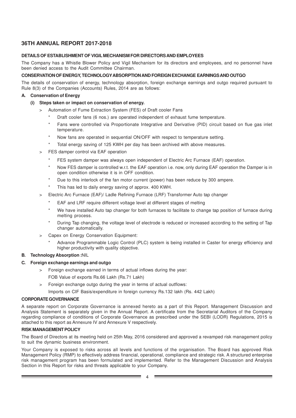### **DETAILS OF ESTABLISHMENT OF VIGIL MECHANISM FOR DIRECTORS AND EMPLOYEES**

The Company has a Whistle Blower Policy and Vigil Mechanism for its directors and employees, and no personnel have been denied access to the Audit Committee Chairman.

### **CONSERVATION OF ENERGY, TECHNOLOGYABSORPTION AND FOREIGN EXCHANGE EARNINGS AND OUTGO**

The details of conservation of energy, technology absorption, foreign exchange earnings and outgo required pursuant to Rule 8(3) of the Companies (Accounts) Rules, 2014 are as follows:

### **A. Conservation of Energy**

- **(i) Steps taken or impact on conservation of energy.**
	- > Automation of Fume Extraction System (FES) of Draft cooler Fans
		- Draft cooler fans (6 nos.) are operated independent of exhaust fume temperature.
		- Fans were controlled via Proportionate Integrative and Derivative (PID) circuit based on flue gas inlet temperature.
		- Now fans are operated in sequential ON/OFF with respect to temperature setting.
		- Total energy saving of 125 KWH per day has been archived with above measures.
	- FES damper control via EAF operation
		- FES system damper was always open independent of Electric Arc Furnace (EAF) operation.
		- Now FES damper is controlled w.r.t. the EAF operation i.e. now, only during EAF operation the Damper is in open condition otherwise it is in OFF condition.
		- Due to this interlock of the fan motor current (power) has been reduce by 300 ampere.
		- This has led to daily energy saving of approx. 400 KWH.
	- > Electric Arc Furnace (EAF)/ Ladle Refining Furnace (LRF) Transformer Auto tap changer
		- EAF and LRF require different voltage level at different stages of melting
		- We have installed Auto tap changer for both furnaces to facilitate to change tap position of furnace during melting process.
		- During Tap changing, the voltage level of electrode is reduced or increased according to the setting of Tap changer automatically.
	- > Capex on Energy Conservation Equipment:
		- Advance Programmable Logic Control (PLC) system is being installed in Caster for energy efficiency and higher productivity with quality objective.

# **B. Technology Absorption :**NIL

### **C. Foreign exchange earnings and outgo**

- > Foreign exchange earned in terms of actual inflows during the year:
	- FOB Value of exports Rs.66 Lakh (Rs.71 Lakh)
- > Foreign exchange outgo during the year in terms of actual outflows:

Imports on CIF Basis/expenditure in foreign currency Rs.132 lakh (Rs. 442 Lakh)

### **CORPORATE GOVERNANCE**

A separate report on Corporate Governance is annexed hereto as a part of this Report. Management Discussion and Analysis Statement is separately given in the Annual Report. A certificate from the Secretarial Auditors of the Company regarding compliance of conditions of Corporate Governance as prescribed under the SEBI (LODR) Regulations, 2015 is attached to this report as Annexure IV and Annexure V respectively.

### **RISK MANAGEMENT POLICY**

The Board of Directors at its meeting held on 25th May, 2016 considered and approved a revamped risk management policy to suit the dynamic business environment.

Your Company is exposed to risks across all levels and functions of the organisation. The Board has approved Risk Management Policy (RMP) to effectively address financial, operational, compliance and strategic risk. A structured enterprise risk management program has been formulated and implemented. Refer to the Management Discussion and Analysis Section in this Report for risks and threats applicable to your Company.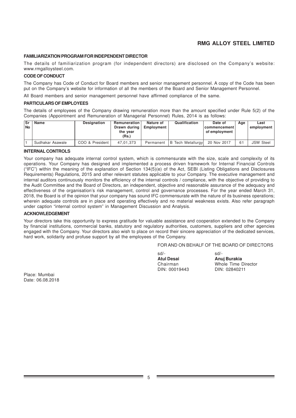### **FAMILIARIZATION PROGRAM FOR INDEPENDENT DIRECTOR**

The details of familiarization program (for independent directors) are disclosed on the Company's website: www.rmgalloysteel.com.

### **CODE OF CONDUCT**

The Company has Code of Conduct for Board members and senior management personnel. A copy of the Code has been put on the Company's website for information of all the members of the Board and Senior Management Personnel.

All Board members and senior management personnel have affirmed compliance of the same.

### **PARTICULARS OF EMPLOYEES**

The details of employees of the Company drawing remuneration more than the amount specified under Rule 5(2) of the Companies (Appointment and Remuneration of Managerial Personnel) Rules, 2014 is as follows:

| <b>Sr</b><br>l No | Name             | <b>Designation</b> | Remuneration<br>Drawn during<br>the vear<br>(Rs.) | Nature of<br><b>Employment</b> | Qualification            | Date of<br>  commencement  <br>of employment | Aae | Last<br>employment |
|-------------------|------------------|--------------------|---------------------------------------------------|--------------------------------|--------------------------|----------------------------------------------|-----|--------------------|
|                   | Sudhakar Asawale | COO & President    | 47.01.373                                         | Permanent                      | <b>B</b> Tech Metallurgy | 20 Nov 2017                                  |     | <b>JSW Steel</b>   |

### **INTERNAL CONTROLS**

Your company has adequate internal control system, which is commensurate with the size, scale and complexity of its operations. Your Company has designed and implemented a process driven framework for Internal Financial Controls ("IFC") within the meaning of the explanation of Section 134(5)(e) of the Act, SEBI (Listing Obligations and Disclosures Requirements) Regulations, 2015 and other relevant statutes applicable to your Company. The executive management and internal auditors continuously monitors the efficiency of the internal controls / compliance, with the objective of providing to the Audit Committee and the Board of Directors, an independent, objective and reasonable assurance of the adequacy and effectiveness of the organisation's risk management, control and governance processes. For the year ended March 31, 2018, the Board is of the opinion that your company has sound IFC commensurate with the nature of its business operations; wherein adequate controls are in place and operating effectively and no material weakness exists. Also refer paragraph under caption "internal control system" in Management Discussion and Analysis.

### **ACKNOWLEDGEMENT**

Your directors take this opportunity to express gratitude for valuable assistance and cooperation extended to the Company by financial institutions, commercial banks, statutory and regulatory authorities, customers, suppliers and other agencies engaged with the Company. Your directors also wish to place on record their sincere appreciation of the dedicated services, hard work, solidarity and profuse support by all the employees of the Company.

### FOR AND ON BEHALF OF THE BOARD OF DIRECTORS

| $sd/-$              |
|---------------------|
| Anuj Burakia        |
| Whole Time Director |
| DIN: 02840211       |
|                     |

Place: Mumbai Date: 06.08.2018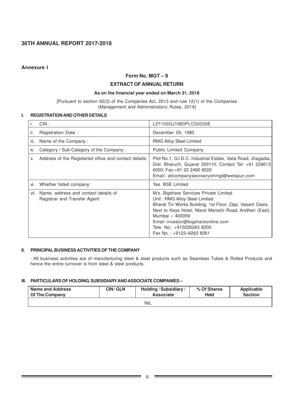### **Annexure I**

# **Form No. MGT – 9**

# **EXTRACT OF ANNUAL RETURN**

### **As on the financial year ended on March 31, 2018**

[Pursuant to section 92(3) of the Companies Act, 2013 and rule 12(1) of the Companies (Management and Administration) Rules, 2014]

### **I. REGISTRATION AND OTHER DETAILS**

|      | CIN:                                                                  | L27100GJ1980PLC020358                                                                                                                                                                                                                                                                                            |
|------|-----------------------------------------------------------------------|------------------------------------------------------------------------------------------------------------------------------------------------------------------------------------------------------------------------------------------------------------------------------------------------------------------|
| ii.  | Registration Date:                                                    | December 29, 1980                                                                                                                                                                                                                                                                                                |
| iii. | Name of the Company:                                                  | <b>RMG Alloy Steel Limited</b>                                                                                                                                                                                                                                                                                   |
| İV.  | Category / Sub Category of the Company:                               | <b>Public Limited Company</b>                                                                                                                                                                                                                                                                                    |
| V.   | Address of the Registered office and contact details:                 | Plot No.1, G.I.D.C. Industrial Estate, Valia Road, Jhagadia,<br>Dist. Bharuch, Gujarat 393110; Contact Tel: +91 226613<br>6000; Fax:+91 22 2490 8020<br>Email: allcompanysecrearyofrmgl@welspun.com                                                                                                              |
| vi.  | Whether listed company:                                               | Yes, BSE Limited                                                                                                                                                                                                                                                                                                 |
| VII. | Name, address and contact details of<br>Registrar and Transfer Agent: | M/s. Bigshare Services Private Limited<br>Unit: RMG Alloy Steel Limited<br>Bharat Tin Works Building, 1st Floor, Opp. Vasant Oasis,<br>Next to Keys Hotel, Marol Maroshi Road, Andheri (East),<br>Mumbai - 400059<br>Email investor@bigshareonline.com<br>Tele, No.: +910226263 8200<br>Fax No.: +9122-6263 8261 |

### **II. PRINCIPAL BUSINESS ACTIVITIES OF THE COMPANY**

- All business activities are of manufacturing steel & steel products such as Seamless Tubes & Rolled Products and hence the entire turnover is from steel & steel products.

### **III. PARTICULARS OF HOLDING, SUBSIDIARY AND ASSOCIATE COMPANIES –**

| <b>CIN/GLN</b><br><b>Name and Address</b><br><b>Of The Company</b> |  | Holding / Subsidiary /<br><b>Associate</b> | % Of Shares<br>Held | Applicable<br><b>Section</b> |
|--------------------------------------------------------------------|--|--------------------------------------------|---------------------|------------------------------|
|                                                                    |  | <b>NIL</b>                                 |                     |                              |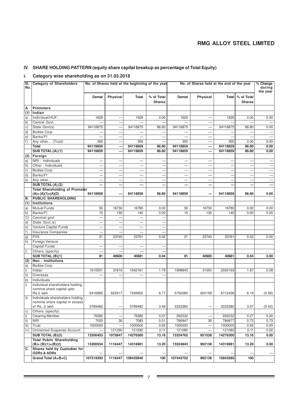# **IV. SHARE HOLDING PATTERN (equity share capital breakup as percentage of Total Equity)**

# **i. Category wise shareholding as on 31.03.2018**

| SI.<br>No. | <b>Category of Shareholders</b>                              | No. of Shares held at the beginning of the year |                          | No. of Shares held at the end of the year |                             |                          |                          | $% Change$<br>during     |                                     |                          |
|------------|--------------------------------------------------------------|-------------------------------------------------|--------------------------|-------------------------------------------|-----------------------------|--------------------------|--------------------------|--------------------------|-------------------------------------|--------------------------|
|            |                                                              |                                                 |                          |                                           |                             |                          |                          |                          |                                     | the year                 |
|            |                                                              | Demat                                           | Physical                 | Total                                     | % of Total<br><b>Shares</b> | Demat                    | Physical                 |                          | Total   % of Total<br><b>Shares</b> |                          |
| А          | <b>Promoters</b>                                             |                                                 |                          |                                           |                             |                          |                          |                          |                                     |                          |
| (1)        | Indian                                                       |                                                 |                          |                                           |                             |                          |                          |                          |                                     |                          |
| a)         | Individual/HUF:-                                             | 1629                                            |                          | 1629                                      | 0.00                        | 1629                     | $\overline{\phantom{0}}$ | 1629                     | 0.00                                | 0.00                     |
| b)         | Central Govt.                                                |                                                 |                          |                                           |                             |                          |                          |                          |                                     |                          |
| c)         | State Govt(s)                                                | 94116875                                        |                          | 94116875                                  | 86.80                       | 94116875                 |                          | 94116875                 | 86.80                               | 0.00                     |
| d)         | Bodies Corp.                                                 |                                                 | -                        | —                                         |                             | -                        | $\overline{\phantom{0}}$ |                          |                                     |                          |
| e)         | Banks/FI                                                     |                                                 |                          |                                           |                             |                          |                          |                          |                                     |                          |
| f)         | Any other (Trust)                                            | 355                                             | $\overline{\phantom{0}}$ | 355                                       |                             | 355                      | —                        | 355                      | 0.00                                | 0.00                     |
|            | Total                                                        | 94118859                                        |                          | 94118859                                  | 86.80                       | 94118859                 |                          | 94118859                 | 86.80                               | 0.00                     |
|            | SUB TOTAL:(A)(1)                                             | 94118859                                        |                          | 94118859                                  | 86.80                       | 94118859                 |                          | 94118859                 | 86.80                               | 0.00                     |
| (2)        | Foreign                                                      |                                                 |                          |                                           |                             |                          |                          |                          |                                     |                          |
| a)         | NRI - Individuals                                            |                                                 |                          |                                           |                             | -                        |                          |                          |                                     |                          |
| b)         | Other - Individuals                                          |                                                 | -                        | $\overline{\phantom{0}}$                  |                             | —                        |                          |                          |                                     |                          |
| c)         | Bodies Corp.                                                 |                                                 | -                        | $\overline{\phantom{0}}$                  |                             | $\overline{\phantom{0}}$ | $\overline{\phantom{0}}$ | $\overline{\phantom{0}}$ |                                     | $\overline{\phantom{0}}$ |
| d)         | Banks/FI                                                     |                                                 |                          |                                           |                             |                          |                          |                          |                                     |                          |
| e)         | Any other                                                    |                                                 | $\overline{\phantom{0}}$ |                                           | $\overline{\phantom{0}}$    | $\overline{\phantom{0}}$ | $\overline{\phantom{0}}$ | $\overline{\phantom{0}}$ |                                     |                          |
|            | SUB TOTAL (A) (2)                                            |                                                 |                          | —                                         |                             |                          |                          |                          |                                     |                          |
|            | <b>Total Shareholding of Promoter</b><br>$(A)=(A)(1)+(A)(2)$ | 94118859                                        |                          | 94118859                                  | 86.80                       | 94118859                 |                          | 94118859                 | 86.80                               | 0.00                     |
| в.         | <b>PUBLIC SHAREHOLDING</b>                                   |                                                 |                          |                                           |                             |                          |                          |                          |                                     |                          |
| (1)        | <b>Institutions</b>                                          |                                                 |                          |                                           |                             |                          |                          |                          |                                     |                          |
| a)         | <b>Mutual Funds</b>                                          | 50                                              | 16730                    | 16780                                     | 0.02                        | 50                       | 16730                    | 16780                    | 0.02                                | 0.00                     |
| b)         | Banks/FI                                                     | 10                                              | 130                      | 140                                       | 0.00                        | 10                       | 130                      | 140                      | 0.00                                | 0.00                     |
| C)         | Cenntral govt                                                |                                                 |                          | -                                         |                             |                          |                          |                          |                                     |                          |
| d)         | State Govt.(s)                                               |                                                 |                          |                                           |                             |                          |                          |                          |                                     |                          |
| e)         | Venture Capital Funds                                        |                                                 |                          | $\overline{\phantom{0}}$                  |                             |                          |                          |                          |                                     |                          |
| f)         | <b>Insurance Companies</b>                                   |                                                 |                          |                                           |                             |                          |                          |                          |                                     |                          |
| g)         | <b>FIIS</b>                                                  | 21                                              | 23740                    | 23761                                     | 0.02                        | 21                       | 23740                    | 23761                    | 0.02                                | 0.00                     |
| h)         | Foreign Venture                                              |                                                 |                          |                                           |                             |                          |                          |                          |                                     |                          |
|            | Capital Funds                                                |                                                 |                          |                                           |                             |                          |                          |                          |                                     |                          |
| i)         | Others (specify)                                             |                                                 |                          |                                           |                             |                          |                          |                          |                                     |                          |
|            | SUB TOTAL (B)(1)                                             | 81                                              | 40600                    | 40681                                     | 0.04                        | 81                       | 40600                    | 40681                    | 0.04                                | 0.00                     |
| (2)        | Non - Institutions                                           |                                                 |                          |                                           |                             |                          |                          |                          |                                     |                          |
| a)         | Bodies Corp.<br>Indian                                       | 1910551                                         | 31610                    | 1942161                                   | 1.79                        | 1998843                  | 31350                    | 2030193                  | 1.87                                | 0.08                     |
| i)<br>ii)  | Overseas                                                     |                                                 | -                        | $\overline{\phantom{0}}$                  | $\overline{\phantom{0}}$    |                          |                          |                          |                                     |                          |
| b)         | Individuals                                                  |                                                 |                          |                                           |                             |                          |                          |                          |                                     |                          |
| i)         | Individual shareholders holding                              |                                                 |                          |                                           |                             |                          |                          |                          |                                     |                          |
|            | nominal share capital upto<br>Rs.2 lakh                      | 6416985                                         | 922917                   | 7339902                                   | 6.77                        | 5792280                  | 920158                   | 6712438                  | 6.19                                | (0.58)                   |
| ii)        | Individuals shareholders holding                             |                                                 |                          |                                           |                             |                          |                          |                          |                                     |                          |
|            | nominal share capital in excess                              |                                                 |                          |                                           |                             |                          |                          |                          |                                     |                          |
|            | of Rs. 2 lakh                                                | 3789482                                         | -                        | 3789482                                   | 3.49                        | 3333380                  |                          | 3333380                  | 3.07                                | (0.42)                   |
| C)         | Others (specify)                                             |                                                 |                          |                                           |                             |                          |                          |                          |                                     |                          |
| i)         | <b>Clearing Member</b>                                       | 76382                                           |                          | 76382                                     | 0.07                        | 292232                   |                          | 292232                   | 0.27                                | 0.20                     |
| ii)        | <b>NRI</b>                                                   | 7053                                            | 30                       | 7083                                      | 0.01                        | 786947                   | 30                       | 786977                   | 0.73                                | 0.73                     |
| iii)       | Trust                                                        | 1000000                                         |                          | 1000000                                   | 0.92                        | 1000000                  |                          | 1000000                  | 0.92                                | 0.00                     |
| iv)        | <b>Unclaimed Suspense Account</b>                            |                                                 | 121290                   | 121290                                    | 0.11                        | 121080                   |                          | 121080                   | 0.11                                | 0.00                     |
|            | SUB TOTAL (B)(2)                                             | 13200453                                        | 1075847                  | 14276300                                  | 13.16                       | 13324762                 | 951538                   | 14276300                 | 13.16                               | 0.00                     |
|            | <b>Total Public Shareholding</b><br>$(B)=(B)(1)+(B)(2)$      | 13200534                                        | 1116447                  | 14316981                                  | 13.20                       | 13324843                 | 992138                   | 14316981                 | 13.20                               | 0.00                     |
| C.         | Shares held by Custodian for<br><b>GDRs &amp; ADRs</b>       |                                                 |                          |                                           |                             |                          |                          |                          |                                     |                          |
|            | Grand Total (A+B+C)                                          | 107319393                                       | 1116447                  | 108435840                                 | 100                         | 107443702                | 992138                   | 10843580                 | 100                                 |                          |
|            |                                                              |                                                 |                          |                                           |                             |                          |                          |                          |                                     |                          |

**Contract Contract**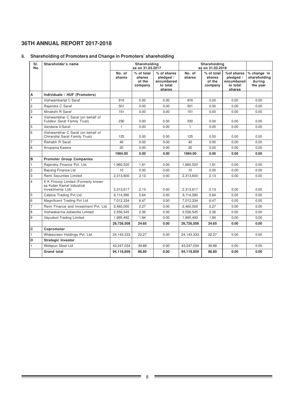# **ii. Shareholding of Promoters and Change in Promoters' shareholding**

| SI.<br>No      | Shareholder's name                                                                   |                  | Shareholding<br>as on 31.03.2017          |                                                              |                  | Shareholding<br>as on 31.03.2018          |                                                             |                                                   |
|----------------|--------------------------------------------------------------------------------------|------------------|-------------------------------------------|--------------------------------------------------------------|------------------|-------------------------------------------|-------------------------------------------------------------|---------------------------------------------------|
|                |                                                                                      | No. of<br>shares | % of total<br>shares<br>of the<br>company | % of shares<br>pledged /<br>encumbered<br>to total<br>shares | No. of<br>shares | % of total<br>shares<br>of the<br>company | %of shares<br>pledged /<br>encumbered<br>to total<br>shares | % change in<br>shareholding<br>during<br>the year |
| A              | Individuals / HUF (Promoters)                                                        |                  |                                           |                                                              |                  |                                           |                                                             |                                                   |
| I1.            | Vishwambarlal C Saraf                                                                | 916              | 0.00                                      | 0.00                                                         | 916              | 0.00                                      | 0.00                                                        | 0.00                                              |
| l2             | Raiendra C Saraf                                                                     | 501              | 0.00                                      | 0.00                                                         | 501              | 0.00                                      | 0.00                                                        | 0.00                                              |
| 3              | Minakshi R Saraf                                                                     | 151              | 0.00                                      | 0.00                                                         | 151              | 0.00                                      | 0.00                                                        | 0.00                                              |
| $\overline{4}$ | Vishwambhar C Saraf (on behalf of<br>Fulidevi Saraf Family Trust)                    | 230              | 0.00                                      | 0.00                                                         | 230              | 0.00                                      | 0.00                                                        | 0.00                                              |
| 5              | Vandana V.Saraf                                                                      | 1                | 0.00                                      | 0.00                                                         | $\mathbf{1}$     | 0.00                                      | 0.00                                                        | 0.00                                              |
| l6             | Vishwambhar C Saraf (on behalf of<br>Chiranjilal Saraf Family Trust)                 | 125              | 0.00                                      | 0.00                                                         | 125              | 0.00                                      | 0.00                                                        | 0.00                                              |
| $\overline{7}$ | Rishabh R Saraf                                                                      | 40               | 0.00                                      | 0.00                                                         | 40               | 0.00                                      | 0.00                                                        | 0.00                                              |
| 8              | Anupama Kasera                                                                       | 20               | 0.00                                      | 0.00                                                         | 20               | 0.00                                      | 0.00                                                        | 0.00                                              |
|                |                                                                                      | 1984.00          | 0.00                                      | 0.00                                                         | 1984.00          | 0.00                                      | 0.00                                                        | 0.00                                              |
| B              | <b>Promoter Group Companies</b>                                                      |                  |                                           |                                                              |                  |                                           |                                                             |                                                   |
| $\overline{1}$ | Raiendra Finance Pvt. Ltd.                                                           | 1,960,520        | 1.81                                      | 0.00                                                         | 1,960,520        | 1.81                                      | 0.00                                                        | 0.00                                              |
| l2             | <b>Bajrang Finance Ltd</b>                                                           | 10               | 0.00                                      | 0.00                                                         | 10               | 0.00                                      | 0.00                                                        | 0.00                                              |
| l3             | Remi Securities Limited                                                              | 2.313.600        | 2.13                                      | 0.00                                                         | 2.313.600        | 2.13                                      | 0.00                                                        | 0.00                                              |
| $\overline{4}$ | K K Fincorp Limited (Formerly known<br>as Kuber Kamal Industrial<br>Investments Ltd) | 2,313,617        | 2.13                                      | 0.00                                                         | 2,313,617        | 2.13                                      | 0.00                                                        | 0.00                                              |
| 5              | Calplus Trading Pvt Ltd                                                              | 6,114,390        | 5.64                                      | 0.00                                                         | 6,114,390        | 5.64                                      | 0.00                                                        | 0.00                                              |
| 16             | Magnificent Trading Pvt Ltd                                                          | 7,012,334        | 6.47                                      | 0.00                                                         | 7,012,334        | 6.47                                      | 0.00                                                        | 0.00                                              |
| $\overline{7}$ | Remi Finance and Investment Pvt. Ltd.                                                | 2,460,000        | 2.27                                      | 0.00                                                         | 2,460,000        | 2.27                                      | 0.00                                                        | 0.00                                              |
| 8              | Vishwakarma Jobworks Limited                                                         | 2,556,545        | 2.36                                      | 0.00                                                         | 2,556,545        | 2.36                                      | 0.00                                                        | 0.00                                              |
| l9             | Vayudoot Trading Limited                                                             | 1,995,492        | 1.84                                      | 0.00                                                         | 1,995,492        | 1.84                                      | 0.00                                                        | 0.00                                              |
|                |                                                                                      | 26,726,508       | 24.65                                     | 0.00                                                         | 26,726,508       | 24.65                                     | 0.00                                                        | 0.00                                              |
| c              | Copromoter                                                                           |                  |                                           |                                                              |                  |                                           |                                                             |                                                   |
| $\overline{1}$ | Widescreen Holdings Pvt. Ltd.                                                        | 24,143,333       | 22.27                                     | 0.00                                                         | 24,143,333       | 22.27                                     | 0.00                                                        | 0.00                                              |
| ۱D             | <b>Strategic Investor</b>                                                            |                  |                                           |                                                              |                  |                                           |                                                             |                                                   |
| $\vert$ 1      | Welspun Steel Ltd                                                                    | 43,247,034       | 39.88                                     | 0.00                                                         | 43,247,034       | 39.88                                     | 0.00                                                        | 0.00                                              |
|                | <b>Grand total</b>                                                                   | 94.118.859       | 86.80                                     | 0.00                                                         | 94.118.859       | 86.80                                     | 0.00                                                        | 0.00                                              |

÷.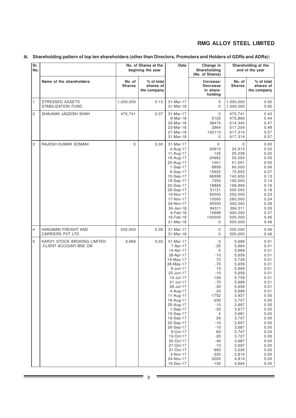# **iii. Shareholding pattern of top ten shareholders (other than Directors, Promoters and Holders of GDRs and ADRs):**

| Sr.<br>No.     |                                                       |                         | No. of Shares at the<br>begining the year | Date                                                                                                                                                                                                                                                                                                                                                                        | Change in<br>Shareholding<br>(No. of Shares)                                                                                                                                                                                              |                                                                                                                                                                                                                                                          | Shareholding at the<br>end of the year                                                                                                                                                                                       |
|----------------|-------------------------------------------------------|-------------------------|-------------------------------------------|-----------------------------------------------------------------------------------------------------------------------------------------------------------------------------------------------------------------------------------------------------------------------------------------------------------------------------------------------------------------------------|-------------------------------------------------------------------------------------------------------------------------------------------------------------------------------------------------------------------------------------------|----------------------------------------------------------------------------------------------------------------------------------------------------------------------------------------------------------------------------------------------------------|------------------------------------------------------------------------------------------------------------------------------------------------------------------------------------------------------------------------------|
|                | Name of the shareholders                              | No. of<br><b>Shares</b> | % of total<br>shares of<br>the company    |                                                                                                                                                                                                                                                                                                                                                                             | Increase/<br><b>Decrease</b><br>in share-<br>holding                                                                                                                                                                                      | No. of<br><b>Shares</b>                                                                                                                                                                                                                                  | % of total<br>shares of<br>the company                                                                                                                                                                                       |
| 1              | STRESSED ASSETS<br>STABILIZATION FUND                 | 1,000,000               | 0.15                                      | 31-Mar-17<br>31-Mar-18                                                                                                                                                                                                                                                                                                                                                      | 0<br>$\mathbf 0$                                                                                                                                                                                                                          | 1,000,000<br>1,000,000                                                                                                                                                                                                                                   | 0.92<br>0.92                                                                                                                                                                                                                 |
| $\overline{c}$ | SHAUNAK JAGDISH SHAH                                  | 470,741                 | 0.07                                      | 31-Mar-17<br>9-Mar-18<br>20-Mar-18<br>23-Mar-18<br>27-Mar-18<br>31-Mar-18                                                                                                                                                                                                                                                                                                   | $\mathbf 0$<br>5125<br>38474<br>2864<br>100110<br>$\mathbf 0$                                                                                                                                                                             | 470,741<br>475,866<br>514,340<br>517,204<br>617,314<br>617,314                                                                                                                                                                                           | 0.43<br>0.44<br>0.47<br>0.48<br>0.57<br>0.57                                                                                                                                                                                 |
| 3              | RAJESH KUMAR SOMANI                                   | 0                       | 0.00                                      | 31-Mar-17<br>4-Aug-17<br>11-Aug-17<br>18-Aug-17<br>25-Aug-17<br>$1-Sep-17$<br>8-Sep-17<br>15-Sep-17<br>19-Sep-17<br>22-Sep-17<br>29-Sep-17<br>10-Nov-17<br>17-Nov-17<br>24-Nov-17<br>24-Jan-18<br>$9-Feb-18$<br>16-Feb-18<br>31-Mar-18                                                                                                                                      | 0<br>24913<br>125<br>24962<br>1001<br>8999<br>15652<br>66998<br>7350<br>18869<br>31131<br>50000<br>10000<br>40000<br>84311<br>15689<br>100000<br>0                                                                                        | $\mathbf 0$<br>24,913<br>25,038<br>50,000<br>51,001<br>60,000<br>75,652<br>142,650<br>150,000<br>168,869<br>200,000<br>250,000<br>260,000<br>300,000<br>384,311<br>400,000<br>500,000<br>500,000                                                         | 0.00<br>0.02<br>0.02<br>0.05<br>0.05<br>0.06<br>0.07<br>0.13<br>0.14<br>0.16<br>0.18<br>0.23<br>0.24<br>0.28<br>0.35<br>0.37<br>0.46<br>0.46                                                                                 |
| $\overline{4}$ | HANUMAN FREIGHT AND<br><b>CARRIERS PVT LTD</b>        | 500,000                 | 0.08                                      | 31-Mar-17<br>31-Mar-18                                                                                                                                                                                                                                                                                                                                                      | $\mathbf 0$<br>0                                                                                                                                                                                                                          | 500,000<br>500,000                                                                                                                                                                                                                                       | 0.46<br>0.46                                                                                                                                                                                                                 |
| 5              | KARVY STOCK BROKING LIMITED<br>-CLIENT ACCOUNT-BSE CM | 5,689                   | 0.00                                      | 31-Mar-17<br>7-Apr-17<br>14-Apr-17<br>28-Apr-17<br>19-May-17<br>26-May-17<br>$9$ -Jun-17<br>23-Jun-17<br>14-Jul-17<br>21-Jul-17<br>28-Jul-17<br>$4 - Aug - 17$<br>11-Aug-17<br>18-Aug-17<br>25-Aug-17<br>1-Sep-17<br>15-Sep-17<br>19-Sep-17<br>22-Sep-17<br>26-Sep-17<br>6-Oct-17<br>13-Oct-17<br>20-Oct-17<br>27-Oct-17<br>31-Oct-17<br>3-Nov-17<br>24-Nov-17<br>15-Dec-17 | $\mathbf 0$<br>$-25$<br>5<br>$-10$<br>70<br>$-70$<br>10<br>$-10$<br>100<br>-70<br>$-30$<br>$30\,$<br>$-1752$<br>$-230$<br>$-10$<br>$-20$<br>4<br>26<br>$-10$<br>$-10$<br>60<br>$-20$<br>$-40$<br>10<br>$-663$<br>$-220$<br>2000<br>$-150$ | 5,689<br>5,664<br>5,669<br>5,659<br>5,729<br>5,659<br>5,669<br>5,659<br>5,759<br>5,689<br>5,659<br>5,689<br>3,937<br>3,707<br>3,697<br>3,677<br>3,681<br>3,707<br>3,697<br>3,687<br>3,747<br>3,727<br>3,687<br>3,697<br>3,034<br>2,814<br>4,814<br>4,664 | 0.01<br>0.01<br>0.01<br>0.01<br>0.01<br>0.01<br>0.01<br>0.01<br>0.01<br>0.01<br>0.01<br>0.01<br>0.00<br>0.00<br>0.00<br>0.00<br>0.00<br>0.00<br>0.00<br>0.00<br>0.00<br>0.00<br>0.00<br>0.00<br>0.00<br>0.00<br>0.00<br>0.00 |

۳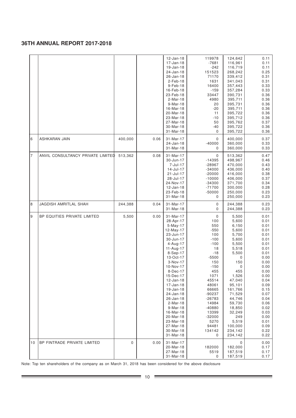|                |                                   |         |      | 12-Jan-18<br>17-Jan-18<br>$19$ -Jan-18<br>24-Jan-18<br>26-Jan-18<br>$2-Feb-18$<br>9-Feb-18<br>16-Feb-18<br>23-Feb-18<br>2-Mar-18<br>9-Mar-18<br>16-Mar-18<br>20-Mar-18<br>23-Mar-18<br>27-Mar-18<br>30-Mar-18<br>31-Mar-18                                                                                                                             | 119978<br>$-7681$<br>$-242$<br>151523<br>71170<br>1631<br>16400<br>$-159$<br>33447<br>4980<br>20<br>$-20$<br>11<br>$-10$<br>50<br>$-40$<br>0                                                                                              | 124,642<br>116,961<br>116,719<br>268,242<br>339,412<br>341,043<br>357,443<br>357,284<br>390,731<br>395,711<br>395,731<br>395,711<br>395,722<br>395,712<br>395,762<br>395,722<br>395,722                                                          | 0.11<br>0.11<br>0.11<br>0.25<br>0.31<br>0.31<br>0.33<br>0.33<br>0.36<br>0.36<br>0.36<br>0.36<br>0.36<br>0.36<br>0.37<br>0.36<br>0.36                                                                                 |
|----------------|-----------------------------------|---------|------|--------------------------------------------------------------------------------------------------------------------------------------------------------------------------------------------------------------------------------------------------------------------------------------------------------------------------------------------------------|-------------------------------------------------------------------------------------------------------------------------------------------------------------------------------------------------------------------------------------------|--------------------------------------------------------------------------------------------------------------------------------------------------------------------------------------------------------------------------------------------------|----------------------------------------------------------------------------------------------------------------------------------------------------------------------------------------------------------------------|
| 6              | ASHKARAN JAIN                     | 400,000 | 0.06 | 31-Mar-17<br>24-Jan-18<br>31-Mar-18                                                                                                                                                                                                                                                                                                                    | 0<br>$-40000$<br>0                                                                                                                                                                                                                        | 400,000<br>360,000<br>360,000                                                                                                                                                                                                                    | 0.37<br>0.33<br>0.33                                                                                                                                                                                                 |
| $\overline{7}$ | ANVIL CONSULTANCY PRIVATE LIMITED | 513,362 | 0.08 | 31-Mar-17<br>30-Jun-17<br>7-Jul-17<br>14-Jul-17<br>21-Jul-17<br>28-Jul-17<br>24-Nov-17<br>12-Jan-18<br>23-Feb-18<br>31-Mar-18                                                                                                                                                                                                                          | 0<br>$-14395$<br>$-28967$<br>$-34000$<br>$-20000$<br>$-10000$<br>$-34300$<br>$-71700$<br>$-50000$<br>0                                                                                                                                    | 513,362<br>498,967<br>470,000<br>436,000<br>416,000<br>406,000<br>371,700<br>300,000<br>250,000<br>250,000                                                                                                                                       | 0.47<br>0.46<br>0.43<br>0.40<br>0.38<br>0.37<br>0.34<br>0.28<br>0.23<br>0.23                                                                                                                                         |
| 8              | <b>JAGDISH AMRITLAL SHAH</b>      | 244,388 | 0.04 | 31-Mar-17<br>31-Mar-18                                                                                                                                                                                                                                                                                                                                 | 0<br>0                                                                                                                                                                                                                                    | 244,388<br>244,388                                                                                                                                                                                                                               | 0.23<br>0.23                                                                                                                                                                                                         |
| 9              | BP EQUITIES PRIVATE LIMITED       | 5,500   | 0.00 | 31-Mar-17<br>28-Apr-17<br>$5-May-17$<br>12-May-17<br>23-Jun-17<br>30-Jun-17<br>4-Aug-17<br>11-Aug-17<br>8-Sep-17<br>13-Oct-17<br>3-Nov-17<br>10-Nov-17<br>8-Dec-17<br>15-Dec-17<br>12-Jan-18<br>17-Jan-18<br>19-Jan-18<br>24-Jan-18<br>26-Jan-18<br>2-Mar-18<br>9-Mar-18<br>16-Mar-18<br>20-Mar-18<br>23-Mar-18<br>27-Mar-18<br>30-Mar-18<br>31-Mar-18 | 0<br>100<br>550<br>$-550$<br>100<br>$-100$<br>$-100$<br>18<br>$-18$<br>$-5500$<br>150<br>$-150$<br>455<br>1071<br>45514<br>48061<br>66665<br>-90237<br>$-26783$<br>14984<br>$-40880$<br>13399<br>$-32000$<br>5270<br>94481<br>134142<br>0 | 5,500<br>5,600<br>6,150<br>5,600<br>5,700<br>5,600<br>5,500<br>5,518<br>5,500<br>0<br>150<br>0<br>455<br>1,526<br>47,040<br>95,101<br>161,766<br>71,529<br>44,746<br>59,730<br>18,850<br>32,249<br>249<br>5,519<br>100,000<br>234,142<br>234,142 | 0.01<br>0.01<br>0.01<br>0.01<br>0.01<br>0.01<br>0.01<br>0.01<br>0.01<br>0.00<br>0.00<br>0.00<br>0.00<br>0.00<br>0.04<br>0.09<br>0.15<br>0.07<br>0.04<br>0.06<br>0.02<br>0.03<br>0.00<br>0.01<br>0.09<br>0.22<br>0.22 |
| 10             | BP FINTRADE PRIVATE LIMITED       | 0       | 0.00 | 31-Mar-17<br>20-Mar-18<br>27-Mar-18<br>31-Mar-18                                                                                                                                                                                                                                                                                                       | 182000<br>5519<br>0                                                                                                                                                                                                                       | 0<br>182,000<br>187,519<br>187,519                                                                                                                                                                                                               | 0.00<br>0.17<br>0.17<br>0.17                                                                                                                                                                                         |

Note: Top ten shareholders of the company as on March 31, 2018 has been considered for the above disclosure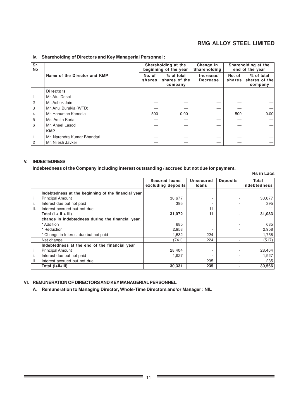**Rs in Lacs**

### **iv. Shareholding of Directors and Key Managerial Personnel :**

| Sr.<br><b>No</b> |                              |                  | Shareholding at the<br>beginning of the year | Change in<br>Shareholding    |                  | Shareholding at the<br>end of the year |
|------------------|------------------------------|------------------|----------------------------------------------|------------------------------|------------------|----------------------------------------|
|                  | Name of the Director and KMP | No. of<br>shares | % of total<br>shares of the<br>company       | Increase/<br><b>Decrease</b> | No. of<br>shares | % of total<br>shares of the<br>company |
|                  | <b>Directors</b>             |                  |                                              |                              |                  |                                        |
|                  | Mr. Atul Desai               |                  |                                              |                              |                  |                                        |
| 2                | Mr. Ashok Jain               |                  |                                              |                              |                  |                                        |
| 3                | Mr. Anuj Burakia (WTD)       |                  |                                              |                              |                  |                                        |
| 4                | Mr. Hanuman Kanodia          | 500              | 0.00                                         |                              | 500              | 0.001                                  |
| 5                | Ms. Amita Karia              |                  |                                              |                              |                  |                                        |
| 6                | Mr. Aneel Lasod              |                  |                                              |                              |                  |                                        |
|                  | <b>KMP</b>                   |                  |                                              |                              |                  |                                        |
|                  | Mr. Narendra Kumar Bhandari  |                  |                                              |                              |                  |                                        |
| 2                | Mr. Nilesh Javker            |                  |                                              |                              |                  |                                        |

# **V. INDEBTEDNESS**

**Indebtedness of the Company including interest outstanding / accrued but not due for payment.**

|      |                                                     | <b>Secured loans</b><br>excluding deposits | Unsecured<br>loans | <b>Deposits</b> | Total<br>indebtedness |
|------|-----------------------------------------------------|--------------------------------------------|--------------------|-----------------|-----------------------|
|      |                                                     |                                            |                    |                 |                       |
|      | Indebtedness at the beginning of the financial year |                                            |                    |                 |                       |
| Ι.   | <b>Principal Amount</b>                             | 30,677                                     |                    |                 | 30,677                |
| ii.  | Interest due but not paid                           | 395                                        |                    |                 | 395                   |
| iii. | Interest accrued but not due                        |                                            | 11                 |                 | 11                    |
|      | Total $(I + ii + iii)$                              | 31,072                                     | 11                 | $\blacksquare$  | 31,083                |
|      | change in indebtedness during the financial year.   |                                            |                    |                 |                       |
|      | * Addition                                          | 685                                        |                    |                 | 685                   |
|      | * Reduction                                         | 2,958                                      |                    |                 | 2,958                 |
|      | * Change in Interest due but not paid               | 1,532                                      | 224                |                 | 1,756                 |
|      | Net change                                          | (741)                                      | 224                |                 | (517)                 |
|      | Indebtedness at the end of the financial year       |                                            |                    |                 |                       |
| Ι.   | <b>Principal Amount</b>                             | 28,404                                     |                    |                 | 28,404                |
| ii.  | Interest due but not paid                           | 1.927                                      |                    |                 | 1,927                 |
| iii. | Interest accrued but not due                        |                                            | 235                | ۰               | 235                   |
|      | Total (i+ii+iii)                                    | 30,331                                     | 235                |                 | 30,566                |

### **VI. REMUNERATION OF DIRECTORS AND KEY MANAGERIAL PERSONNEL.**

**A. Remuneration to Managing Director, Whole-Time Directors and/or Manager : NIL**

 $\frac{1}{2}$  ,  $\frac{1}{2}$  ,  $\frac{1}{2}$  ,  $\frac{1}{2}$  ,  $\frac{1}{2}$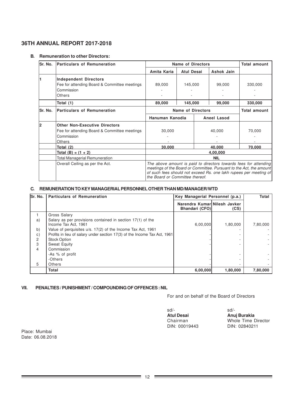### **B. Remuneration to other Directors:**

| lSr. No. | <b>Particulars of Remuneration</b>                                                                                  | <b>Name of Directors</b>                                                                                                                                                                                                                        |                          |        |                     | <b>Total amount</b> |
|----------|---------------------------------------------------------------------------------------------------------------------|-------------------------------------------------------------------------------------------------------------------------------------------------------------------------------------------------------------------------------------------------|--------------------------|--------|---------------------|---------------------|
|          |                                                                                                                     | Amita Karia                                                                                                                                                                                                                                     | <b>Atul Desai</b>        |        | Ashok Jain          |                     |
|          | <b>Independent Directors</b><br>Fee for attending Board & Committee meetings<br>Commission<br>Others                | 89,000                                                                                                                                                                                                                                          | 145,000                  |        | 99.000              | 330,000             |
|          | Total (1)                                                                                                           | 89,000                                                                                                                                                                                                                                          | 145,000                  |        | 99,000              | 330,000             |
| lSr. No. | <b>Particulars of Remuneration</b>                                                                                  |                                                                                                                                                                                                                                                 | <b>Name of Directors</b> |        | <b>Total amount</b> |                     |
|          |                                                                                                                     | Hanuman Kanodia                                                                                                                                                                                                                                 |                          |        | Aneel Lasod         |                     |
| 12       | <b>Other Non-Executive Directors</b><br>Fee for attending Board & Committee meetings<br>Commission<br><b>Others</b> | 30,000                                                                                                                                                                                                                                          |                          | 40,000 |                     | 70,000              |
|          | Total (2)                                                                                                           | 30,000                                                                                                                                                                                                                                          |                          |        | 40,000              | 70,000              |
|          | Total (B) = $(1 + 2)$                                                                                               | 4,00,000                                                                                                                                                                                                                                        |                          |        |                     |                     |
|          | Total Managerial Remuneration                                                                                       | <b>NIL</b>                                                                                                                                                                                                                                      |                          |        |                     |                     |
|          | Overall Ceiling as per the Act.                                                                                     | The above amount is paid to directors towards fees for attending<br>meetings of the Board or Committee. Pursuant to the Act, the amount<br>of such fees should not exceed Rs. one lakh rupees per meeting of<br>the Board or Committee thereof. |                          |        |                     |                     |

### **C. REMUNERATION TO KEY MANAGERIAL PERSONNEL OTHER THAN MD/MANAGER/WTD**

| Sr. No.      | <b>Particulars of Remuneration</b>                                                 |                                                | Key Managerial Personnel (p.a.) |          |  |
|--------------|------------------------------------------------------------------------------------|------------------------------------------------|---------------------------------|----------|--|
|              |                                                                                    | Narendra Kumar Nilesh Javker<br>Bhandari (CFO) | (CS)                            |          |  |
|              | Gross Salary                                                                       |                                                |                                 |          |  |
| a)           | Salary as per provisions contained in section 17(1) of the<br>Income Tax Act, 1961 | 6,00,000                                       | 1,80,000                        | 7,80,000 |  |
| b)           | Value of perquisites u/s. 17(2) of the Income Tax Act, 1961                        |                                                |                                 |          |  |
| $\mathsf{c}$ | Profits in lieu of salary under section 17(3) of the Income Tax Act, 1961          |                                                |                                 |          |  |
| 2            | <b>Stock Option</b>                                                                |                                                |                                 |          |  |
| 3            | Sweat Equity                                                                       |                                                |                                 |          |  |
| 4            | Commission                                                                         |                                                |                                 |          |  |
|              | -As % of profit                                                                    |                                                |                                 |          |  |
|              | -Others                                                                            |                                                |                                 |          |  |
| 5            | <b>Others</b>                                                                      |                                                |                                 |          |  |
|              | <b>Total</b>                                                                       | 6,00,000                                       | 1,80,000                        | 7,80,000 |  |

### **VII. PENALTIES / PUNISHMENT / COMPOUNDING OF OFFENCES : NIL**

For and on behalf of the Board of Directors

| sd/-          | $sd/$ -             |
|---------------|---------------------|
| Atul Desai    | Anuj Burakia        |
| Chairman      | Whole Time Director |
| DIN: 00019443 | DIN: 02840211       |
|               |                     |

Place: Mumbai Date: 06.08.2018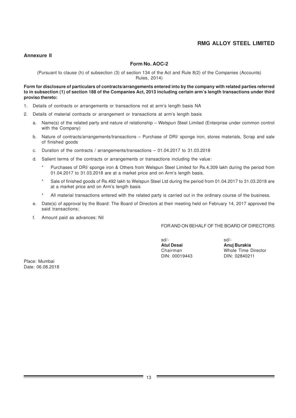### **Annexure II**

### **Form No. AOC-2**

(Pursuant to clause (h) of subsection (3) of section 134 of the Act and Rule 8(2) of the Companies (Accounts) Rules, 2014)

### **Form for disclosure of particulars of contracts/arrangements entered into by the company with related parties referred to in subsection (1) of section 188 of the Companies Act, 2013 including certain arm's length transactions under third proviso thereto:**

- 1. Details of contracts or arrangements or transactions not at arm's length basis NA
- 2. Details of material contracts or arrangement or transactions at arm's length basis
	- a. Name(s) of the related party and nature of relationship Welspun Steel Limited (Enterprise under common control with the Company)
	- b. Nature of contracts/arrangements/transactions Purchase of DRI/ sponge iron, stores materials, Scrap and sale of finished goods
	- c. Duration of the contracts / arrangements/transactions 01.04.2017 to 31.03.2018
	- d. Salient terms of the contracts or arrangements or transactions including the value:
		- Purchases of DRI/ sponge iron & Others from Welspun Steel Limited for Rs.4,309 lakh during the period from 01.04.2017 to 31.03.2018 are at a market price and on Arm's length basis.
		- Sale of finished goods of Rs.492 lakh to Welspun Steel Ltd during the period from 01.04.2017 to 31.03.2018 are at a market price and on Arm's length basis
		- All material transactions entered with the related party is carried out in the ordinary course of the business.
	- e. Date(s) of approval by the Board: The Board of Directors at their meeting held on February 14, 2017 approved the said transactions;
	- f. Amount paid as advances: Nil

FOR AND ON BEHALF OF THE BOARD OF DIRECTORS

sd/- sd/- **Atul Desai Anuj Burakia**

Chairman Whole Time Director<br>DIN: 00019443 DIN: 02840211 DIN: 02840211

Place: Mumbai Date: 06.08.2018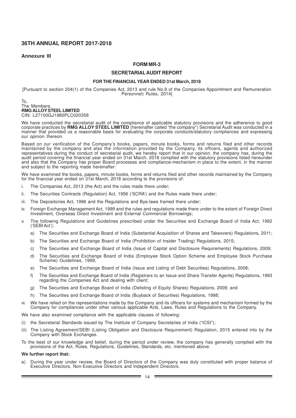### **Annexure III**

### **FORM MR-3**

### **SECRETARIALAUDIT REPORT**

#### **FOR THE FINANCIAL YEAR ENDED 31st March, 2018**

[Pursuant to section 204(1) of the Companies Act, 2013 and rule No.9 of the Companies Appointment and Remuneration Personnel) Rules, 2014]

#### To, The Members, **RMG ALLOY STEEL LIMITED** CIN: L27100GJ1980PLC020358

We have conducted the secretarial audit of the compliance of applicable statutory provisions and the adherence to good corporate practices by **RMG ALLOY STEEL LIMITED** (hereinafter called "the company") Secretarial Audit was conducted in a manner that provided us a reasonable basis for evaluating the corporate conducts/statutory compliances and expressing our opinion thereon.

Based on our verification of the Company's books, papers, minute books, forms and returns filed and other records maintained by the company and also the information provided by the Company, its officers, agents and authorized representatives during the conduct of secretarial audit, we hereby report that in our opinion, the company has, during the audit period covering the financial year ended on 31st March, 2018 complied with the statutory provisions listed hereunder and also that the Company has proper Board processes and compliance-mechanism in place to the extent, in the manner and subject to the reporting made hereinafter:

We have examined the books, papers, minute books, forms and returns filed and other records maintained by the Company for the financial year ended on 31st March, 2018 according to the provisions of:

- i. The Companies Act, 2013 (the Act) and the rules made there under;
- ii. The Securities Contracts (Regulation) Act, 1956 ('SCRA') and the Rules made there under;
- iii. The Depositories Act, 1996 and the Regulations and Bye-laws framed there under;
- iv. Foreign Exchange Management Act, 1999 and the rules and regulations made there under to the extent of Foreign Direct Investment, Overseas Direct Investment and External Commercial Borrowings;
- v. The following Regulations and Guidelines prescribed under the Securities and Exchange Board of India Act, 1992 ('SEBI Act');
	- a) The Securities and Exchange Board of India (Substantial Acquisition of Shares and Takeovers) Regulations, 2011;
	- b) The Securities and Exchange Board of India (Prohibition of Insider Trading) Regulations, 2015;
	- c) The Securities and Exchange Board of India (Issue of Capital and Disclosure Requirements) Regulations, 2009;
	- d) The Securities and Exchange Board of India (Employee Stock Option Scheme and Employee Stock Purchase Scheme) Guidelines, 1999;
	- e) The Securities and Exchange Board of India (Issue and Listing of Debt Securities) Regulations, 2008;
	- f) The Securities and Exchange Board of India (Registrars to an Issue and Share Transfer Agents) Regulations, 1993 regarding the Companies Act and dealing with client;
	- g) The Securities and Exchange Board of India (Delisting of Equity Shares) Regulations, 2009; and
	- The Securities and Exchange Board of India (Buyback of Securities) Regulations, 1998;
- vi. We have relied on the representations made by the Company and its officers for systems and mechanism formed by the Company for compliances under other various applicable Acts, Laws, Rules and Regulations to the Company.

We have also examined compliance with the applicable clauses of following:

- (i) the Secretarial Standards issued by The Institute of Company Secretaries of India ("ICSI");
- (ii) The Listing Agreement/SEBI (Listing Obligation and Disclosure Requirement) Regulation, 2015 entered into by the Company with Stock Exchanges.
- To the best of our knowledge and belief, during the period under review, the company has generally complied with the provisions of the Act, Rules, Regulations, Guidelines, Standards, etc. mentioned above.

#### **We further report that:**

a) During the year under review, the Board of Directors of the Company was duly constituted with proper balance of Executive Directors, Non-Executive Directors and Independent Directors.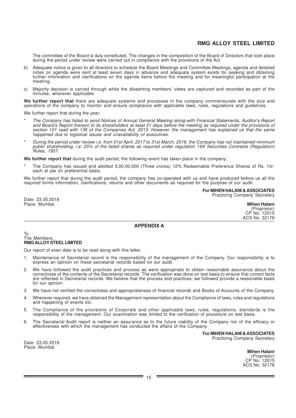The committee of the Board is duly constituted. The changes in the composition of the Board of Directors that took place during the period under review were carried out in compliance with the provisions of the Act.

- b) Adequate notice is given to all directors to schedule the Board Meetings and Committee Meetings, agenda and detailed notes on agenda were sent at least seven days in advance and adequate system exists for seeking and obtaining further information and clarifications on the agenda items before the meeting and for meaningful participation at the meeting.
- c) Majority decision is carried through while the dissenting members' views are captured and recorded as part of the minutes, wherever applicable.

**We further report that** there are adequate systems and processes in the company commensurate with the size and operations of the company to monitor and ensure compliance with applicable laws, rules, regulations and guidelines.

We further report that during the year;

- The Company has failed to send Notices of Annual General Meeting along-with Financial Statements, Auditor's Report and Board's Report thereon to its shareholders at least 21 days before the meeting as required under the provisions of section 101 read with 136 of the Companies Act, 2013. However, the management has explained us that the same happened due to logistical issues and unavailability of executives.
- During the period under review i.e. from 01st April, 2017 to 31st March, 2018, the Company has not maintained minimum public shareholding, i.e. 25% of the listed shares as required under regulation 19A Securities Contracts (Regulation) Rules, 1957.

**We further report that** during the audit period, the following event has taken place in the company;

The Company has issued and allotted 3,00,00,000 (Three crores) 12% Redeemable Preference Shares of Rs. 10/each at par on preferential basis.

We further report that during the audit period, the company has co-operated with us and have produced before us all the required forms information, clarifications, returns and other documents as required for the purpose of our audit.

> **For MIHEN HALANI & ASSOCIATES** Practicing Company Secretary

Date: 23.05.2018 Place: Mumbai

| Mihen Halani  |
|---------------|
| (Proprietor)  |
| CP No: 12015  |
| ACS No: 32176 |

## **APPENDIX A**

To, The Members, **RMG ALLOY STEEL LIMITED**

Our report of even date is to be read along with this letter.

- 1. Maintenance of Secretarial record is the responsibility of the management of the Company. Our responsibility is to express an opinion on these secretarial records based on our audit.
- 2. We have followed the audit practices and process as were appropriate to obtain reasonable assurance about the correctness of the contents of the Secretarial records. The verification was done on test basis to ensure that correct facts are reflected in Secretarial records. We believe that the process and practices, we followed provide a reasonable basis for our opinion.
- 3. We have not verified the correctness and appropriateness of financial records and Books of Accounts of the Company.
- Wherever required, we have obtained the Management representation about the Compliance of laws, rules and regulations and happening of events etc.
- 5. The Compliance of the provisions of Corporate and other applicable laws, rules, regulations, standards is the responsibility of the management. Our examination was limited to the verification of procedure on test basis.
- 6. The Secretarial Audit report is neither an assurance as to the future viability of the Company nor of the efficacy or effectiveness with which the management has conducted the affairs of the Company.

**For MIHEN HALANI & ASSOCIATES** Practicing Company Secretary

Date: 23.05.2018 Place: Mumbai

**Mihen Halani** (Proprietor) CP No: 12015 ACS No: 32176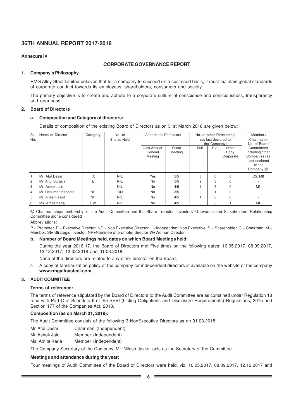### **Annexure IV**

# **CORPORATE GOVERNANCE REPORT**

### **1. Company's Philosophy**

RMG Alloy Steel Limited believes that for a company to succeed on a sustained basis, it must maintain global standards of corporate conduct towards its employees, shareholders, consumers and society.

The primary objective is to create and adhere to a corporate culture of conscience and consciousness, transparency and openness.

### **2. Board of Directors**

### **a. Composition and Category of directors:**

Details of composition of the existing Board of Directors as on 31st March 2018 are given below:

| Sr.            | Name of Director    | Category  | No. of             | <b>Attendance Particulars</b>     |                  |      |                      | No. of other Directorship  | Member/                                                                                                    |
|----------------|---------------------|-----------|--------------------|-----------------------------------|------------------|------|----------------------|----------------------------|------------------------------------------------------------------------------------------------------------|
| No.            |                     |           | <b>Shares Held</b> |                                   |                  |      | (as last declared to |                            | Chairman in                                                                                                |
|                |                     |           |                    | Last Annual<br>General<br>Meeting | Board<br>Meeting | Pub. | the Company)<br>Pvt. | Other<br>Body<br>Corporate | No. of Board/<br>Committees<br>including other<br>Companies (as<br>last declared<br>to the<br>Company) $@$ |
|                | Mr. Atul Desai      | I.C       | <b>NIL</b>         | Yes                               | 5/5              | 8    | $\Omega$             | $\Omega$                   | C5, M8                                                                                                     |
| $\overline{c}$ | Mr. Anuj Burakia    | Ε         | <b>NIL</b>         | <b>No</b>                         | 5/5              | 2    | 3                    | $\Omega$                   |                                                                                                            |
| 3              | Mr. Ashok Jain      |           | <b>NIL</b>         | <b>No</b>                         | 4/5              |      | 6                    | 0                          | M <sup>2</sup>                                                                                             |
| $\overline{4}$ | Mr. Hanuman Kanodia | <b>NP</b> | 100                | <b>No</b>                         | 3/5              | 2    |                      | 0                          |                                                                                                            |
| 5              | Mr. Aneel Lasod     | <b>NP</b> | <b>NIL</b>         | <b>No</b>                         | 4/5              |      | $\Omega$             | $\Omega$                   |                                                                                                            |
| 6              | Ms. Amita Karia     | I.W       | <b>NIL</b>         | No                                | 4/5              | 3    | $\mathbf 0$          |                            | M1                                                                                                         |

@ Chairmanship/membership of the Audit Committee and the Share Transfer, Investors' Grievance and Stakeholders' Relationship Committee alone considered

Abbreviations:

 $P =$  Promoter,  $E =$  Executive Director,  $N =$  = Non Executive Director, I = Independent Non Executive, S = Shareholder, C = Chairman, M = Member, SI= Strategic Investor, NP=Nominee of promoter director W=Woman Director.

# **b. Number of Board Meetings held, dates on which Board Meetings held:**

During the year 2016-17, the Board of Directors met Five times on the following dates: 16.05.2017, 08.09.2017, 12.12.2017, 13.02.2018 and 01.03.2018.

None of the directors are related to any other director on the Board.

c. A copy of familiarization policy of the company for independent directors is available on the website of the company **www.rmgalloysteel.com.**

# **3. AUDIT COMMITTEE**

### **Terms of reference:**

The terms of reference stipulated by the Board of Directors to the Audit Committee are as contained under Regulation 18 read with Part C of Schedule II of the SEBI (Listing Obligations and Disclosure Requirements) Regulations, 2015 and Section 177 of the Companies Act, 2013.

### **Composition (as on March 31, 2018):**

The Audit Committee consists of the following 3 NonExecutive Directors as on 31.03.2018.

Mr. Atul Desai Chairman (Independent)

Mr. Ashok Jain Member (Independent)

Ms. Amita Karia Member (Independent)

The Company Secretary of the Company, Mr. Nilesh Javker acts as the Secretary of the Committee.

### **Meetings and attendance during the year:**

Four meetings of Audit Committee of the Board of Directors were held, viz, 16.05.2017, 08.09.2017, 12.12.2017 and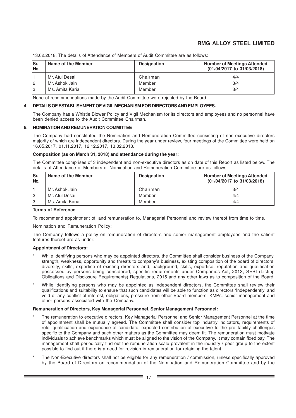| Sr.<br>INo. | Name of the Member | <b>Designation</b> | <b>Number of Meetings Attended</b><br>(01/04/2017 to 31/03/2018) |
|-------------|--------------------|--------------------|------------------------------------------------------------------|
|             | Mr. Atul Desai     | Chairman           | 4/4                                                              |
| 12          | Mr. Ashok Jain     | Member             | 3/4                                                              |
| 13          | Ms. Amita Karia    | Member             | 3/4                                                              |

13.02.2018. The details of Attendance of Members of Audit Committee are as follows:

None of recommendations made by the Audit Committee were rejected by the Board.

### **4. DETAILS OF ESTABLISHMENT OF VIGIL MECHANISM FOR DIRECTORS AND EMPLOYEES.**

The Company has a Whistle Blower Policy and Vigil Mechanism for its directors and employees and no personnel have been denied access to the Audit Committee Chairman.

### **5. NOMINATION AND REMUNERATION COMMITTEE**

The Company had constituted the Nomination and Remuneration Committee consisting of non-executive directors majority of which are independent directors. During the year under review, four meetings of the Committee were held on 16.05.2017, 01.11.2017, 12.12.2017, 13.02.2018.

### **Composition (as on March 31, 2018) and attendance during the year:**

The Committee comprises of 3 independent and non-executive directors as on date of this Report as listed below. The details of Attendance of Members of Nomination and Remuneration Committee are as follows:

| Sr.<br>No. | Name of the Member | <b>Designation</b> | <b>Number of Meetings Attended</b><br>(01/04/2017 to 31/03/2018) |
|------------|--------------------|--------------------|------------------------------------------------------------------|
|            | Mr. Ashok Jain     | Chairman           | 3/4                                                              |
| 12         | Mr. Atul Desai     | Member             | 4/4                                                              |
| 13         | Ms. Amita Karia    | Member             | 4/4                                                              |

### **Terms of Reference**

To recommend appointment of, and remuneration to, Managerial Personnel and review thereof from time to time.

Nomination and Remuneration Policy:

The Company follows a policy on remuneration of directors and senior management employees and the salient features thereof are as under:

### **Appointment of Directors:**

- While identifying persons who may be appointed directors, the Committee shall consider business of the Company, strength, weakness, opportunity and threats to company's business, existing composition of the board of directors, diversity, skills, expertise of existing directors and, background, skills, expertise, reputation and qualification possessed by persons being considered, specific requirements under Companies Act, 2013, SEBI (Listing Obligations and Disclosure Requirements) Regulations, 2015 and any other laws as to composition of the Board.
- While identifying persons who may be appointed as independent directors, the Committee shall review their qualifications and suitability to ensure that such candidates will be able to function as directors 'Independently' and void of any conflict of interest, obligations, pressure from other Board members, KMPs, senior management and other persons associated with the Company.

### **Remuneration of Directors, Key Managerial Personnel, Senior Management Personnel:**

- The remuneration to executive directors, Key Managerial Personnel and Senior Management Personnel at the time of appointment shall be mutually agreed. The Committee shall consider top industry indicators, requirements of role, qualification and experience of candidate, expected contribution of executive to the profitability challenges specific to the Company and such other matters as the Committee may deem fit. The remuneration must motivate individuals to achieve benchmarks which must be aligned to the vision of the Company. It may contain fixed pay. The management shall periodically find out the remuneration scale prevalent in the industry / peer group to the extent possible to find out if there is a need for revision in remuneration for retaining the talent.
- The Non-Executive directors shall not be eligible for any remuneration / commission, unless specifically approved by the Board of Directors on recommendation of the Nomination and Remuneration Committee and by the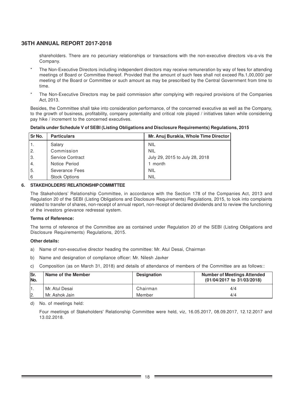shareholders. There are no pecuniary relationships or transactions with the non-executive directors vis-a-vis the Company.

- The Non-Executive Directors including independent directors may receive remuneration by way of fees for attending meetings of Board or Committee thereof. Provided that the amount of such fees shall not exceed Rs.1,00,000/ per meeting of the Board or Committee or such amount as may be prescribed by the Central Government from time to time.
- The Non-Executive Directors may be paid commission after complying with required provisions of the Companies Act, 2013.

Besides, the Committee shall take into consideration performance, of the concerned executive as well as the Company, to the growth of business, profitability, company potentiality and critical role played / initiatives taken while considering pay hike / increment to the concerned executives.

### **Details under Schedule V of SEBI (Listing Obligations and Disclosure Requirements) Regulations, 2015**

| Sr <sub>No.</sub> | <b>Particulars</b>   | Mr. Anuj Burakia, Whole Time Director |
|-------------------|----------------------|---------------------------------------|
|                   | Salary               | <b>NIL</b>                            |
| I 2.              | Commission           | <b>NIL</b>                            |
| 3.                | Service Contract     | July 29, 2015 to July 28, 2018        |
| $\overline{4}$ .  | Notice Period        | 1 month                               |
| 5.                | Severance Fees       | <b>NIL</b>                            |
| 6                 | <b>Stock Options</b> | <b>NIL</b>                            |

### **6. STAKEHOLDERS' RELATIONSHIP COMMITTEE**

The Stakeholders' Relationship Committee, in accordance with the Section 178 of the Companies Act, 2013 and Regulation 20 of the SEBI (Listing Obligations and Disclosure Requirements) Regulations, 2015, to look into complaints related to transfer of shares, non-receipt of annual report, non-receipt of declared dividends and to review the functioning of the investors grievance redressal system.

### **Terms of Reference:**

The terms of reference of the Committee are as contained under Regulation 20 of the SEBI (Listing Obligations and Disclosure Requirements) Regulations, 2015.

### **Other details:**

- a) Name of non-executive director heading the committee: Mr. Atul Desai, Chairman
- b) Name and designation of compliance officer: Mr. Nilesh Javker
- c) Composition (as on March 31, 2018) and details of attendance of members of the Committee are as follows::

| lSr.<br>No. | Name of the Member | <b>Designation</b> | <b>Number of Meetings Attended</b><br>(01/04/2017 to 31/03/2018) |
|-------------|--------------------|--------------------|------------------------------------------------------------------|
|             | l Mr. Atul Desai   | Chairman           | 4/4                                                              |
| 2.          | l Mr. Ashok Jain-  | Member             | 4/4                                                              |

d) No. of meetings held:

Four meetings of Stakeholders' Relationship Committee were held, viz, 16.05.2017, 08.09.2017, 12.12.2017 and 13.02.2018.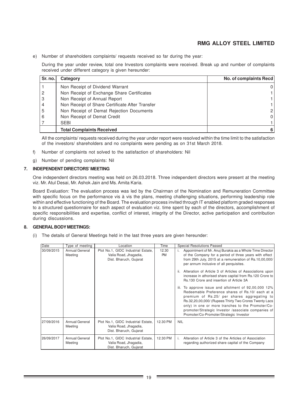e) Number of shareholders complaints/ requests received so far during the year:

During the year under review, total one Investors complaints were received. Break up and number of complaints received under different category is given hereunder:

| Sr. no. | Category                                        | No. of complaints Recd |
|---------|-------------------------------------------------|------------------------|
|         | Non Receipt of Dividend Warrant                 | 0                      |
|         | Non Receipt of Exchange Share Certificates      |                        |
| 3       | Non Receipt of Annual Report                    |                        |
| 4       | Non Receipt of Share Certificate After Transfer |                        |
| 5       | Non Receipt of Demat Rejection Documents        | $\overline{2}$         |
| 6       | Non Receipt of Demat Credit                     | 0                      |
|         | <b>SEBI</b>                                     |                        |
|         | <b>Total Complaints Received</b>                | 6                      |

All the complaints/ requests received during the year under report were resolved within the time limit to the satisfaction of the investors/ shareholders and no complaints were pending as on 31st March 2018.

- f) Number of complaints not solved to the satisfaction of shareholders: Nil
- g) Number of pending complaints: Nil

### **7. INDEPENDENT DIRECTORS' MEETING**

One independent directors meeting was held on 26.03.2018. Three independent directors were present at the meeting viz. Mr. Atul Desai, Mr. Ashok Jain and Ms. Amita Karia.

Board Evaluation: The evaluation process was led by the Chairman of the Nomination and Remuneration Committee with specific focus on the performance vis à vis the plans, meeting challenging situations, performing leadership role within and effective functioning of the Board. The evaluation process invited through IT enabled platform graded responses to a structured questionnaire for each aspect of evaluation viz. time spent by each of the directors, accomplishment of specific responsibilities and expertise, conflict of interest, integrity of the Director, active participation and contribution during discussions.

### **8. GENERAL BODY MEETINGS:**

(i) The details of General Meetings held in the last three years are given hereunder:

| Date       | Type of meeting                  | Location                                                                              | Time               | <b>Special Resolutions Passed</b>                                                                                                                                                                                                                                                                                                                                        |
|------------|----------------------------------|---------------------------------------------------------------------------------------|--------------------|--------------------------------------------------------------------------------------------------------------------------------------------------------------------------------------------------------------------------------------------------------------------------------------------------------------------------------------------------------------------------|
| 30/09/2015 | Annual General<br>Meeting        | Plot No.1, GIDC Industrial Estate,<br>Valia Road, Jhagadia,<br>Dist. Bharuch, Gujarat | 12.30<br><b>PM</b> | Appointment of Mr. Anuj Burakia as a Whole Time Director<br>of the Company for a period of three years with effect<br>from 29th July, 2015 at a remuneration of Rs.10,00,000/<br>per annum inclusive of all perquisites.                                                                                                                                                 |
|            |                                  |                                                                                       |                    | Alteration of Article 3 of Articles of Associations upon<br>ii.<br>increase in athorised share capital from Rs.120 Crore to<br>Rs.130 Crore and insertion of Article 3A                                                                                                                                                                                                  |
|            |                                  |                                                                                       |                    | iii. To approve issue and allotment of 92,00,000 12%<br>Redeemable Preference shares of Rs.10/ each at a<br>premium of Rs.25/ per shares aggregating to<br>Rs.32,20,00,000/ (Rupees Thirty Two Crores Twenty Lacs<br>only) in one or more tranches to the Promoter/Co-<br>promoter/Strategic Investor /associate companies of<br>Promoter/Co-Promoter/Strategic Investor |
| 27/09/2016 | <b>Annual General</b><br>Meeting | Plot No.1, GIDC Industrial Estate,<br>Valia Road, Jhagadia,<br>Dist. Bharuch, Gujarat | 12.30 PM           | <b>NIL</b>                                                                                                                                                                                                                                                                                                                                                               |
| 26/09/2017 | <b>Annual General</b><br>Meeting | Plot No.1, GIDC Industrial Estate,<br>Valia Road, Jhagadia,<br>Dist. Bharuch, Gujarat | 12.30 PM           | Alteration of Article 3 of the Articles of Association<br>i.<br>regarding authorized share capital of the Company                                                                                                                                                                                                                                                        |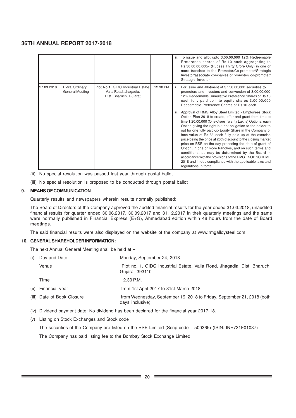|            |                                   |                                                                                       |          | ii.                 | To issue and allot upto 3,00,00,000 12% Redeemable<br>Preference shares of Rs.10 each aggregating to<br>Rs.30,00,00,000/- (Rupees Thirty Crore Only) in one or<br>more tranches to the Promoter/Co-promoter/Strategic<br>Investor/associate companies of promoter/ co-promoter/<br>Strategic Investor                                                                                                                                                                                                                                                                                                                                                                                                                                                                                                                                                                                                                                                                                                                               |
|------------|-----------------------------------|---------------------------------------------------------------------------------------|----------|---------------------|-------------------------------------------------------------------------------------------------------------------------------------------------------------------------------------------------------------------------------------------------------------------------------------------------------------------------------------------------------------------------------------------------------------------------------------------------------------------------------------------------------------------------------------------------------------------------------------------------------------------------------------------------------------------------------------------------------------------------------------------------------------------------------------------------------------------------------------------------------------------------------------------------------------------------------------------------------------------------------------------------------------------------------------|
| 27.03.2018 | Extra Ordinary<br>General Meeting | Plot No.1, GIDC Industrial Estate,<br>Valia Road, Jhagadia,<br>Dist. Bharuch, Gujarat | 12.30 PM | $\mathbf{L}$<br>ii. | For issue and allotment of 37,50,00,000 securities to<br>promoters and investors and conversion of 3,00,00,000<br>12% Redeemable Cumulative Preference Shares of Rs.10<br>each fully paid up into equity shares 3,00,00,000<br>Redeemable Preference Shares of Rs.10 each.<br>Approval of RMG Alloy Steel Limited - Employees Stock<br>Option Plan 2018 to create, offer and grant from time to<br>time 1,20,00,000 (One Crore Twenty Lakhs) Options, each<br>Option giving the right but not obligation to the holder to<br>opt for one fully paid-up Equity Share in the Company of<br>face value of Rs 6/- each fully paid up at the exercise<br>price being the price at 20% discount to the closing market<br>price on BSE on the day preceding the date of grant of<br>Option, in one or more tranches, and on such terms and<br>conditions, as may be determined by the Board in<br>accordance with the provisions of the RMG ESOP SCHEME<br>2018 and in due compliance with the applicable laws and<br>regulations in force |

- (ii) No special resolution was passed last year through postal ballot.
- (iii) No special resolution is proposed to be conducted through postal ballot

### **9. MEANS OF COMMUNICATION**

Quarterly results and newspapers wherein results normally published:

The Board of Directors of the Company approved the audited financial results for the year ended 31.03.2018, unaudited financial results for quarter ended 30.06.2017, 30.09.2017 and 31.12.2017 in their quarterly meetings and the same were normally published in Financial Express (E+G), Ahmedabad edition within 48 hours from the date of Board meetings.

The said financial results were also displayed on the website of the company at www.rmgalloysteel.com

### **10. GENERAL SHAREHOLDER INFORMATION:**

The next Annual General Meeting shall be held at –

| (i)  | Day and Date               | Monday, September 24, 2018                                                                 |
|------|----------------------------|--------------------------------------------------------------------------------------------|
|      | Venue                      | Plot no. 1, GIDC Industrial Estate, Valia Road, Jhagadia, Dist. Bharuch,<br>Gujarat 393110 |
|      | Time                       | 12.30 P.M.                                                                                 |
| (ii) | Financial year             | from 1st April 2017 to 31st March 2018                                                     |
|      | (iii) Date of Book Closure | from Wednesday, September 19, 2018 to Friday, September 21, 2018 (both<br>days inclusive)  |

- (iv) Dividend payment date: No dividend has been declared for the financial year 2017-18.
- (v) Listing on Stock Exchanges and Stock code

The securities of the Company are listed on the BSE Limited (Scrip code – 500365) (ISIN: INE731F01037)

The Company has paid listing fee to the Bombay Stock Exchange Limited.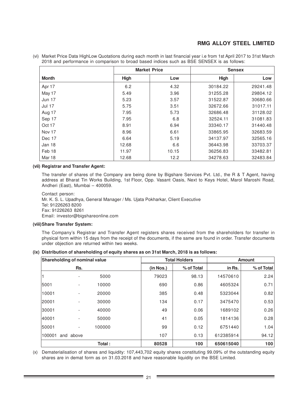|               |       | <b>Market Price</b> | <b>Sensex</b> |          |  |
|---------------|-------|---------------------|---------------|----------|--|
| <b>Month</b>  | High  | Low                 | High          | Low      |  |
| Apr 17        | 6.2   | 4.32                | 30184.22      | 29241.48 |  |
| May 17        | 5.49  | 3.96                | 31255.28      | 29804.12 |  |
| <b>Jun 17</b> | 5.23  | 3.57                | 31522.87      | 30680.66 |  |
| <b>Jul 17</b> | 5.75  | 3.51                | 32672.66      | 31017.11 |  |
| Aug 17        | 7.95  | 5.73                | 32686.48      | 31128.02 |  |
| Sep 17        | 7.95  | 6.8                 | 32524.11      | 31081.83 |  |
| Oct 17        | 8.91  | 6.94                | 33340.17      | 31440.48 |  |
| Nov 17        | 8.96  | 6.61                | 33865.95      | 32683.59 |  |
| Dec 17        | 6.64  | 5.19                | 34137.97      | 32565.16 |  |
| Jan 18        | 12.68 | 6.6                 | 36443.98      | 33703.37 |  |
| Feb 18        | 11.97 | 10.15               | 36256.83      | 33482.81 |  |
| Mar 18        | 12.68 | 12.2                | 34278.63      | 32483.84 |  |

(vi) Market Price Data HighLow Quotations during each month in last financial year i.e from 1st April 2017 to 31st March 2018 and performance in comparison to broad based indices such as BSE SENSEX is as follows:

### **(vii) Registrar and Transfer Agent:**

The transfer of shares of the Company are being done by Bigshare Services Pvt. Ltd., the R & T Agent, having address at Bharat Tin Works Building, 1st Floor, Opp. Vasant Oasis, Next to Keys Hotel, Marol Maroshi Road, Andheri (East), Mumbai – 400059.

Contact person: Mr. K. S. L. Upadhya, General Manager / Ms. Ujata Pokharkar, Client Executive Tel: 91226263 8200 Fax: 91226263 8261 Email: investor@bigshareonline.com

### **(viii)Share Transfer System:**

The Company's Registrar and Transfer Agent registers shares received from the shareholders for transfer in physical form within 15 days from the receipt of the documents, if the same are found in order. Transfer documents under objection are returned within two weeks.

### **(ix) Distribution of shareholding of equity shares as on 31st March, 2018 is as follows:**

|        | <b>Shareholding of nominal value</b> |        |           | <b>Total Holders</b> | <b>Amount</b> |            |  |
|--------|--------------------------------------|--------|-----------|----------------------|---------------|------------|--|
|        | Rs.                                  |        | (in Nos.) | % of Total           | in Rs.        | % of Total |  |
|        |                                      | 5000   | 79023     | 98.13                | 14570610      | 2.24       |  |
| 5001   |                                      | 10000  | 690       | 0.86                 | 4605324       | 0.71       |  |
| 10001  |                                      | 20000  | 385       | 0.48                 | 5323044       | 0.82       |  |
| 20001  |                                      | 30000  | 134       | 0.17                 | 3475470       | 0.53       |  |
| 30001  |                                      | 40000  | 49        | 0.06                 | 1689102       | 0.26       |  |
| 40001  |                                      | 50000  | 41        | 0.05                 | 1814136       | 0.28       |  |
| 50001  |                                      | 100000 | 99        | 0.12                 | 6751440       | 1.04       |  |
| 100001 | and above                            |        | 107       | 0.13                 | 612385914     | 94.12      |  |
|        |                                      | Total: | 80528     | 100                  | 650615040     | 100        |  |

(x) Dematerialisation of shares and liquidity: 107,443,702 equity shares constituting 99.09% of the outstanding equity shares are in demat form as on 31.03.2018 and have reasonable liquidity on the BSE Limited.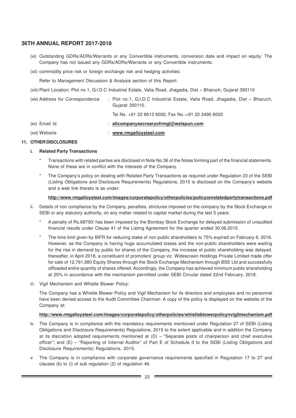- (xi) Outstanding GDRs/ADRs/Warrants or any Convertible instruments, conversion date and impact on equity: The Company has not issued any GDRs/ADRs/Warrants or any Convertible instruments.
- (xii) commodity price risk or foreign exchange risk and hedging activities:

Refer to Management Discussion & Analysis section of this Report.

(xiii) Plant Location: Plot no.1, G.I.D.C Industrial Estate, Valia Road, Jhagadia, Dist – Bharuch, Gujarat 393110

| (xiv) Address for Correspondence | : Plot no.1, G.I.D.C Industrial Estate, Valia Road, Jhagadia, Dist – Bharuch,<br>Gujarat 393110. |
|----------------------------------|--------------------------------------------------------------------------------------------------|
|                                  | Tel No. +91 22 6613 6000, Fax No.:+91 22 2490 8020                                               |
| (xv) Email Id                    | : allcompanysecreary of rmgl@welspun.com                                                         |
| (xvi) Website                    | www.rmgalloysteel.com                                                                            |

### **11. OTHER DISCLOSURES**

### **i. Related Party Transactions**

- Transactions with related parties are disclosed in Note No.36 of the Notes forming part of the financial statements. None of these are in conflict with the interests of the Company.
- The Company's policy on dealing with Related Party Transactions as required under Regulation 23 of the SEBI (Listing Obligations and Disclosure Requirements) Regulations, 2015 is disclosed on the Company's website and a web link thereto is as under:

### **http://www.rmgalloysteel.com/images/corporatepolicy/otherpolicies/policyonrelatedpartytransactions.pdf**

- ii. Details of non compliance by the Company, penalties, strictures imposed on the company by the Stock Exchange or SEBI or any statutory authority, on any matter related to capital market during the last 3 years:
	- A penalty of Rs.68700/ has been imposed by the Bombay Stock Exchange for delayed submission of unaudited financial results under Clause 41 of the Listing Agreement for the quarter ended 30.06.2015.
	- The time limit given by BIFR for reducing stake of non public shareholders to 75% expired on February 6, 2016. However, as the Company is having huge accumulated losses and the non-public shareholders were waiting for the rise in demand by public for shares of the Company, the increase of public shareholding was delayed. thereafter, in April 2018, a constituent of promoters' group viz. Widescreen Holdings Private Limited made offer for sale of 12,791,980 Equity Shares through the Stock Exchange Mechanism through BSE Ltd and successfully offloaded entire quantity of shares offered. Accordingly, the Company has achieved minimum public shareholding at 25% in accordance with the mechanism permitted under SEBI Circular dated 22nd February, 2018.
- iii. Vigil Mechanism and Whistle Blower Policy:

The Company has a Whistle Blower Policy and Vigil Mechanism for its directors and employees and no personnel have been denied access to the Audit Committee Chairman. A copy of the policy is displayed on the website of the Company at:

### **http://www.rmgalloysteel.com/images/corporatepolicy/otherpolicies/whistleblowerpolicynvigilmechanism.pdf**

- iv. The Company is in compliance with the mandatory requirements mentioned under Regulation 27 of SEBI (Listing Obligations and Disclosure Requirements) Regulations, 2015 to the extent applicable and in addition the Company at its discretion adopted requirements mentioned at  $(D)$  – "Separate posts of chairperson and chief executive officer"; and (E) – "Reporting of Internal Auditor" of Part E of Schedule II to the SEBI (Listing Obligations and Disclosure Requirements) Regulations, 2015.
- v. The Company is in compliance with corporate governance requirements specified in Regulation 17 to 27 and clauses (b) to (i) of sub regulation (2) of regulation 46.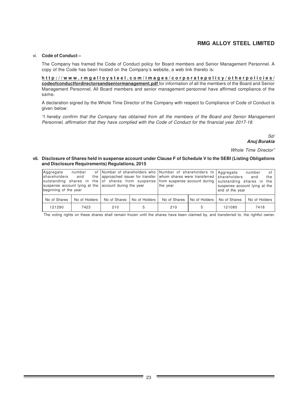#### vi. **Code of Conduct –**

The Company has framed the Code of Conduct policy for Board members and Senior Management Personnel. A copy of the Code has been hosted on the Company's website, a web link thereto is:

**http://www.rmgalloysteel.com/images/corporatepolicy/otherpolicies/ codeofconductfordirectorsandseniormanagement.pdf** for information of all the members of the Board and Senior Management Personnel. All Board members and senior management personnel have affirmed compliance of the same.

A declaration signed by the Whole Time Director of the Company with respect to Compliance of Code of Conduct is given below:

"I hereby confirm that the Company has obtained from all the members of the Board and Senior Management Personnel, affirmation that they have complied with the Code of Conduct for the financial year 2017-18.

> Sd/ **Anuj Burakia**

Whole Time Director"

#### **vii. Disclosure of Shares held in suspense account under Clause F of Schedule V to the SEBI (Listing Obligations and Disclosure Requirements) Regulations, 2015**

| Aagregate<br><i>shareholders</i><br>beginning of the year | number<br>and | suspense account lying at the account during the year |               | the year     | of Number of shareholders who Number of shareholders to Aggregate<br>the approached issuer for transfer whom shares were transferred shareholders<br>outstanding shares in the of shares from suspense from suspense account during outstanding shares in the |              | of<br>number<br>the<br>and<br>suspense account lying at the<br>end of the year |
|-----------------------------------------------------------|---------------|-------------------------------------------------------|---------------|--------------|---------------------------------------------------------------------------------------------------------------------------------------------------------------------------------------------------------------------------------------------------------------|--------------|--------------------------------------------------------------------------------|
| No of Shares                                              | No of Holders | No of Shares                                          | No of Holders | No of Shares | No of Holders                                                                                                                                                                                                                                                 | No of Shares | No of Holders                                                                  |
| 121290                                                    | 7423          | 210                                                   | 5             | 210          | 5                                                                                                                                                                                                                                                             | 121080       | 7418                                                                           |

The voting rights on these shares shall remain frozen until the shares have been claimed by, and transferred to, the rightful owner.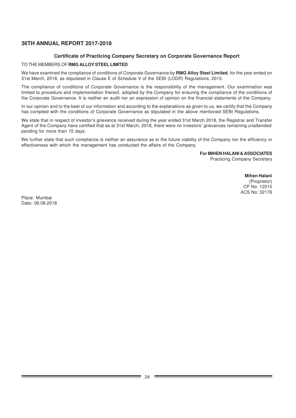### **Certificate of Practicing Company Secretary on Corporate Governance Report**

### TO THE MEMBERS OF **RMG ALLOY STEEL LIMITED**

We have examined the compliance of conditions of Corporate Governance by **RMG Alloy Steel Limited**, for the year ended on 31st March, 2018, as stipulated in Clause E of Schedule V of the SEBI (LODR) Regulations, 2015.

The compliance of conditions of Corporate Governance is the responsibility of the management. Our examination was limited to procedure and implementation thereof, adopted by the Company for ensuring the compliance of the conditions of the Corporate Governance. It is neither an audit nor an expression of opinion on the financial statements of the Company.

In our opinion and to the best of our information and according to the explanations as given to us, we certify that the Company has complied with the conditions of Corporate Governance as stipulated in the above mentioned SEBI Regulations.

We state that in respect of investor's grievance received during the year ended 31st March 2018, the Registrar and Transfer Agent of the Company have certified that as at 31st March, 2018, there were no investors' grievances remaining unattended/ pending for more than 15 days.

We further state that such compliance is neither an assurance as to the future viability of the Company nor the efficiency or effectiveness with which the management has conducted the affairs of the Company.

**For MIHEN HALANI & ASSOCIATES**

Practicing Company Secretary

 **Mihen Halani**

 (Proprietor) CP No: 12015 ACS No: 32176

Place: Mumbai Date: 06.08.2018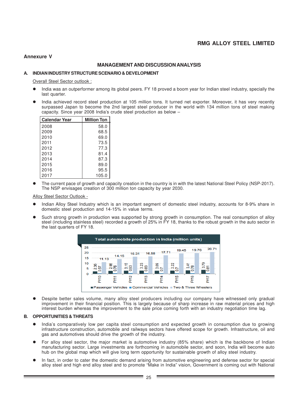### **Annexure V**

### **MANAGEMENT AND DISCUSSION ANALYSIS**

### **A. INDIAN INDUSTRY STRUCTURE SCENARIO & DEVELOPMENT**

Overall Steel Sector outlook :

- l India was an outperformer among its global peers. FY 18 proved a boom year for Indian steel industry, specially the last quarter.
- l India achieved record steel production at 105 million tons. It turned net exporter. Moreover, it has very recently surpassed Japan to become the 2nd largest steel producer in the world with 134 million tons of steel making capacity. Since year 2008 India's crude steel production as below –

| <b>Calendar Year</b> | <b>Million Ton</b> |
|----------------------|--------------------|
| 2008                 | 58.0               |
| 2009                 | 68.5               |
| 2010                 | 69.0               |
| 2011                 | 73.5               |
| 2012                 | 77.3               |
| 2013                 | 81.4               |
| 2014                 | 87.3               |
| 2015                 | 89.0               |
| 2016                 | 95.5               |
| 2017                 | 105.0              |

The current pace of growth and capacity creation in the country is in with the latest National Steel Policy (NSP-2017). The NSP envisages creation of 300 million ton capacity by year 2030.

Alloy Steel Sector Outlook -

- l Indian Alloy Steel Industry which is an important segment of domestic steel industry, accounts for 8-9% share in domestic steel production and 14-15% in value terms.
- Such strong growth in production was supported by strong growth in consumption. The real consumption of alloy steel (including stainless steel) recorded a growth of 25% in FY 18, thanks to the robust growth in the auto sector in the last quarters of FY 18.



**•** Despite better sales volume, many alloy steel producers including our company have witnessed only gradual improvement in their financial position. This is largely because of sharp increase in raw material prices and high interest burden whereas the improvement to the sale price coming forth with an industry negotiation time lag.

### **B. OPPORTUNITIES & THREATS**

- l India's comparatively low per capita steel consumption and expected growth in consumption due to growing infrastructure construction, automobile and railways sectors have offered scope for growth. Infrastructure, oil and gas and automotives should drive the growth of the industry.
- For alloy steel sector, the major market is automotive industry (85% share) which is the backbone of Indian manufacturing sector. Large investments are forthcoming in automobile sector, and soon, India will become auto hub on the global map which will give long term opportunity for sustainable growth of alloy steel industry.
- In fact, in order to cater the domestic demand arising from automotive engineering and defense sector for special alloy steel and high end alloy steel and to promote "Make in India" vision, Government is coming out with National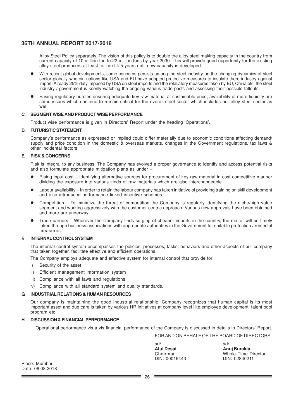Alloy Steel Policy separately. The vision of this policy is to double the alloy steel making capacity in the country from current capacity of 10 million ton to 22 million tons by year 2030. This will provide good opportunity for the existing alloy steel producers at least for next 4-5 years until new capacity is developed.

- With recent global developments, some concerns persists among the steel industry on the changing dynamics of steel sector globally wherein nations like USA and EU have adopted protective measures to insulate there industry against import. Already 25% duty imposed by USA on steel imports and the retaliatory measures taken by EU, China etc. the steel industry / government is keenly watching the ongoing various trade pacts and assessing their possible fallouts.
- Easing regulatory hurdles ensuring adequate key raw material at sustainable price, availability of more liquidity are some issues which continue to remain critical for the overall steel sector which includes our alloy steel sector as well.

### **C. SEGMENT WISE AND PRODUCT WISE PERFORMANCE**

Product wise performance is given in Directors' Report under the heading 'Operations'.

### **D. FUTURISTIC STATEMENT**

Company's performance as expressed or implied could differ materially due to economic conditions affecting demand/ supply and price condition in the domestic & overseas markets, changes in the Government regulations, tax laws & other incidental factors.

### **E. RISK & CONCERNS**

Risk is integral to any business. The Company has evolved a proper governance to identify and access potential risks and also formulate appropriate mitigation plans as under –

- Rising input cost Identifying alternative sources for procurement of key raw material in cost competitive manner dividing the exposure into various kinds of raw materials which are also interchangeable.
- Labour availability In order to retain the labour company has taken initiative of providing training on skill development and also introduced performance linked incentive schemes.
- l Competition To minimize the threat of competition the Company is regularly identifying the niche/high value segment and working aggressively with the customer centric approach. Various new approvals have been obtained and more are underway.
- l Trade barriers Wherever the Company finds surging of cheaper imports in the country, the matter will be timely taken through business associations with appropriate authorities in the Government for suitable protection / remedial measures.

### **F. INTERNAL CONTROL SYSTEM**

The internal control system encompasses the policies, processes, tasks, behaviors and other aspects of our company that taken together, facilitate effective and efficient operations.

The Company employs adequate and effective system for internal control that provide for:

- i) Security of the asset
- ii) Efficient management information system
- iii) Compliance with all laws and regulations
- iv) Compliance with all standard system and quality standards.

### **G. INDUSTRIAL RELATIONS & HUMAN RESOURCES**

Our company is maintaining the good industrial relationship. Company recognizes that human capital is its most important asset and due care is taken by various HR initiatives at company level like employee development, talent pool program etc.

### **H. DISCUSSION & FINANCIAL PERFORMANCE**

Operational performance vis a vis financial performance of the Company is discussed in details in Directors' Report.

FOR AND ON BEHALF OF THE BOARD OF DIRECTORS

| $sd/-$            | sd/-                |
|-------------------|---------------------|
| <b>Atul Desai</b> | Anuj Burakia        |
| Chairman          | Whole Time Director |
| DIN: 00019443     | DIN: 02840211       |

Place: Mumbai Date: 06.08.2018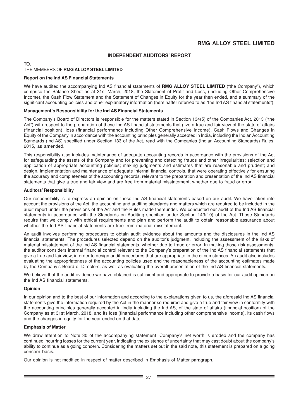### **INDEPENDENT AUDITORS' REPORT**

#### TO, THE MEMBERS OF **RMG ALLOY STEEL LIMITED**

### **Report on the Ind AS Financial Statements**

We have audited the accompanying Ind AS financial statements of **RMG ALLOY STEEL LIMITED** ("the Company"), which comprise the Balance Sheet as at 31st March, 2018, the Statement of Profit and Loss, (including Other Comprehensive Income), the Cash Flow Statement and the Statement of Changes in Equity for the year then ended, and a summary of the significant accounting policies and other explanatory information (hereinafter referred to as "the Ind AS financial statements").

### **Management's Responsibility for the Ind AS Financial Statements**

The Company's Board of Directors is responsible for the matters stated in Section 134(5) of the Companies Act, 2013 ("the Act") with respect to the preparation of these Ind AS financial statements that give a true and fair view of the state of affairs (financial position), loss (financial performance including Other Comprehensive Income), Cash Flows and Changes in Equity of the Company in accordance with the accounting principles generally accepted in India, including the Indian Accounting Standards (Ind AS) specified under Section 133 of the Act, read with the Companies (Indian Accounting Standards) Rules, 2015, as amended.

This responsibility also includes maintenance of adequate accounting records in accordance with the provisions of the Act for safeguarding the assets of the Company and for preventing and detecting frauds and other irregularities; selection and application of appropriate accounting policies; making judgments and estimates that are reasonable and prudent; and design, implementation and maintenance of adequate internal financial controls, that were operating effectively for ensuring the accuracy and completeness of the accounting records, relevant to the preparation and presentation of the Ind AS financial statements that give a true and fair view and are free from material misstatement, whether due to fraud or error.

### **Auditors' Responsibility**

Our responsibility is to express an opinion on these Ind AS financial statements based on our audit. We have taken into account the provisions of the Act, the accounting and auditing standards and matters which are required to be included in the audit report under the provisions of the Act and the Rules made thereunder. We conducted our audit of the Ind AS financial statements in accordance with the Standards on Auditing specified under Section 143(10) of the Act. Those Standards require that we comply with ethical requirements and plan and perform the audit to obtain reasonable assurance about whether the Ind AS financial statements are free from material misstatement.

An audit involves performing procedures to obtain audit evidence about the amounts and the disclosures in the Ind AS financial statements. The procedures selected depend on the auditor's judgment, including the assessment of the risks of material misstatement of the Ind AS financial statements, whether due to fraud or error. In making those risk assessments, the auditor considers internal financial control relevant to the Company's preparation of the Ind AS financial statements that give a true and fair view, in order to design audit procedures that are appropriate in the circumstances. An audit also includes evaluating the appropriateness of the accounting policies used and the reasonableness of the accounting estimates made by the Company's Board of Directors, as well as evaluating the overall presentation of the Ind AS financial statements.

We believe that the audit evidence we have obtained is sufficient and appropriate to provide a basis for our audit opinion on the Ind AS financial statements.

### **Opinion**

In our opinion and to the best of our information and according to the explanations given to us, the aforesaid Ind AS financial statements give the information required by the Act in the manner so required and give a true and fair view in conformity with the accounting principles generally accepted in India including the Ind AS, of the state of affairs (financial position) of the Company as at 31st March, 2018, and its loss (financial performance including other comprehensive income), its cash flows and the changes in equity for the year ended on that date.

### **Emphasis of Matter**

We draw attention to Note 30 of the accompanying statement; Company's net worth is eroded and the company has continued incurring losses for the current year, indicating the existence of uncertainty that may cast doubt about the company's ability to continue as a going concern. Considering the matters set out in the said note, this statement is prepared on a going concern basis.

Our opinion is not modified in respect of matter described in Emphasis of Matter paragraph.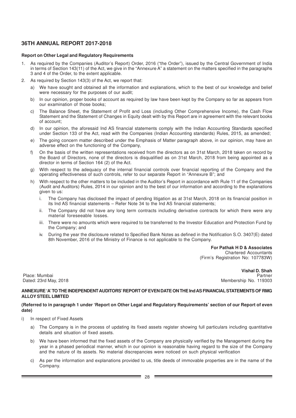### **Report on Other Legal and Regulatory Requirements**

- 1. As required by the Companies (Auditor's Report) Order, 2016 ("the Order"), issued by the Central Government of India in terms of Section 143(11) of the Act, we give in the "Annexure A" a statement on the matters specified in the paragraphs 3 and 4 of the Order, to the extent applicable.
- 2. As required by Section 143(3) of the Act, we report that:
	- a) We have sought and obtained all the information and explanations, which to the best of our knowledge and belief were necessary for the purposes of our audit;
	- b) In our opinion, proper books of account as required by law have been kept by the Company so far as appears from our examination of those books;
	- c) The Balance Sheet, the Statement of Profit and Loss (including Other Comprehensive Income), the Cash Flow Statement and the Statement of Changes in Equity dealt with by this Report are in agreement with the relevant books of account;
	- d) In our opinion, the aforesaid Ind AS financial statements comply with the Indian Accounting Standards specified under Section 133 of the Act, read with the Companies (Indian Accounting standards) Rules, 2015, as amended;
	- e) The going concern matter described under the Emphasis of Matter paragraph above, in our opinion, may have an adverse effect on the functioning of the Company,
	- f) On the basis of the written representations received from the directors as on 31st March, 2018 taken on record by the Board of Directors, none of the directors is disqualified as on 31st March, 2018 from being appointed as a director in terms of Section 164 (2) of the Act.
	- g) With respect to the adequacy of the internal financial controls over financial reporting of the Company and the operating effectiveness of such controls, refer to our separate Report in "Annexure B"; and
	- h) With respect to the other matters to be included in the Auditor's Report in accordance with Rule 11 of the Companies (Audit and Auditors) Rules, 2014 in our opinion and to the best of our information and according to the explanations given to us:
		- i. The Company has disclosed the impact of pending litigation as at 31st March, 2018 on its financial position in its Ind AS financial statements – Refer Note 34 to the Ind AS financial statements;
		- ii. The Company did not have any long term contracts including derivative contracts for which there were any material foreseeable losses.
		- iii. There were no amounts which were required to be transferred to the Investor Education and Protection Fund by the Company; and
		- iv. During the year the disclosure related to Specified Bank Notes as defined in the Notification S.O. 3407(E) dated 8th November, 2016 of the Ministry of Finance is not applicable to the Company.

**For Pathak H D & Associates** Chartered Accountants (Firm's Registration No: 107783W)

 **Vishal D. Shah** Place: Mumbai Partner Dated: 23rd May, 2018 Membership No. 119303

### **ANNEXURE 'A' TO THE INDEPENDENT AUDITORS' REPORT OF EVEN DATE ON THE Ind AS FINANCIAL STATEMENTS OF RMG ALLOY STEEL LIMITED**

### **(Referred to in paragraph 1 under 'Report on Other Legal and Regulatory Requirements' section of our Report of even date)**

i) In respect of Fixed Assets

- a) The Company is in the process of updating its fixed assets register showing full particulars including quantitative details and situation of fixed assets.
- We have been informed that the fixed assets of the Company are physically verified by the Management during the year in a phased periodical manner, which in our opinion is reasonable having regard to the size of the Company and the nature of its assets. No material discrepancies were noticed on such physical verification
- As per the information and explanations provided to us, title deeds of immovable properties are in the name of the Company.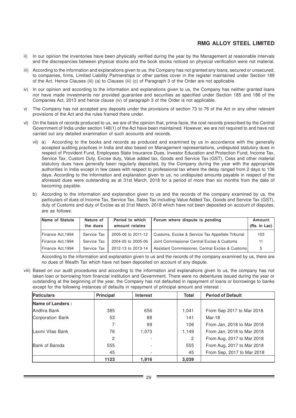- ii) In our opinion the inventories have been physically verified during the year by the Management at reasonable intervals and the discrepancies between physical stocks and the book stocks noticed on physical verification were not material.
- iii) According to the information and explanations given to us, the Company has not granted any loans, secured or unsecured, to companies, firms, Limited Liability Partnerships or other parties cover in the register maintained under Section 189 of the Act. Hence Clauses (iii) (a) to Clauses (iii) (c) of Paragraph 3 of the Order are not applicable.
- iv) In our opinion and according to the information and explanations given to us, the Company has neither granted loans nor have made investments nor provided guarantee and securities as specified under Section 185 and 186 of the Companies Act, 2013 and hence clause (iv) of paragraph 3 of the Order is not applicable.
- v) The Company has not accepted any deposits under the provisions of section 73 to 76 of the Act or any other relevant provisions of the Act and the rules framed there under.
- vi) On the basis of records produced to us, we are of the opinion that, prima facie, the cost records prescribed by the Central Government of India under section 148(1) of the Act have been maintained. However, we are not required to and have not carried out any detailed examination of such accounts and records.
	- vii) a) According to the books and records as produced and examined by us in accordance with the generally accepted auditing practices in India and also based on Management representations, undisputed statutory dues in respect of Provident Fund, Employees State Insurance Dues, Investor Education and Protection Fund, Income Tax, Service Tax, Custom Duty, Excise duty, Value added tax, Goods and Service Tax (GST), Cess and other material statutory dues have generally been regularly deposited, by the Company during the year with the appropriate authorities in India except in few cases with respect to professional tax where the delay ranged from 2 days to 136 days. According to the information and explanation given to us, no undisputed amounts payable in respect of the aforesaid dues were outstanding as at 31st March, 2018 for a period of more than six months from the date of becoming payable.
	- b) According to the information and explanation given to us and the records of the company examined by us, the particulars of dues of Income Tax, Service Tax, Sales Tax including Value Added Tax, Goods and Service Tax (GST), duty of Customs and duty of Excise as at 31st March, 2018 which have not been deposited on account of disputes, are as follows:

| Name of Statute   | Period to which<br>Nature of |                    | Forum where dispute is pending                   | Amount       |
|-------------------|------------------------------|--------------------|--------------------------------------------------|--------------|
|                   | the dues                     | amount relates     |                                                  | (Rs. in Lac) |
| Finance Act,1994  | Service Tax                  | 2005-06 to 2011-12 | Customs, Excise & Service Tax Appellate Tribunal | 103          |
| Finance Act,1994  | Service Tax                  | 2004-05 to 2005-06 | Joint Commissioner Central Excise & Customs      | 11           |
| Finance Act, 1994 | Service Tax                  | 2012-13 to 2013-14 | Assistant Commissioner, Central Excise & Customs | 5            |

According to the information and explanation given to us and the records of the company examined by us, there are no dues of Wealth Tax which have not been deposited on account of any dispute.

viii) Based on our audit procedures and according to the information and explanations given to us, the company has not taken loan or borrowing from financial institution and Government. There were no debentures issued during the year or outstanding at the beginning of the year. the Company has not defaulted in repayment of loans or borrowings to banks except for the following instances of defaults in repayment of principal amount and interest :

| <b>Paticulars</b> | <b>Principal</b> | <b>Interest</b> | <b>Total</b> | <b>Period of Default</b>   |
|-------------------|------------------|-----------------|--------------|----------------------------|
| Name of Landers:  |                  |                 |              |                            |
| Andhra Bank       | 385              | 656             | 1,041        | From Sep 2017 to Mar 2018  |
| Corporation Bank  | 53               | 88              | 141          | Mar-18                     |
|                   |                  | 99              | 106          | From Jan, 2018 to Mar 2018 |
| Laxmi Vilas Bank  | 76               | 1,073           | 1,149        | From Jan, 2018 to Mar 2018 |
|                   | $\mathcal{P}$    |                 | 2            | From Aug, 2017 to Mar 2018 |
| Bank of Baroda    | 555              |                 | 555          | From Aug, 2017 to Mar 2018 |
|                   | 45               |                 | 45           | From Sep, 2017 to Mar 2018 |
|                   | 1123             | 1,916           | 3,039        |                            |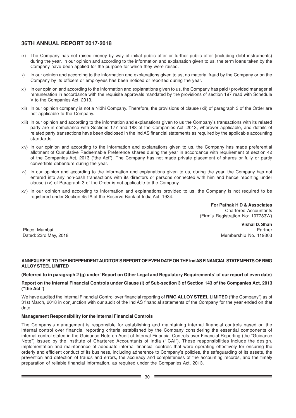- ix) The Company has not raised money by way of initial public offer or further public offer (including debt instruments) during the year. In our opinion and according to the information and explanation given to us, the term loans taken by the Company have been applied for the purpose for which they were raised.
- x) In our opinion and according to the information and explanations given to us, no material fraud by the Company or on the Company by its officers or employees has been noticed or reported during the year.
- xi) In our opinion and according to the information and explanations given to us, the Company has paid / provided managerial remuneration in accordance with the requisite approvals mandated by the provisions of section 197 read with Schedule V to the Companies Act, 2013.
- xii) In our opinion company is not a Nidhi Company. Therefore, the provisions of clause (xii) of paragraph 3 of the Order are not applicable to the Company.
- xiii) In our opinion and according to the information and explanations given to us the Company's transactions with its related party are in compliance with Sections 177 and 188 of the Companies Act, 2013, wherever applicable, and details of related party transactions have been disclosed in the Ind AS financial statements as required by the applicable accounting standards.
- xiv) In our opinion and according to the information and explanations given to us, the Company has made preferential allotment of Cumulative Redeemable Preference shares during the year in accordance with requirement of section 42 of the Companies Act, 2013 ("the Act"). The Company has not made private placement of shares or fully or partly convertible debenture during the year.
- xv) In our opinion and according to the information and explanations given to us, during the year, the Company has not entered into any non-cash transactions with its directors or persons connected with him and hence reporting under clause (xv) of Paragraph 3 of the Order is not applicable to the Company
- xvi) In our opinion and according to information and explanations provided to us, the Company is not required to be registered under Section 45-IA of the Reserve Bank of India Act, 1934.

**For Pathak H D & Associates** Chartered Accountants (Firm's Registration No: 107783W)

**Vishal D. Shah** Place: Mumbai Partner Dated: 23rd May, 2018 Membership No. 119303

### **ANNEXURE 'B' TO THE INDEPENDENT AUDITOR'S REPORT OF EVEN DATE ON THE Ind AS FINANCIAL STATEMENTS OF RMG ALLOY STEEL LIMITED**

### **(Referred to in paragraph 2 (g) under 'Report on Other Legal and Regulatory Requirements' of our report of even date)**

### **Report on the Internal Financial Controls under Clause (i) of Sub-section 3 of Section 143 of the Companies Act, 2013 ("the Act")**

We have audited the Internal Financial Control over financial reporting of **RMG ALLOY STEEL LIMITED** ("the Company") as of 31st March, 2018 in conjunction with our audit of the Ind AS financial statements of the Company for the year ended on that date.

### **Management Responsibility for the Internal Financial Controls**

The Company's management is responsible for establishing and maintaining internal financial controls based on the internal control over financial reporting criteria established by the Company considering the essential components of internal control stated in the Guidance Note on Audit of Internal Financial Controls over Financial Reporting (the "Guidance Note") issued by the Institute of Chartered Accountants of India ("ICAI"). These responsibilities include the design, implementation and maintenance of adequate internal financial controls that were operating effectively for ensuring the orderly and efficient conduct of its business, including adherence to Company's policies, the safeguarding of its assets, the prevention and detection of frauds and errors, the accuracy and completeness of the accounting records, and the timely preparation of reliable financial information, as required under the Companies Act, 2013.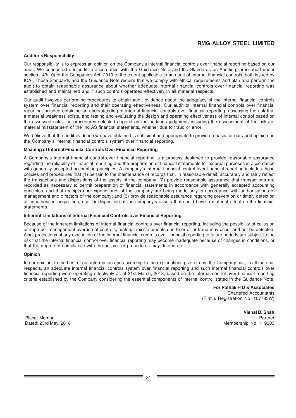### **Auditor's Responsibility**

Our responsibility is to express an opinion on the Company's internal financial controls over financial reporting based on our audit. We conducted our audit in accordance with the Guidance Note and the Standards on Auditing, prescribed under section 143(10) of the Companies Act, 2013 to the extent applicable to an audit of internal financial controls, both issued by ICAI. Those Standards and the Guidance Note require that we comply with ethical requirements and plan and perform the audit to obtain reasonable assurance about whether adequate internal financial controls over financial reporting was established and maintained and if such controls operated effectively in all material respects.

Our audit involves performing procedures to obtain audit evidence about the adequacy of the internal financial controls system over financial reporting and their operating effectiveness. Our audit of internal financial controls over financial reporting included obtaining an understanding of internal financial controls over financial reporting, assessing the risk that a material weakness exists, and testing and evaluating the design and operating effectiveness of internal control based on the assessed risk. The procedures selected depend on the auditor's judgment, including the assessment of the risks of material misstatement of the Ind AS financial statements, whether due to fraud or error.

We believe that the audit evidence we have obtained is sufficient and appropriate to provide a basis for our audit opinion on the Company's internal financial controls system over financial reporting.

### **Meaning of Internal Financial Controls Over Financial Reporting**

A Company's internal financial control over financial reporting is a process designed to provide reasonable assurance regarding the reliability of financial reporting and the preparation of financial statements for external purposes in accordance with generally accepted accounting principles. A company's internal financial control over financial reporting includes those policies and procedures that (1) pertain to the maintenance of records that, in reasonable detail, accurately and fairly reflect the transactions and dispositions of the assets of the company; (2) provide reasonable assurance that transactions are recorded as necessary to permit preparation of financial statements in accordance with generally accepted accounting principles, and that receipts and expenditures of the company are being made only in accordance with authorisations of management and directors of the company; and (3) provide reasonable assurance regarding prevention or timely detection of unauthorised acquisition, use, or disposition of the company's assets that could have a material effect on the financial statements.

### **Inherent Limitations of Internal Financial Controls over Financial Reporting**

Because of the inherent limitations of internal financial controls over financial reporting, including the possibility of collusion or improper management override of controls, material misstatements due to error or fraud may occur and not be detected. Also, projections of any evaluation of the internal financial controls over financial reporting to future periods are subject to the risk that the internal financial control over financial reporting may become inadequate because of changes in conditions, or that the degree of compliance with the policies or procedures may deteriorate.

### **Opinion**

In our opinion, to the best of our information and according to the explanations given to us, the Company has, in all material respects, an adequate internal financial controls system over financial reporting and such internal financial controls over financial reporting were operating effectively as at 31st March, 2018, based on the internal control over financial reporting criteria established by the Company considering the essential components of internal control stated in the Guidance Note.

> **For Pathak H D & Associates** Chartered Accountants (Firm's Registration No: 107783W)

**Vishal D. Shah** Place: Mumbai Partner Dated: 23rd May, 2018 Membership No. 119303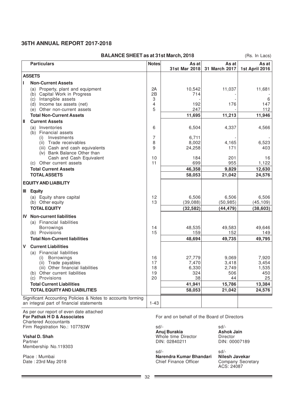| <b>BALANCE SHEET as at 31st March, 2018</b><br>(Rs. In Lacs) |                                                                                      |              |                        |                        |                         |  |
|--------------------------------------------------------------|--------------------------------------------------------------------------------------|--------------|------------------------|------------------------|-------------------------|--|
|                                                              | <b>Particulars</b>                                                                   | <b>Notes</b> | As at<br>31st Mar 2018 | As at<br>31 March 2017 | As at<br>1st April 2016 |  |
|                                                              | <b>ASSETS</b>                                                                        |              |                        |                        |                         |  |
| п                                                            | <b>Non-Current Assets</b>                                                            |              |                        |                        |                         |  |
|                                                              | (a) Property, plant and equipment<br>(b) Capital Work in Progress                    | 2A<br>2B     | 10,542<br>714          | 11,037                 | 11,681                  |  |
|                                                              | (c) Intangible assets<br>(d) Income tax assets (net)<br>(e) Other non-current assets | 3<br>4<br>5  | 192<br>247             | 176                    | 6<br>147<br>112         |  |
|                                                              | <b>Total Non-Current Assets</b>                                                      |              | 11,695                 | 11,213                 | 11,946                  |  |
| Ш                                                            | <b>Current Assets</b>                                                                |              |                        |                        |                         |  |
|                                                              | Inventories<br>(a)<br>(b) Financial assets                                           | 6            | 6,504                  | 4,337                  | 4,566                   |  |
|                                                              | Investments<br>(i)                                                                   | 7            | 6.711                  |                        |                         |  |
|                                                              | Trade receivables<br>(ii)                                                            | 8            | 8,002                  | 4,165                  | 6,523                   |  |
|                                                              | (iii) Cash and cash equivalents<br>(iv) Bank Balance Other than                      | 9            | 24,258                 | 171                    | 403                     |  |
|                                                              | Cash and Cash Equivalent                                                             | 10           | 184                    | 201                    | 16                      |  |
|                                                              | (c) Other current assets                                                             | 11           | 699                    | 955<br>9,829           | 1,122                   |  |
|                                                              | <b>Total Current Assets</b><br><b>TOTAL ASSETS</b>                                   |              | 46,358                 |                        | 12,630<br>24,576        |  |
|                                                              |                                                                                      |              | 58,053                 | 21,042                 |                         |  |
|                                                              | <b>EQUITY AND LIABILITY</b>                                                          |              |                        |                        |                         |  |
|                                                              | <b>III</b> Equity                                                                    |              |                        |                        |                         |  |
|                                                              | (a) Equity share capital                                                             | 12           | 6,506                  | 6,506                  | 6,506                   |  |
|                                                              | (b) Other equity                                                                     | 13           | (39,088)               | (50, 985)              | (45,109)                |  |
|                                                              | <b>TOTAL EQUITY</b>                                                                  |              | (32, 582)              | (44, 479)              | (38.603)                |  |
| <b>IV</b>                                                    | <b>Non-current liabilities</b><br>(a) Financial liabilities                          |              |                        |                        |                         |  |
|                                                              | Borrowings                                                                           | 14           | 48,535                 | 49,583                 | 49,646                  |  |
|                                                              | (b) Provisions                                                                       | 15           | 159                    | 152                    | 149                     |  |
|                                                              | <b>Total Non-Current liabilities</b>                                                 |              | 48.694                 | 49.735                 | 49.795                  |  |
| V                                                            | <b>Current Liabilities</b>                                                           |              |                        |                        |                         |  |
|                                                              | (a) Financial liabilities                                                            |              |                        |                        |                         |  |
|                                                              | <b>Borrowings</b><br>(i)                                                             | 16           | 27,779                 | 9,069                  | 7,920                   |  |
|                                                              | Trade payables<br>(ii)                                                               | 17           | 7,470                  | 3,418                  | 3,454                   |  |
|                                                              | (iii) Other financial liabilities<br>(b) Other current liabilities                   | 18<br>19     | 6,330<br>324           | 2,749<br>506           | 1,535<br>450            |  |
|                                                              | (c) Provisions                                                                       | 20           | 38                     | 44                     | 25                      |  |
|                                                              | <b>Total Current Liabilities</b>                                                     |              | 41,941                 | 15,786                 | 13,384                  |  |
|                                                              | <b>TOTAL EQUITY AND LIABILITIES</b>                                                  |              | 58,053                 | 21,042                 | 24,576                  |  |
|                                                              | Significant Accounting Policies & Notes to accounts forming                          |              |                        |                        |                         |  |
|                                                              | an integral part of financial statements                                             | $1 - 43$     |                        |                        |                         |  |

As per our report of even date attached<br>For Pathak H D & Associates Chartered Accountants Firm Registration No.: 107783W sd/-<br>Firm Registration No.: 107783W sd/-<br>**Anuj Burakia** and Sandy Ashok Jain

**Vishal D. Shah Vishal D. Shah** Whole time Director Director Director Director Director **Director Partner Partner** 2000/2189 Membership No.119303

Date : 23rd May 2018 Chief Finance Officer

For and on behalf of the Board of Directors

**Anuj Burakia Ashok J**<br>
Whole time Director **Director** DIN: 02840211

sd/- sd/- Place : Mumbai **Narendra Kumar Bhandari Nilesh Javekar**

**Company Secretary<br>ACS: 24087** 

۳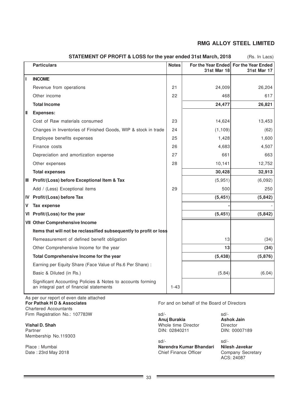|    | <b>Particulars</b>                                                                                      | <b>Notes</b> | <b>31st Mar 18</b> | For the Year Ended For the Year Ended<br>31st Mar 17 |
|----|---------------------------------------------------------------------------------------------------------|--------------|--------------------|------------------------------------------------------|
| L  | <b>INCOME</b>                                                                                           |              |                    |                                                      |
|    | Revenue from operations                                                                                 | 21           | 24,009             | 26,204                                               |
|    | Other income                                                                                            | 22           | 468                | 617                                                  |
|    | <b>Total Income</b>                                                                                     |              | 24,477             | 26,821                                               |
| H  | <b>Expenses:</b>                                                                                        |              |                    |                                                      |
|    | Cost of Raw materials consumed                                                                          | 23           | 14,624             | 13,453                                               |
|    | Changes in Inventories of Finished Goods, WIP & stock in trade                                          | 24           | (1, 109)           | (62)                                                 |
|    | Employee benefits expenses                                                                              | 25           | 1,428              | 1,600                                                |
|    | Finance costs                                                                                           | 26           | 4,683              | 4,507                                                |
|    | Depreciation and amortization expense                                                                   | 27           | 661                | 663                                                  |
|    | Other expenses                                                                                          | 28           | 10,141             | 12,752                                               |
|    | <b>Total expenses</b>                                                                                   |              | 30,428             | 32,913                                               |
| Ш. | Profit/(Loss) before Exceptional Item & Tax                                                             |              | (5,951)            | (6,092)                                              |
|    | Add / (Less) Exceptional items                                                                          | 29           | 500                | 250                                                  |
| IV | Profit/(Loss) before Tax                                                                                |              | (5, 451)           | (5, 842)                                             |
| V  | <b>Tax expense</b>                                                                                      |              |                    |                                                      |
|    | VI Profit/(Loss) for the year                                                                           |              | (5, 451)           | (5,842)                                              |
|    | <b>VII</b> Other Comprehensive Income                                                                   |              |                    |                                                      |
|    | Items that will not be reclassified subsequently to profit or loss                                      |              |                    |                                                      |
|    | Remeasurement of defined benefit obligation                                                             |              | 13                 | (34)                                                 |
|    | Other Comprehensive Income for the year                                                                 |              | 13                 | (34)                                                 |
|    | Total Comprehensive Income for the year                                                                 |              | (5, 438)           | (5,876)                                              |
|    | Earning per Equity Share (Face Value of Rs.6 Per Share) :                                               |              |                    |                                                      |
|    | Basic & Diluted (in Rs.)                                                                                |              | (5.84)             | (6.04)                                               |
|    | Significant Accounting Policies & Notes to accounts forming<br>an integral part of financial statements | $1 - 43$     |                    |                                                      |

**STATEMENT OF PROFIT & LOSS for the year ended 31st March, 2018** (Rs. In Lacs)

As per our report of even date attached<br>For Pathak H D & Associates Chartered Accountants Firm Registration No.: 107783W sd/-<br> **Anui Burakia** and Sales Ashok Jain

**Vishal D. Shah Vishal D. Shah** Whole time Director Director Director Director Director **Director** DIN: 000 Membership No.119303

Date:  $23rd$  May  $2018$ 

For and on behalf of the Board of Directors

**Anuj Burakia** 

sd/-<br>Narendra Kumar Bhandari — Nilesh Javekar Place : Mumbai **Narendra Kumar Bhandari Nilesh Javekar**

DIN: 00007189

ACS: 24087

 $\overline{\phantom{a}}$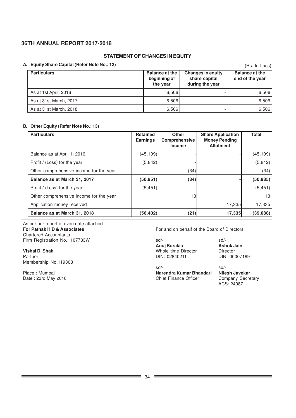### **STATEMENT OF CHANGES IN EQUITY**

### **A. Equity Share Capital (Refer Note No.: 12)**

| <b>Equity Share Capital (Refer Note No.: 12)</b> |                                                   |                                                              | (Rs. In Lacs)                            |
|--------------------------------------------------|---------------------------------------------------|--------------------------------------------------------------|------------------------------------------|
| <b>Particulars</b>                               | <b>Balance at the</b><br>beginning of<br>the year | <b>Changes in equity</b><br>share capital<br>during the year | <b>Balance at the</b><br>end of the year |
| As at 1st April, 2016                            | 6.506                                             |                                                              | 6,506                                    |
| As at 31st March, 2017                           | 6,506                                             |                                                              | 6,506                                    |
| As at 31st March, 2018                           | 6,506                                             |                                                              | 6,506                                    |

### **B. Other Equity (Refer Note No.: 13)**

| <b>Particulars</b>                      | <b>Retained</b><br><b>Earnings</b> | <b>Other</b><br><b>Comprehensive</b><br><b>Income</b> | <b>Share Application</b><br><b>Money Pending</b><br><b>Allotment</b> | <b>Total</b> |
|-----------------------------------------|------------------------------------|-------------------------------------------------------|----------------------------------------------------------------------|--------------|
| Balance as at April 1, 2016             | (45,109)                           |                                                       |                                                                      | (45, 109)    |
| Profit / (Loss) for the year            | (5,842)                            |                                                       |                                                                      | (5, 842)     |
| Other comprehensive income for the year |                                    | (34)                                                  |                                                                      | (34)         |
| Balance as at March 31, 2017            | (50, 951)                          | (34)                                                  |                                                                      | (50, 985)    |
| Profit / (Loss) for the year            | (5, 451)                           |                                                       |                                                                      | (5, 451)     |
| Other comprehensive income for the year |                                    | 13                                                    |                                                                      | 13           |
| Application money received              |                                    |                                                       | 17,335                                                               | 17,335       |
| Balance as at March 31, 2018            | (56,402)                           | (21)                                                  | 17,335                                                               | (39,088)     |

As per our report of even date attached<br>For Pathak H D & Associates Chartered Accountants

**Vishal D. Shah Whole time Director Contracts and Music Contracts Whole time Director Contracts and Music Contracts and Music Contracts and Music Contracts and Music Contracts and Music Contracts and Music Contracts and Mu** Partner **DIN: 02840211** DIN: 02840211 DIN: 00007189 Membership No.119303

For and on behalf of the Board of Directors

Firm Registration No.: 107783W sd/- sd/- **Anuj Burakia Ashok J**<br>
Whole time Director **Director** 

sd/- sd/- Place : Mumbai **Narendra Kumar Bhandari Nilesh Javekar** Chief Finance Officer

ACS: 24087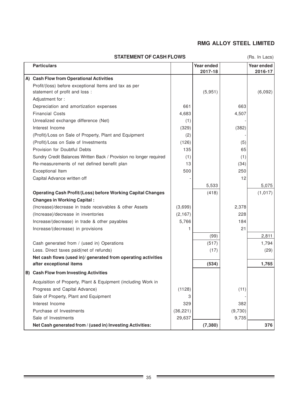### **STATEMENT OF CASH FLOWS**

(Rs. In Lacs)

۰

| <b>Particulars</b>                                                 |           | Year ended<br>2017-18 |         | Year ended<br>2016-17 |
|--------------------------------------------------------------------|-----------|-----------------------|---------|-----------------------|
| A) Cash Flow from Operational Activities                           |           |                       |         |                       |
| Profit/(loss) before exceptional Items and tax as per              |           |                       |         |                       |
| statement of profit and loss :                                     |           | (5,951)               |         | (6,092)               |
| Adjustment for:                                                    |           |                       |         |                       |
| Depreciation and amortization expenses                             | 661       |                       | 663     |                       |
| <b>Financial Costs</b>                                             | 4,683     |                       | 4,507   |                       |
| Unrealized exchange difference (Net)                               | (1)       |                       |         |                       |
| Interest Income                                                    | (329)     |                       | (382)   |                       |
| (Profit)/Loss on Sale of Property, Plant and Equipment             | (2)       |                       |         |                       |
| (Profit)/Loss on Sale of Investments                               | (126)     |                       | (5)     |                       |
| Provision for Doubtful Debts                                       | 135       |                       | 65      |                       |
| Sundry Credit Balances Written Back / Provision no longer required | (1)       |                       | (1)     |                       |
| Re-measurements of net defined benefit plan                        | 13        |                       | (34)    |                       |
| Exceptional Item                                                   | 500       |                       | 250     |                       |
| Capital Advance written off                                        |           |                       | 12      |                       |
|                                                                    |           | 5,533                 |         | 5,075                 |
| <b>Operating Cash Profit/(Loss) before Working Capital Changes</b> |           | (418)                 |         | (1, 017)              |
| <b>Changes in Working Capital:</b>                                 |           |                       |         |                       |
| (Increase)/decrease in trade receivables & other Assets            | (3,699)   |                       | 2,378   |                       |
| (Increase)/decrease in inventories                                 | (2, 167)  |                       | 228     |                       |
| Increase/(decrease) in trade & other payables                      | 5,766     |                       | 184     |                       |
| Increase/(decrease) in provisions                                  | 1         |                       | 21      |                       |
|                                                                    |           | (99)                  |         | 2,811                 |
| Cash generated from / (used in) Operations                         |           | (517)                 |         | 1,794                 |
| Less. Direct taxes paid(net of refunds)                            |           | (17)                  |         | (29)                  |
| Net cash flows (used in)/ generated from operating activities      |           |                       |         |                       |
| after exceptional items                                            |           | (534)                 |         | 1,765                 |
| B) Cash Flow from Investing Activities                             |           |                       |         |                       |
| Acquisition of Property, Plant & Equipment (including Work in      |           |                       |         |                       |
| Progress and Capital Advance)                                      | (1128)    |                       | (11)    |                       |
| Sale of Property, Plant and Equipment                              | 3         |                       |         |                       |
| Interest Income                                                    | 329       |                       | 382     |                       |
| Purchase of Investments                                            | (36, 221) |                       | (9,730) |                       |
| Sale of Investments                                                | 29,637    |                       | 9,735   |                       |
| Net Cash generated from / (used in) Investing Activities:          |           | (7, 380)              |         | 376                   |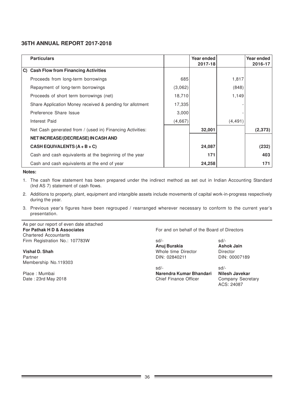| <b>Particulars</b>                                        |         | Year ended |          | Year ended |
|-----------------------------------------------------------|---------|------------|----------|------------|
|                                                           |         | 2017-18    |          | 2016-17    |
| C) Cash Flow from Financing Activities                    |         |            |          |            |
| Proceeds from long-term borrowings                        | 685     |            | 1,817    |            |
| Repayment of long-term borrowings                         | (3,062) |            | (848)    |            |
| Proceeds of short term borrowings (net)                   | 18,710  |            | 1,149    |            |
| Share Application Money received & pending for allotment  | 17,335  |            |          |            |
| Preference Share Issue                                    | 3,000   |            |          |            |
| Interest Paid                                             | (4,667) |            | (4, 491) |            |
| Net Cash generated from / (used in) Financing Activities: |         | 32,001     |          | (2, 373)   |
| NET INCREASE/(DECREASE) IN CASH AND                       |         |            |          |            |
| CASH EQUIVALENTS $(A + B + C)$                            |         | 24,087     |          | (232)      |
| Cash and cash equivalents at the beginning of the year    |         | 171        |          | 403        |
| Cash and cash equivalents at the end of year              |         | 24,258     |          | 171        |

**Notes:**

- 1. The cash flow statement has been prepared under the indirect method as set out in Indian Accounting Standard (Ind AS 7) statement of cash flows.
- 2. Additions to property, plant, equipment and intangible assets include movements of capital work-in-progress respectively during the year.
- 3. Previous year's figures have been regrouped / rearranged wherever necessary to conform to the current year's presentation.

As per our report of even date attached Chartered Accountants Firm Registration No.: 107783W sd/- sd/- sd/-

**Vishal D. Shah Vishal D. Shah** Whole time Director Director Director Director Director **Director** DIN: 00007189 Partner DIN: 02840211 Membership No.119303

**For Pathak H D & Associates For and on behalf of the Board of Directors** 

**Anuj Burakia Ashok Jain**<br> **Ashok Jain Whole time Director** 

sd/- sd/- Place : Mumbai **Narendra Kumar Bhandari Nilesh Javekar** Date : 23rd May 2018 **Chief Finance Officer** Company Secretary

ACS: 24087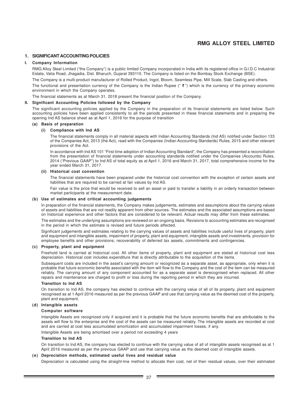#### **1. SIGNIFICANT ACCOUNTING POLICIES**

#### **I. Company Information**

RMG Alloy Steel Limited ("the Company") is a public limited Company incorporated in India with its registered office in G.I.D.C Industrial Estate, Valia Road, Jhagadia, Dist. Bharuch, Gujarat 393110. The Company is listed on the Bombay Stock Exchange (BSE).

The Company is a multi-product manufacturer of Rolled Product, Ingot, Bloom, Seamless Pipe, Mill Scale, Slab Casting and others.

The functional and presentation currency of the Company is the Indian Rupee (" $\bar{\tau}$ ") which is the currency of the primary economic environment in which the Company operates.

The financial statements as at March 31, 2018 present the financial position of the Company.

### **II. Significant Accounting Policies followed by the Company**

The significant accounting policies applied by the Company in the preparation of its financial statements are listed below. Such accounting policies have been applied consistently to all the periods presented in these financial statements and in preparing the opening Ind AS balance sheet as at April 1, 2016 for the purpose of transition

#### **(a) Basis of preparation**

#### **(i) Compliance with Ind AS**

The financial statements comply in all material aspects with Indian Accounting Standards (Ind AS) notified under Section 133 of the Companies Act, 2013 (the Act), read with the Companies (Indian Accounting Standards) Rules, 2015 and other relevant provisions of the Act.

In accordance with Ind AS 101 "First time adoption of Indian Accounting Standard", the Company has presented a reconciliation from the presentation of financial statements under accounting standards notified under the Companies (Accounts) Rules, 2014 ("Previous GAAP") to Ind AS of total equity as at April 1, 2016 and March 31, 2017, total comprehensive income for the year ended March 31, 2017.

#### **(ii) Historical cost convention**

The financial statements have been prepared under the historical cost convention with the exception of certain assets and liabilities that are required to be carried at fair values by Ind AS.

Fair value is the price that would be received to sell an asset or paid to transfer a liability in an orderly transaction between market participants at the measurement date.

### **(b) Use of estimates and critical accounting judgements**

In preparation of the financial statements, the Company makes judgements, estimates and assumptions about the carrying values of assets and liabilities that are not readily apparent from other sources. The estimates and the associated assumptions are based on historical experience and other factors that are considered to be relevant. Actual results may differ from these estimates.

The estimates and the underlying assumptions are reviewed on an ongoing basis. Revisions to accounting estimates are recognised in the period in which the estimate is revised and future periods affected.

Significant judgements and estimates relating to the carrying values of assets and liabilities include useful lives of property, plant and equipment and intangible assets, impairment of property, plant and equipment, intangible assets and investments, provision for employee benefits and other provisions, recoverability of deferred tax assets, commitments and contingencies.

#### **(c) Property, plant and equipment**

Freehold land is carried at historical cost. All other items of property, plant and equipment are stated at historical cost less depreciation. Historical cost includes expenditure that is directly attributable to the acquisition of the items.

Subsequent costs are included in the asset's carrying amount or recognized as a separate asset, as appropriate, only when it is probable that future economic benefits associated with the item will flow to the Company and the cost of the item can be measured reliably. The carrying amount of any component accounted for as a separate asset is derecognised when replaced. All other repairs and maintenance are charged to profit or loss during the reporting period in which they are incurred.

#### **Transition to Ind AS**

On transition to Ind AS, the company has elected to continue with the carrying value of all of its property, plant and equipment recognised as at 1 April 2016 measured as per the previous GAAP and use that carrying value as the deemed cost of the property, plant and equipment.

### **(d) Intangible assets**

#### **Computer software**

Intangible Assets are recognized only if acquired and it is probable that the future economic benefits that are attributable to the assets will flow to the enterprise and the cost of the assets can be measured reliably. The intangible assets are recorded at cost and are carried at cost less accumulated amortization and accumulated impairment losses, if any.

Intangible Assets are being amortised over a period not exceeding 4 years

#### **Transition to Ind AS**

On transition to Ind AS, the company has elected to continue with the carrying value of all of intangible assets recognised as at 1 April 2016 measured as per the previous GAAP and use that carrying value as the deemed cost of intangible assets.

### **(e) Depreciation methods, estimated useful lives and residual value**

Depreciation is calculated using the straight-line method to allocate their cost, net of their residual values, over their estimated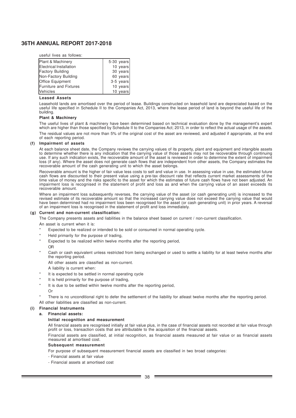useful lives as follows:

| Plant & Machinery             | $5-30$ years |
|-------------------------------|--------------|
| Electrical Installation       | 10 years     |
| <b>Factory Building</b>       | 30 years     |
| Non-Factory Building          | 60 years     |
| <b>Office Equipment</b>       | $3-5$ years  |
| <b>Furniture and Fixtures</b> | 10 years     |
| <b>Vehicles</b>               | 10 years     |

#### **Leased Assets**

Leasehold lands are amortised over the period of lease. Buildings constructed on leasehold land are depreciated based on the useful life specified in Schedule II to the Companies Act, 2013, where the lease period of land is beyond the useful life of the building.

### **Plant & Machinery**

The useful lives of plant & machinery have been determined based on technical evaluation done by the management's expert which are higher than those specified by Schedule II to the Companies Act; 2013, in order to reflect the actual usage of the assets. The residual values are not more than 5% of the original cost of the asset are reviewed, and adjusted if appropriate, at the end of each reporting period.

#### **(f) Impairment of assets**

At each balance sheet date, the Company reviews the carrying values of its property, plant and equipment and intangible assets to determine whether there is any indication that the carrying value of those assets may not be recoverable through continuing use. If any such indication exists, the recoverable amount of the asset is reviewed in order to determine the extent of impairment loss (if any). Where the asset does not generate cash flows that are independent from other assets, the Company estimates the recoverable amount of the cash generating unit to which the asset belongs.

Recoverable amount is the higher of fair value less costs to sell and value in use. In assessing value in use, the estimated future cash flows are discounted to their present value using a pre-tax discount rate that reflects current market assessments of the time value of money and the risks specific to the asset for which the estimates of future cash flows have not been adjusted. An impairment loss is recognised in the statement of profit and loss as and when the carrying value of an asset exceeds its recoverable amount.

Where an impairment loss subsequently reverses, the carrying value of the asset (or cash generating unit) is increased to the revised estimate of its recoverable amount so that the increased carrying value does not exceed the carrying value that would have been determined had no impairment loss been recognised for the asset (or cash generating unit) in prior years. A reversal of an impairment loss is recognised in the statement of profit and loss immediately.

#### **(g) Current and non-current classification:**

The Company presents assets and liabilities in the balance sheet based on current / non-current classification.

An asset is current when it is:

- Expected to be realized or intended to be sold or consumed in normal operating cycle.
- Held primarily for the purpose of trading,
- Expected to be realized within twelve months after the reporting period,

#### OR

Cash or cash equivalent unless restricted from being exchanged or used to settle a liability for at least twelve months after the reporting period.

All other assets are classified as non-current.

- A liability is current when:
- It is expected to be settled in normal operating cycle
- It is held primarily for the purpose of trading,
- It is due to be settled within twelve months after the reporting period,
- Or
- There is no unconditional right to defer the settlement of the liability for atleast twelve months after the reporting period.
- All other liabilities are classified as non-current.

# **(i) Financial Instruments**

### **a. Financial assets:**

### **Initial recognition and measurement**

All financial assets are recognised initially at fair value plus, in the case of financial assets not recorded at fair value through profit or loss, transaction costs that are attributable to the acquisition of the financial assets.

Financial assets are classified, at initial recognition, as financial assets measured at fair value or as financial assets measured at amortised cost.

#### **Subsequent measurement**

For purpose of subsequent measurement financial assets are classified in two broad categories:

- Financial assets at fair value
- Financial assets at amortised cost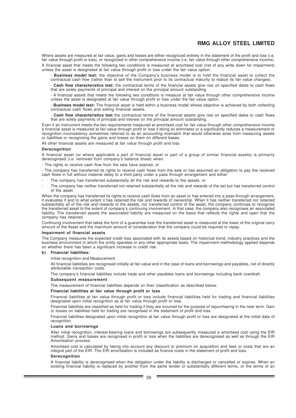Where assets are measured at fair value, gains and losses are either recognized entirely in the statement of the profit and loss (i.e. fair value through profit or loss), or recognized in other comprehensive income (i.e. fair value through other comprehensive income).

A financial asset that meets the following two conditions is measured at amortised cost (net of any write down for impairment) unless the asset is designated at fair value through profit or loss under the fair value option.

- **Business model test:** the objective of the Company's business model is to hold the financial asset to collect the contractual cash flow (rather than to sell the instrument prior to its contractual maturity to realize its fair value changes).

- **Cash flow characteristics test:** the contractual terms of the financial assets give rise on specified dates to cash flows that are solely payments of principal and interest on the principal amount outstanding.

- A financial assets that meets the following two conditions is measure at fair value through other comprehensive income unless the asset is designated at fair value through profit or loss under the fair value option.

- **Business model test:** The financial asset is held within a business model whose objective is achieved by both collecting contractual cash flows and selling financial assets.

- **Cash flow characteristics test** the contractual terms of the financial assets give rise on specified dates to cash flows that are solely payments of principal and interest on the principal amount outstanding.

Even if an instrument meets the two requirements measured at amortised cost for fair value through other comprehensive income a financial asset is measured at fair value through profit or loss if doing so eliminates or a significantly reduces a measurement or recognition inconsistency sometimes referred to as an accounting mismatch that would otherwise arise from measuring assets or liabilities or recognising the gains and losses on them on different bases.

All other financial assets are measured at fair value through profit and loss

### **Derecognition**

A financial asset (or where applicable a part of financial asset or part of a group of similar financial assets) is primarily derecognised (i.e. removed from company's balance sheet) when:

- The rights to receive cash flow from the sets have expired, or

- The company has transferred its rights to receive cash flows from the sets or has assumed an obligation to pay the received cash flows in full without material delay to a third party under a pass through arrangement and either

- The company has transferred substantially all the risk and rewards to the assets, or
- The company has neither transferred not retained substantially all the risk and rewards of the set but has transferred control of the asset.

When the company has transferred its rights to receive cash flows from an asset or has entered into a pass-through arrangement, it evaluates if and to what extent it has retained the risk and rewards of ownership. When it has neither transferred nor retained substantially all of the risk and rewards of the assets, nor transferred control of the asset, the company continues to recognise the transferred asset to the extent of company's continuing involvement. In that case, the company also recognises an associated liability. The transferred assets the associated liability are measured on the basis that reflects the rights and open that the company has retained.

Continuing involvement that takes the form of a guarantee over the transferred asset is measured at the lower of the original carry amount of the Asset and the maximum amount of consideration that the company could be required to repay.

#### **Impairment of financial assets**

The Company measures the expected credit loss associated with its assets based on historical trend, industry practices and the business environment in which the entity operates or any other appropriate basis. The impairment methodology applied depends on whether there has been a significant increase in credit risk.

#### **b) Financial liabilities:**

Initial recognition and Measurement

All financial liabilities are recognised initially at fair value and in the case of loans and borrowings and payables, net of directly attributable transaction costs.

The company's financial liabilities include trade and other payables loans and borrowings including bank overdraft.

#### **Subsequent measurement**

The measurement of financial liabilities depends on their classification as described below:

#### **Financial liabilities at fair value through profit or loss**

Financial liabilities at fair value through profit or loss include financial liabilities held for trading and financial liabilities designated upon initial recognition as at fair value through profit or loss.

Financial liabilities are classified as held for trading if they are incurred for the purpose of repurchasing in the near term. Gain or losses on liabilities held for trading are recognised in the statement of profit and loss.

Financial liabilities designated upon initial recognition at fair value through profit or loss are designated at the initial date of recognition.

#### **Loans and borrowings**

After initial recognition, interest-bearing loans and borrowings are subsequently measured a amortised cost using the EIR method. Gains and losses are recognised in profit or loss when the liabilities are derecognised as well as through the EIR Amortisation process.

Amortised cost is calculated by taking into account any discount or premium on acquisition and fees or costs that are an integral part of the EIR. The EIR amortisation is included as finance costs in the statement of profit and loss.

#### **Derecognition**

A financial liability is derecognised when the obligation under the liability is discharged or cancelled or expires. When an existing financial liability is replaced by another from the same lender or substantially different terms, or the terms of an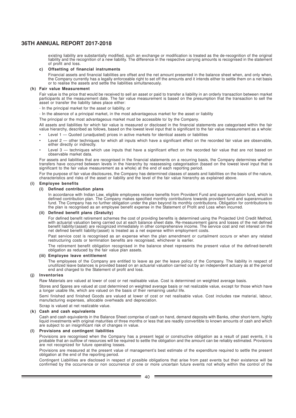existing liability are substantially modified, such an exchange or modification is treated as the de-recognition of the original liability and the recognition of a new liability. The difference in the respective carrying amounts is recognised in the statement of profit and loss.

#### **c) Offsetting of financial instruments**

Financial assets and financial liabilities are offset and the net amount presented in the balance sheet when, and only when, the Company currently has a legally enforceable right to set off the amounts and it intends either to settle them on a net basis or to realise the assets and settle the liabilities simultaneously.

#### **(h) Fair value Measurement**

Fair value is the price that would be received to sell an asset or paid to transfer a liability in an orderly transaction between market participants at the measurement date. The fair value measurement is based on the presumption that the transaction to sell the asset or transfer the liability takes place either:

- In the principal market for the asset or liability, or

- In the absence of a principal market, in the most advantageous market for the asset or liability

The principal or the most advantageous market must be accessible to/ by the Company.

All assets and liabilities for which fair value is measured or disclosed in the financial statements are categorised within the fair value hierarchy, described as follows, based on the lowest level input that is significant to the fair value measurement as a whole:

- Level 1 Quoted (unadjusted) prices in active markets for identical assets or liabilities
- Level 2 other techniques for which all inputs which have a significant effect on the recorded fair value are observable, either directly or indirectly.
- Level 3 techniques which use inputs that have a significant effect on the recorded fair value that are not based on observable market data.

For assets and liabilities that are recognised in the financial statements on a recurring basis, the Company determines whether transfers have occurred between levels in the hierarchy by reassessing categorisation (based on the lowest level input that is significant to the fair value measurement as a whole) at the end of each reporting period.

For the purpose of fair value disclosures, the Company has determined classes of assets and liabilities on the basis of the nature, characteristics and risks of the asset or liability and the level of the fair value hierarchy as explained above.

#### **(i) Employee benefits**

#### **(i) Defined contribution plans**

In accordance with Indian Law, eligible employees receive benefits from Provident Fund and superannuation fund, which is defined contribution plan. The Company makes specified monthly contributions towards provident fund and superannuation fund. The Company has no further obligation under the plan beyond its monthly contributions. Obligation for contributions to the plan is recognised as an employee benefit expense in the Statement of Profit and Loss when incurred.

#### **(ii) Defined benefit plans (Gratuity)**

For defined benefit retirement schemes the cost of providing benefits is determined using the Projected Unit Credit Method, with actuarial valuation being carried out at each balance sheet date. Re-measurement gains and losses of the net defined benefit liability/(asset) are recognized immediately in other comprehensive income. The service cost and net interest on the net defined benefit liability/(asset) is treated as a net expense within employment costs.

Past service cost is recognised as an expense when the plan amendment or curtailment occurs or when any related restructuring costs or termination benefits are recognised, whichever is earlier.

The retirement benefit obligation recognised in the balance sheet represents the present value of the defined-benefit obligation as reduced by the fair value plan assets.

#### **(iii) Employee leave entitlement**

The employees of the Company are entitled to leave as per the leave policy of the Company. The liability in respect of unutilized leave balances is provided based on an actuarial valuation carried out by an independent actuary as at the period end and charged to the Statement of profit and loss.

#### **(j) Inventories**

Raw Materials are valued at lower of cost or net realisable value. Cost is determined on weighted average basis.

Stores and Spares are valued at cost determined on weighted average basis or net realizable value, except for those which have a longer usable life, which are valued on the basis of their remaining useful life.

Semi finished and finished Goods are valued at lower of cost or net realisable value. Cost includes raw material, labour, manufacturing expenses, allocable overheads and depreciation.

Scrap is valued at net realizable value.

#### **(k) Cash and cash equivalents**

Cash and cash equivalents in the Balance Sheet comprise of cash on hand, demand deposits with Banks, other short-term, highly liquid investments with original maturities of three months or less that are readily convertible to known amounts of cash and which are subject to an insignificant risk of changes in value.

#### **(l) Provisions and contingent liabilities**

Provisions are recognised when the Company has a present legal or constructive obligation as a result of past events, it is probable that an outflow of resources will be required to settle the obligation and the amount can be reliably estimated. Provisions are not recognized for future operating losses.

Provisions are measured at the present value of management's best estimate of the expenditure required to settle the present obligation at the end of the reporting period.

Contingent Liabilities are disclosed in respect of possible obligations that arise from past events but their existence will be confirmed by the occurrence or non occurrence of one or more uncertain future events not wholly within the control of the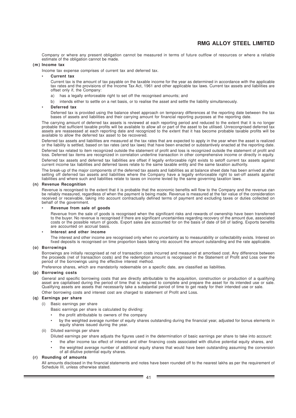Company or where any present obligation cannot be measured in terms of future outflow of resources or where a reliable estimate of the obligation cannot be made.

#### **(m) Income tax**

Income tax expense comprises of current tax and deferred tax.

#### • **Current tax**

Current tax is the amount of tax payable on the taxable income for the year as determined in accordance with the applicable tax rates and the provisions of the Income Tax Act, 1961 and other applicable tax laws. Current tax assets and liabilities are offset only if, the Company:

- a) has a legally enforceable right to set off the recognised amounts; and
- b) intends either to settle on a net basis, or to realise the asset and settle the liability simultaneously.

#### • **Deferred tax**

Deferred tax is provided using the balance sheet approach on temporary differences at the reporting date between the tax bases of assets and liabilities and their carrying amount for financial reporting purposes at the reporting date.

The carrying amount of deferred tax assets is reviewed at each reporting period and reduced to the extent that it is no longer probable that sufficient taxable profits will be available to allow all or part of the asset to be utilised. Unrecongnised deferred tax assets are reassessed at each reporting date and recognized to the extent that it has become probable taxable profits will be available to allow the deferred tax asset to be recovered.

Deferred tax assets and liabilities are measured at the tax rates that are expected to apply in the year when the asset is realized or the liability is settled, based on tax rates (and tax laws) that have been enacted or substantively enacted at the reporting date. Deferred tax related to item recognized outside the statement of profit and loss is recognized outside the statement of profit and loss. Deferred tax items are recognized in correlation underline transaction in other comprehensive income or directly in equity. Deferred tax assets and deferred tax liabilities are offset if legally enforceable right exists to setoff current tax assets against current income tax liabilities and deferred taxes relate to the same taxable entity and the same taxation authority.

The break-up of the major components of the deferred tax assets and liabilities as at balance sheet date has been arrived at after setting off deferred tax assets and liabilities where the Company have a legally enforceable right to set-off assets against liabilities and where such and liabilities relate to taxes on income levied by the same governing taxation laws.

#### **(n) Revenue Recognition**

Revenue is recognised to the extent that it is probable that the economic benefits will flow to the Company and the revenue can be reliably measured, regardless of when the payment is being made. Revenue is measured at the fair value of the consideration received or receivable, taking into account contractually defined terms of payment and excluding taxes or duties collected on behalf of the government.

#### • **Revenue from sale of goods**

Revenue from the sale of goods is recognised when the significant risks and rewards of ownership have been transferred to the buyer. No revenue is recognised if there are significant uncertainties regarding recovery of the amount due, associated costs or the possible return of goods. Export sales are accounted for on the basis of date of bill of lading. Exports benefits are accounted on accrual basis.

#### • **Interest and other income**

The interest and other income are recognised only when no uncertainty as to measurability or collectability exists. Interest on fixed deposits is recognised on time proportion basis taking into account the amount outstanding and the rate applicable.

#### **(o) Borrowings**

Borrowings are initially recognised at net of transaction costs incurred and measured at amortised cost. Any difference between the proceeds (net of transaction costs) and the redemption amount is recognised in the Statement of Profit and Loss over the period of the borrowings using the effective interest method.

Preference shares, which are mandatorily redeemable on a specific date, are classified as liabilities.

#### **(p) Borrowing costs**

General and specific borrowing costs that are directly attributable to the acquisition, construction or production of a qualifying asset are capitalised during the period of time that is required to complete and prepare the asset for its intended use or sale. Qualifying assets are assets that necessarily take a substantial period of time to get ready for their intended use or sale. Other borrowing costs and interest cost are charged to statement of Profit and Loss.

#### **(q) Earnings per share**

(i) Basic earnings per share

- Basic earnings per share is calculated by dividing:
- the profit attributable to owners of the company
- by the weighted average number of equity shares outstanding during the financial year, adjusted for bonus elements in equity shares issued during the year.

#### (ii) Diluted earnings per share

- Diluted earnings per share adjusts the figures used in the determination of basic earnings per share to take into account:
- the after income tax effect of interest and other financing costs associated with dilutive potential equity shares, and the weighted average number of additional equity shares that would have been outstanding assuming the conversion
- of all dilutive potential equity shares.

### **(r) Rounding of amounts**

All amounts disclosed in the financial statements and notes have been rounded off to the nearest lakhs as per the requirement of Schedule III, unless otherwise stated.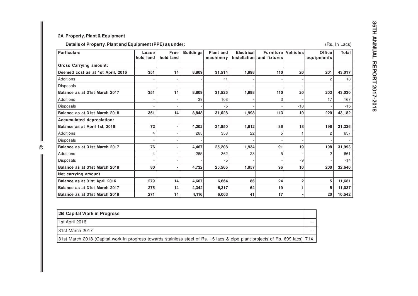# **2A Property, Plant & Equipment**

# **Details of Property, Plant and Equipment (PPE) as under:**

| <b>Particulars</b>                | Lease<br>hold land | <b>Free</b><br>hold land | <b>Buildings</b> | Plant and<br>machinery | <b>Electrical</b><br>Installation | <b>Furniture</b><br>and fixtures | <b>Vehicles</b> | <b>Office</b><br>equipments | <b>Total</b> |
|-----------------------------------|--------------------|--------------------------|------------------|------------------------|-----------------------------------|----------------------------------|-----------------|-----------------------------|--------------|
| <b>Gross Carrying amount:</b>     |                    |                          |                  |                        |                                   |                                  |                 |                             |              |
| Deemed cost as at 1st April, 2016 | 351                | 14                       | 8,809            | 31,514                 | 1,998                             | 110                              | 20              | 201                         | 43,017       |
| <b>Additions</b>                  |                    |                          |                  | 11                     |                                   |                                  |                 | 2                           | 13           |
| Disposals                         | ٠                  |                          |                  |                        |                                   |                                  |                 |                             |              |
| Balance as at 31st March 2017     | 351                | 14                       | 8,809            | 31,525                 | 1,998                             | 110                              | 20              | 203                         | 43,030       |
| <b>Additions</b>                  |                    |                          | 39               | 108                    |                                   | 3                                |                 | 17                          | 167          |
| Disposals                         |                    |                          |                  | -5                     |                                   |                                  | $-10$           |                             | $-15$        |
| Balance as at 31st March 2018     | 351                | 14                       | 8,848            | 31,628                 | 1,998                             | 113                              | 10              | 220                         | 43,182       |
| Accumulated depreciation:         |                    |                          |                  |                        |                                   |                                  |                 |                             |              |
| Balance as at April 1st, 2016     | 72                 |                          | 4,202            | 24,850                 | 1,912                             | 86                               | 18              | 196                         | 31,336       |
| <b>Additions</b>                  | 4                  |                          | 265              | 358                    | 22                                | 5                                |                 | 2                           | 657          |
| Disposals                         | $\overline{a}$     |                          |                  |                        |                                   |                                  |                 |                             |              |
| Balance as at 31st March 2017     | 76                 |                          | 4,467            | 25,208                 | 1,934                             | 91                               | 19              | 198                         | 31,993       |
| Additions                         | 4                  |                          | 265              | 362                    | 23                                | 5                                |                 | 2                           | 661          |
| <b>Disposals</b>                  |                    |                          |                  | -5                     |                                   |                                  | -9              |                             | $-14$        |
| Balance as at 31st March 2018     | 80                 | $\overline{\phantom{a}}$ | 4,732            | 25,565                 | 1,957                             | 96                               | 10              | 200                         | 32,640       |
| Net carrying amount               |                    |                          |                  |                        |                                   |                                  |                 |                             |              |
| Balance as at 01st April 2016     | 279                | 14                       | 4,607            | 6,664                  | 86                                | 24                               | $\overline{2}$  | 5                           | 11,681       |
| Balance as at 31st March 2017     | 275                | 14                       | 4,342            | 6,317                  | 64                                | 19                               | 1               | 5                           | 11,037       |
| Balance as at 31st March 2018     | 271                | 14                       | 4,116            | 6,063                  | 41                                | 17                               |                 | 20                          | 10,542       |

| 2B Capital Work in Progress                                                                                                 |  |
|-----------------------------------------------------------------------------------------------------------------------------|--|
| 1st April 2016                                                                                                              |  |
| 131st March 2017                                                                                                            |  |
| 31st March 2018 (Capital work in progress towards stainless steel of Rs. 15 lacs & pipe plant projects of Rs. 699 lacs) 714 |  |

(Rs. In Lacs)

 $\mathbb{I}$  $rac{4}{2}$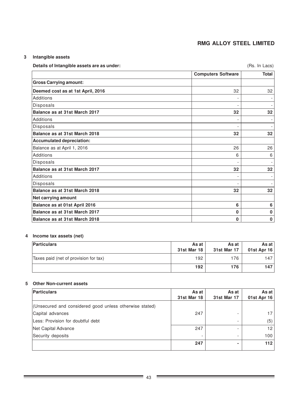(Rs. In Lacs)

# **3 Intangible assets**

| Details of Intangible assets are as under: |                           | (Rs. In Lacs) |
|--------------------------------------------|---------------------------|---------------|
|                                            | <b>Computers Software</b> | Total         |
| <b>Gross Carrying amount:</b>              |                           |               |
| $\mathbf{R}$                               | $\sim$                    | $\sim$        |

| <b>Gross Carrying amount:</b>     |    |    |
|-----------------------------------|----|----|
| Deemed cost as at 1st April, 2016 | 32 | 32 |
| <b>Additions</b>                  |    |    |
| Disposals                         |    |    |
| Balance as at 31st March 2017     | 32 | 32 |
| Additions                         |    |    |
| Disposals                         |    |    |
| Balance as at 31st March 2018     | 32 | 32 |
| <b>Accumulated depreciation:</b>  |    |    |
| Balance as at April 1, 2016       | 26 | 26 |
| Additions                         | 6  | 6  |
| Disposals                         |    |    |
| Balance as at 31st March 2017     | 32 | 32 |
| <b>Additions</b>                  |    |    |
| Disposals                         |    |    |
| Balance as at 31st March 2018     | 32 | 32 |
| Net carrying amount               |    |    |
| Balance as at 01st April 2016     | 6  | 6  |
| Balance as at 31st March 2017     | 0  | 0  |
| Balance as at 31st March 2018     | 0  | 0  |

### **4 Income tax assets (net)**

| <b>Particulars</b>                    | As at<br>31st Mar 18 | As at<br>31st Mar 17 | As at l<br>01st Apr 16 |
|---------------------------------------|----------------------|----------------------|------------------------|
| Taxes paid (net of provision for tax) | 192                  | 176                  | 147                    |
|                                       | 192                  | 176                  | 147                    |

# **5 Other Non-current assets**

| <b>Particulars</b>                                      | As at       | As at       | As at           |
|---------------------------------------------------------|-------------|-------------|-----------------|
|                                                         | 31st Mar 18 | 31st Mar 17 | 01st Apr 16     |
| (Unsecured and considered good unless otherwise stated) |             |             |                 |
| Capital advances                                        | 247         |             | 17              |
| Less: Provision for doubtful debt                       |             |             | (5)             |
| Net Capital Advance                                     | 247         |             | 12 <sup>2</sup> |
| Security deposits                                       |             |             | 100             |
|                                                         | 247         |             | 112             |
|                                                         |             |             |                 |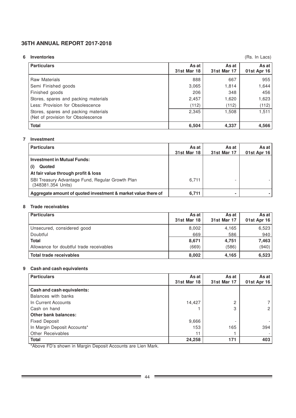# **6 Inventories**

(Rs. In Lacs)

÷

| <b>Particulars</b>                                                         | As at<br><b>31st Mar 18</b> | As at<br>31st Mar 17 | As at $ $<br>01st Apr 16 |
|----------------------------------------------------------------------------|-----------------------------|----------------------|--------------------------|
| <b>Raw Materials</b>                                                       | 888                         | 667                  | 955                      |
| Semi Finished goods                                                        | 3,065                       | 1,814                | 1,644                    |
| Finished goods                                                             | 206                         | 348                  | 456                      |
| Stores, spares and packing materials                                       | 2,457                       | 1,620                | 1,623                    |
| Less: Provision for Obsolescence                                           | (112)                       | (112)                | (112)                    |
| Stores, spares and packing materials<br>(Net of provision for Obsolescence | 2,345                       | 1,508                | 1,511                    |
| <b>Total</b>                                                               | 6,504                       | 4,337                | 4,566                    |

### **7 Investment**

| <b>Particulars</b>                                                     | As at<br><b>31st Mar 18</b> | As at<br>31st Mar 17 | As at l<br>01st Apr 16 |
|------------------------------------------------------------------------|-----------------------------|----------------------|------------------------|
| <b>Investment in Mutual Funds:</b>                                     |                             |                      |                        |
| Quoted<br>(i)                                                          |                             |                      |                        |
| At fair value through profit & loss                                    |                             |                      |                        |
| SBI Treasury Advantage Fund, Regular Growth Plan<br>(348381.354 Units) | 6.711                       |                      |                        |
| Aggregate amount of quoted investment & market value there of          | 6,711                       | $\blacksquare$       |                        |

### **8 Trade receivables**

| <b>Particulars</b>                       | As at<br><b>31st Mar 18</b> | As at<br>31st Mar 17 | As at<br>01st Apr 16 |
|------------------------------------------|-----------------------------|----------------------|----------------------|
| Unsecured, considered good               | 8,002                       | 4,165                | 6,523                |
| Doubtful                                 | 669                         | 586                  | 940                  |
| <b>Total</b>                             | 8,671                       | 4,751                | 7,463                |
| Allowance for doubtful trade receivables | (669)                       | (586)                | (940)                |
| <b>Total trade receivables</b>           | 8,002                       | 4,165                | 6,523                |

# **9 Cash and cash equivalents**

| <b>Particulars</b>          | As at              | As at              | As at       |
|-----------------------------|--------------------|--------------------|-------------|
|                             | <b>31st Mar 18</b> | <b>31st Mar 17</b> | 01st Apr 16 |
| Cash and cash equivalents:  |                    |                    |             |
| Balances with banks         |                    |                    |             |
| In Current Accounts         | 14,427             | $\Omega$           |             |
| Cash on hand                |                    | 3                  |             |
| <b>Other bank balances:</b> |                    |                    |             |
| <b>Fixed Deposit</b>        | 9,666              |                    |             |
| In Margin Deposit Accounts* | 153                | 165                | 394         |
| Other Receivables           | 11                 |                    |             |
| <b>Total</b>                | 24,258             | 171                | 403         |

\*Above FD's shown in Margin Deposit Accounts are Lien Mark.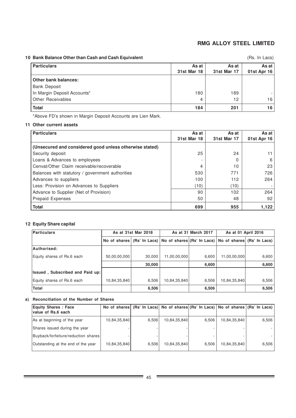# **10 Bank Balance Other than Cash and Cash Equivalent**

(Rs. In Lacs)

| <b>Particulars</b>          | As at<br><b>31st Mar 18</b> | As at<br>31st Mar 17 | As at I<br>01st Apr 16 |
|-----------------------------|-----------------------------|----------------------|------------------------|
| Other bank balances:        |                             |                      |                        |
| <b>Bank Deposit</b>         |                             |                      |                        |
| In Margin Deposit Accounts* | 180                         | 189                  |                        |
| <b>Other Receivables</b>    | 4                           | 12                   | 16                     |
| <b>Total</b>                | 184                         | 201                  | 16                     |

\*Above FD's shown in Margin Deposit Accounts are Lien Mark.

### **11 Other current assets**

| <b>Particulars</b>                                      | As at<br><b>31st Mar 18</b> | As at<br><b>31st Mar 17</b> | As at I<br>01st Apr 16 |
|---------------------------------------------------------|-----------------------------|-----------------------------|------------------------|
| (Unsecured and considered good unless otherwise stated) |                             |                             |                        |
| Security deposit                                        | 25                          | 24                          | 11.                    |
| Loans & Advances to employees                           |                             | O                           | 6                      |
| Cenvat/Other Claim receivable/recoverable               | 4                           | 10                          | 23                     |
| Balances with statutory / government authorities        | 530                         | 771                         | 726                    |
| Advances to suppliers                                   | 100                         | 112                         | 264                    |
| Less: Provision on Advances to Suppliers                | (10)                        | (10)                        |                        |
| Advance to Supplier (Net of Provision)                  | 90                          | 102                         | 264                    |
| <b>Prepaid Expenses</b>                                 | 50                          | 48                          | 92                     |
| <b>Total</b>                                            | 699                         | 955                         | 1,122                  |

## **12 Equity Share capital**

| Particulars                            | As at 31st Mar 2018 |        |                                                                                  | As at 31 March 2017 | As at 01 April 2016 |       |
|----------------------------------------|---------------------|--------|----------------------------------------------------------------------------------|---------------------|---------------------|-------|
|                                        |                     |        | No of shares (Rs' In Lacs) No of shares (Rs' In Lacs) No of shares (Rs' In Lacs) |                     |                     |       |
| Authorised:                            |                     |        |                                                                                  |                     |                     |       |
| Equity shares of Rs.6 each             | 50,00,00,000        | 30,000 | 11,00,00,000                                                                     | 6,600               | 11,00,00,000        | 6,600 |
|                                        |                     | 30,000 |                                                                                  | 6,600               |                     | 6,600 |
| <b>Issued, Subscribed and Paid up:</b> |                     |        |                                                                                  |                     |                     |       |
| Equity shares of Rs.6 each             | 10,84,35,840        | 6,506  | 10,84,35,840                                                                     | 6,506               | 10,84,35,840        | 6,506 |
| Total                                  |                     | 6,506  |                                                                                  | 6,506               |                     | 6,506 |

### **a) Reconciliation of the Number of Shares**

| <b>Equity Shares: Face</b><br>value of Rs.6 each |              |       |              |       | No of shares (Rs' In Lacs) No of shares (Rs' In Lacs) No of shares (Rs' In Lacs) |       |
|--------------------------------------------------|--------------|-------|--------------|-------|----------------------------------------------------------------------------------|-------|
| As at beginning of the year                      | 10,84,35,840 | 6,506 | 10,84,35,840 | 6.506 | 10,84,35,840                                                                     | 6.506 |
| Shares issued during the year                    |              |       |              |       |                                                                                  |       |
| Buyback/forfeiture/reduction shares              |              |       |              |       |                                                                                  |       |
| Outstanding at the end of the year               | 10,84,35,840 | 6.506 | 10,84,35,840 | 6.506 | 10,84,35,840                                                                     | 6.506 |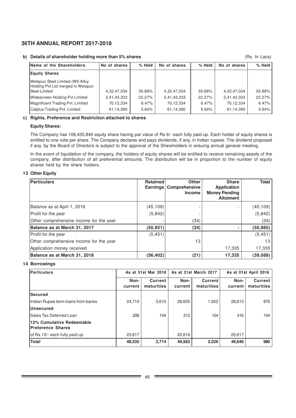### **b) Details of shareholder holding more than 5% shares**

(Rs. In Lacs)

| Name of the Shareholders                                                                     | No of shares | % Held | No of shares | % Held | No of shares | % Held   |
|----------------------------------------------------------------------------------------------|--------------|--------|--------------|--------|--------------|----------|
| <b>Equity Shares</b>                                                                         |              |        |              |        |              |          |
| Welspun Steel Limited (WS Alloy<br>Holding Pvt Ltd merged in Welspun<br><b>Steel Limited</b> | 4,32,47,034  | 39.88% | 4,32,47,034  | 39.88% | 4,32,47,034  | 39.88%   |
| Widescreen Holding Pvt Limited                                                               | 2,41,43,333  | 22.27% | 2,41,43,333  | 22.27% | 2,41,43,333  | 22.27%   |
| Magnificent Trading Pvt. Limited                                                             | 70,12,334    | 6.47%  | 70,12,334    | 6.47%  | 70,12,334    | $6.47\%$ |
| Calplus Trading Pvt. Limited                                                                 | 61,14,390    | 5.64%  | 61,14,390    | 5.64%  | 61,14,390    | $5.64\%$ |

### **c) Rights, Preference and Restriction attached to shares**

### **Equity Shares:**

The Company has 108,435,840 equity share having par value of Rs 6/- each fully paid up. Each holder of equity shares is entitled to one vote per share. The Company declares and pays dividends, if any, in Indian rupees. The dividend proposed if any, by the Board of Directors is subject to the approval of the Shareholders in ensuing annual general meeting.

In the event of liquidation of the company, the holders of equity shares will be entitled to receive remaining assets of the company, after distribution of all preferential amounts. The distribution will be in proportion to the number of equity shares held by the share holders.

### **13 Other Equity**

| <b>Particulars</b>                      | <b>Retained</b> | <b>Other</b><br>Earnings   Comprehensive<br><b>Income</b> | <b>Share</b><br><b>Application</b><br><b>Money Pending</b><br><b>Allotment</b> | <b>Total</b> |
|-----------------------------------------|-----------------|-----------------------------------------------------------|--------------------------------------------------------------------------------|--------------|
| Balance as at April 1, 2016             | (45, 109)       |                                                           |                                                                                | (45, 109)    |
| Profit for the year                     | (5,842)         |                                                           |                                                                                | (5, 842)     |
| Other comprehensive income for the year |                 | (34)                                                      |                                                                                | (34)         |
| Balance as at March 31, 2017            | (50,951)        | (34)                                                      | ۰                                                                              | (50, 985)    |
| Profit for the year                     | (5,451)         |                                                           |                                                                                | (5, 451)     |
| Other comprehensive income for the year |                 | 13                                                        |                                                                                | 13           |
| Application money received              |                 |                                                           | 17,335                                                                         | 17,335       |
| Balance as at March 31, 2018            | (56,402)        | (21)                                                      | 17,335                                                                         | (39, 088)    |

### **14 Borrowings**

| Particulars                                    |                 | As at 31st Mar 2018          |                 | As at 31st March 2017        | As at 01st April 2016 |                              |
|------------------------------------------------|-----------------|------------------------------|-----------------|------------------------------|-----------------------|------------------------------|
|                                                | Non-<br>current | <b>Current</b><br>maturities | Non-<br>current | <b>Current</b><br>maturities | Non-<br>current       | <b>Current</b><br>maturities |
| <b>Secured</b>                                 |                 |                              |                 |                              |                       |                              |
| Indian Rupee term loans from banks             | 24,710          | 3.610                        | 28,655          | 1,922                        | 28,613                | 876                          |
| <b>Unsecured</b>                               |                 |                              |                 |                              |                       |                              |
| Sales Tax Deferred Loan                        | 208             | 104                          | 312             | 104                          | 416                   | 104                          |
| 12% Cumulative Redeemable<br>Preference Shares |                 |                              |                 |                              |                       |                              |
| of Rs.10/- each fully paid up                  | 23,617          |                              | 20,616          |                              | 20,617                |                              |
| <b>Total</b>                                   | 48,535          | 3,714                        | 49,583          | 2,026                        | 49,646                | 980                          |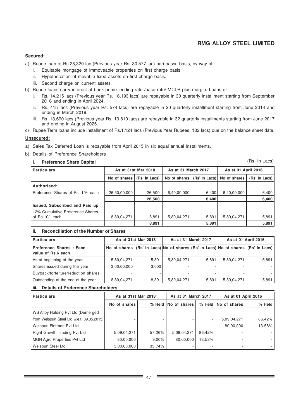### **Secured:**

- a) Rupee loan of Rs.28,320 lac (Previous year Rs. 30,577 lac) pari passu basis, by way of:
	- i. Equitable mortgage of immoveable properties on first charge basis.
	- ii. Hypothecation of movable fixed assets on first charge basis.
	- iii. Second charge on current assets.
- b) Rupee loans carry interest at bank prime lending rate /base rate/ MCLR plus margin. Loans of
	- i. Rs. 14,215 lacs (Previous year Rs. 16,193 lacs) are repayable in 30 quarterly installment starting from September 2016 and ending in April 2024.
	- ii. Rs. 415 lacs (Previous year Rs. 574 lacs) are repayable in 20 quarterly installment starting from June 2014 and ending in March 2019.
	- iii. Rs. 13,690 lacs (Previous year Rs. 13,810 lacs) are repayable in 32 quarterly installments starting from June 2017 and ending in August 2025.
- c) Rupee Term loans include installment of Rs.1,124 lacs (Previous Year Rupees. 132 lacs) due on the balance sheet date.

### **Unsecured:**

- a) Sales Tax Deferred Loan is repayable from April 2015 in six equal annual installments.
- b) Details of Preference Shareholders

### **i. Preference Share Capital**

(Rs. In Lacs)

| <b>Particulars</b>                 | As at 31st Mar 2018 |               | As at 31 March 2017 |                  | As at 01 April 2016 |               |
|------------------------------------|---------------------|---------------|---------------------|------------------|---------------------|---------------|
|                                    | No of shares        | (Rs' In Lacs) | No of shares        | $(Rs' \ln$ Lacs) | No of shares        | (Rs' In Lacs) |
| Authorised:                        |                     |               |                     |                  |                     |               |
| Preference Shares of Rs. 10/- each | 26,50,00,000        | 26,500        | 6,40,00,000         | 6,400            | 6,40,00,000         | 6,400         |
|                                    |                     | 26,500        |                     | 6,400            |                     | 6,400         |
| Issued, Subscribed and Paid up     |                     |               |                     |                  |                     |               |
| 12% Cumulative Preference Shares   |                     |               |                     |                  |                     |               |
| of $Rs.10/-$ each                  | 8,89,04,271         | 8,891         | 5,89,04,271         | 5,891            | 5,89,04,271         | 5,891         |
|                                    |                     | 8,891         |                     | 5,891            |                     | 5,891         |

### **ii. Reconciliation of the Number of Shares**

| <b>Particulars</b>                            |             | As at 31st Mar 2018 | As at 31 March 2017 |       | As at 01 April 2016                                                              |       |
|-----------------------------------------------|-------------|---------------------|---------------------|-------|----------------------------------------------------------------------------------|-------|
| Preference Shares: Face<br>value of Rs.6 each |             |                     |                     |       | No of shares (Rs' In Lacs) No of shares (Rs' In Lacs) No of shares (Rs' In Lacs) |       |
| As at beginning of the year                   | 5,89,04,271 | 5.891               | 5,89,04,271         | 5.891 | 5,89,04,271                                                                      | 5.891 |
| Shares issued during the year                 | 3,00,00,000 | 3,000               |                     |       |                                                                                  |       |
| Buyback/forfeiture/reduction shares           |             |                     |                     |       |                                                                                  |       |
| Outstanding at the end of the year            | 8,89,04,271 | 8.891               | 5,89,04,271         | 5.891 | 5,89,04,271                                                                      | 5,891 |

### **iii. Details of Preference Shareholders**

| <b>Particulars</b>                        | As at 31st Mar 2018 |              | As at 31 March 2017 |                  | As at 01 April 2016 |        |
|-------------------------------------------|---------------------|--------------|---------------------|------------------|---------------------|--------|
|                                           | No of shares        | $%$ Held $ $ | <b>No of shares</b> | $%$ Held $\vert$ | No of shares        | % Held |
| WS Alloy Holding Pvt Ltd (Demerged        |                     |              |                     |                  |                     |        |
| from Welspun Steel Ltd w.e.f. 09.05.2015) |                     |              |                     |                  | 5,09,04,271         | 86.42% |
| Welspun Fintrade Pvt Ltd                  |                     |              |                     | -                | 80,00,000           | 13.58% |
| Right Growth Trading Pvt Ltd              | 5,09,04,271         | 57.26%       | 5,09,04,271         | 86.42%           |                     |        |
| <b>MGN Agro Properties Pvt Ltd</b>        | 80,00,000           | $9.00\%$     | 80,00,000           | 13.58%           |                     |        |
| Welspun Steel Ltd                         | 3,00,00,000         | 33.74%       |                     |                  |                     |        |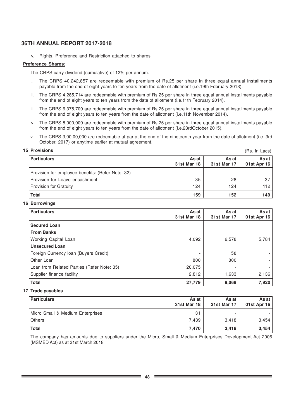iv. Rights, Preference and Restriction attached to shares

### **Preference Shares**:

The CRPS carry dividend (cumulative) of 12% per annum.

- i. The CRPS 40,242,857 are redeemable with premium of Rs.25 per share in three equal annual installments payable from the end of eight years to ten years from the date of allotment (i.e.19th February 2013).
- ii. The CRPS 4,285,714 are redeemable with premium of Rs.25 per share in three equal annual installments payable from the end of eight years to ten years from the date of allotment (i.e.11th February 2014).
- iii. The CRPS 6,375,700 are redeemable with premium of Rs.25 per share in three equal annual installments payable from the end of eight years to ten years from the date of allotment (i.e.11th November 2014).
- iv. The CRPS 8,000,000 are redeemable with premium of Rs.25 per share in three equal annual installments payable from the end of eight years to ten years from the date of allotment (i.e.23rdOctober 2015).
- v. The CRPS 3,00,00,000 are redeemable at par at the end of the nineteenth year from the date of allotment (i.e. 3rd October, 2017) or anytime earlier at mutual agreement.

 $(Re \ln L_{2}ce)$ 

### **15 Provisions**

| <b>Particulars</b>                                | As at<br><b>31st Mar 18</b> | As at<br>31st Mar 17 | As at I<br>01st Apr 16 |
|---------------------------------------------------|-----------------------------|----------------------|------------------------|
|                                                   |                             |                      |                        |
| Provision for employee benefits: (Refer Note: 32) |                             |                      |                        |
| Provision for Leave encashment                    | 35                          | 28                   | 37                     |
| Provision for Gratuity                            | 124                         | 124                  | 112                    |
| <b>Total</b>                                      | 159                         | 152                  | 149                    |

### **16 Borrowings**

| <b>Particulars</b>                         | As at<br><b>31st Mar 18</b> | As at<br><b>31st Mar 17</b> | As at<br>01st Apr 16 |
|--------------------------------------------|-----------------------------|-----------------------------|----------------------|
| <b>Secured Loan</b>                        |                             |                             |                      |
| <b>From Banks</b>                          |                             |                             |                      |
| <b>Working Capital Loan</b>                | 4,092                       | 6,578                       | 5,784                |
| <b>Unsecured Loan</b>                      |                             |                             |                      |
| Foreign Currency Ioan (Buyers Credit)      | $\overline{\phantom{0}}$    | 58                          |                      |
| Other Loan                                 | 800                         | 800                         |                      |
| Loan from Related Parties (Refer Note: 35) | 20,075                      |                             |                      |
| Supplier finance facility                  | 2,812                       | 1,633                       | 2,136                |
| <b>Total</b>                               | 27,779                      | 9,069                       | 7,920                |

### **17 Trade payables**

| <b>Particulars</b>               | As at<br><b>31st Mar 18</b> | As at<br>31st Mar 17 | As at I<br>01st Apr 16 |
|----------------------------------|-----------------------------|----------------------|------------------------|
| Micro Small & Medium Enterprises | 31                          |                      |                        |
| <b>Others</b>                    | 7.439                       | 3.418                | 3,454                  |
| <b>Total</b>                     | 7,470                       | 3,418                | 3,454                  |

The company has amounts due to suppliers under the Micro, Small & Medium Enterprises Development Act 2006 (MSMED Act) as at 31st March 2018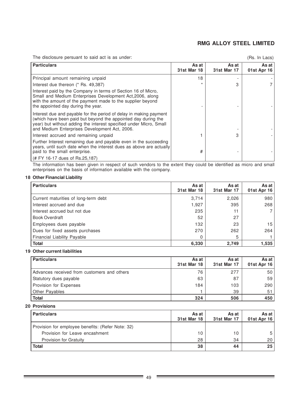The disclosure persuant to said act is as under:

```
(Rs. In Lacs)
```

| <b>Particulars</b>                                                                                                                                                                                                                                         | As at<br><b>31st Mar 18</b> | As at<br><b>31st Mar 17</b> | As at<br>01st Apr 16 |
|------------------------------------------------------------------------------------------------------------------------------------------------------------------------------------------------------------------------------------------------------------|-----------------------------|-----------------------------|----------------------|
| Principal amount remaining unpaid                                                                                                                                                                                                                          | 18                          |                             |                      |
| Interest due thereon (* Rs. 49,387)                                                                                                                                                                                                                        | $\star$                     | 3                           |                      |
| Interest paid by the Company in terms of Section 16 of Micro,<br>Small and Medium Enterprises Development Act, 2006, along<br>with the amount of the payment made to the supplier beyond<br>the appointed day during the year.                             |                             |                             |                      |
| Interest due and payable for the period of delay in making payment<br>(which have been paid but beyond the appointed day during the<br>year) but without adding the interest specified under Micro, Small<br>and Medium Enterprises Development Act, 2006. |                             |                             |                      |
| Interest accrued and remaining unpaid                                                                                                                                                                                                                      |                             | 3                           |                      |
| Further Interest remaining due and payable even in the succeeding<br>years, until such date when the interest dues as above are actually<br>paid to the small enterprise.                                                                                  | #                           |                             |                      |
| (# FY 16-17 dues of Rs.25,187)                                                                                                                                                                                                                             |                             |                             |                      |

The information has been given in respect of such vendors to the extent they could be identified as micro and small enterprises on the basis of information available with the company.

# **18 Other Financial Liability**

| <b>Particulars</b>                   | As at<br><b>31st Mar 18</b> | As at<br><b>31st Mar 17</b> | As at<br>01st Apr 16 |
|--------------------------------------|-----------------------------|-----------------------------|----------------------|
| Current maturities of long-term debt | 3,714                       | 2,026                       | 980                  |
| Interest accrued and due             | 1,927                       | 395                         | 268                  |
| Interest accrued but not due         | 235                         |                             |                      |
| <b>Book Overdraft</b>                | 52                          | 27                          |                      |
| Employees dues payable               | 132                         | 23                          | 15                   |
| Dues for fixed assets purchases      | 270                         | 262                         | 264                  |
| Financial Liability Payable          | 0                           | 5                           |                      |
| <b>Total</b>                         | 6,330                       | 2,749                       | 1.535                |

### **19 Other current liabilities**

| <b>Particulars</b>                          | As at<br>31st Mar 18 | As at<br>31st Mar 17 | As at<br>01st Apr 16 |
|---------------------------------------------|----------------------|----------------------|----------------------|
| Advances received from customers and others | 76                   | 277                  | 50                   |
| Statutory dues payable                      | 63                   | 87                   | 59                   |
| Provision for Expenses                      | 184                  | 103                  | 290                  |
| <b>Other Payables</b>                       |                      | 39                   | 51                   |
| <b>Total</b>                                | 324                  | 506                  | 450                  |

### **20 Provisions**

| <b>Particulars</b>                                | As at<br><b>31st Mar 18</b> | As at<br>31st Mar 17 | As at<br>01st Apr 16 |
|---------------------------------------------------|-----------------------------|----------------------|----------------------|
| Provision for employee benefits: (Refer Note: 32) |                             |                      |                      |
| Provision for Leave encashment                    | 10                          | 10                   | 5                    |
| <b>Provision for Gratuity</b>                     | 28                          | 34                   | 20                   |
| <b>Total</b>                                      | 38                          | 44                   | 25                   |

 $\overline{\phantom{a}}$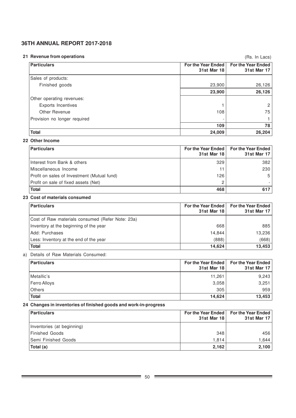### **21 Revenue from operations**

(Rs. In Lacs)

| <b>Particulars</b>           | For the Year Ended<br>31st Mar 18 | <b>For the Year Ended</b><br>31st Mar 17 |
|------------------------------|-----------------------------------|------------------------------------------|
| Sales of products:           |                                   |                                          |
| Finished goods               | 23,900                            | 26,126                                   |
|                              | 23,900                            | 26,126                                   |
| Other operating revenues:    |                                   |                                          |
| Exports Incentives           |                                   | $\overline{2}$                           |
| Other Revenue                | 108                               | 75                                       |
| Provision no longer required |                                   |                                          |
|                              | 109                               | 78                                       |
| <b>Total</b>                 | 24,009                            | 26,204                                   |

### **22 Other Income**

| <b>Particulars</b>                          | <b>For the Year Ended</b><br>31st Mar 18 | <b>For the Year Ended</b><br>31st Mar 17 |
|---------------------------------------------|------------------------------------------|------------------------------------------|
| Interest from Bank & others                 | 329                                      | 382                                      |
| Miscellaneous Income                        |                                          | 230                                      |
| Profit on sales of Investment (Mutual fund) | 126                                      | 5                                        |
| Profit on sale of fixed assets (Net)        |                                          |                                          |
| <b>Total</b>                                | 468                                      | 617                                      |

### **23 Cost of materials consumed**

| <b>Particulars</b>                               | For the Year Ended I<br><b>31st Mar 18</b> | <b>For the Year Ended</b><br><b>31st Mar 17</b> |
|--------------------------------------------------|--------------------------------------------|-------------------------------------------------|
| Cost of Raw materials consumed (Refer Note: 23a) |                                            |                                                 |
| Inventory at the beginning of the year           | 668                                        | 885                                             |
| IAdd: Purchases                                  | 14.844                                     | 13,236                                          |
| Less: Inventory at the end of the year           | (888)                                      | (668)                                           |
| <b>Total</b>                                     | 14,624                                     | 13,453                                          |

# a) Details of Raw Materials Consumed:

| <b>Particulars</b> | For the Year Ended<br><b>31st Mar 18</b> | <b>For the Year Ended</b><br>31st Mar 17 |
|--------------------|------------------------------------------|------------------------------------------|
| Metallic's         | 11,261                                   | 9,243                                    |
| Ferro Alloys       | 3,058                                    | 3,251                                    |
| <b>Others</b>      | 305                                      | 959                                      |
| <b>Total</b>       | 14,624                                   | 13,453                                   |

# **24 Changes in inventories of finished goods and work-in-progress**

| <b>Particulars</b>         | 31st Mar 18 | For the Year Ended   For the Year Ended<br><b>31st Mar 17</b> |
|----------------------------|-------------|---------------------------------------------------------------|
| Inventories (at beginning) |             |                                                               |
| Finished Goods             | 348         | 456                                                           |
| <b>Semi Finished Goods</b> | 1.814       | 1.644                                                         |
| Total (a)                  | 2,162       | 2,100                                                         |

÷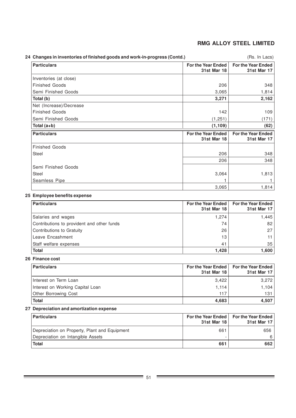| 24 Changes in inventories of finished goods and work-in-progress (Contd.) |                                                 | (Rs. In Lacs)                                   |
|---------------------------------------------------------------------------|-------------------------------------------------|-------------------------------------------------|
| <b>Particulars</b>                                                        | <b>For the Year Ended</b><br>31st Mar 18        | <b>For the Year Ended</b><br><b>31st Mar 17</b> |
| Inventories (at close)                                                    |                                                 |                                                 |
| <b>Finished Goods</b>                                                     | 206                                             | 348                                             |
| Semi Finished Goods                                                       | 3,065                                           | 1,814                                           |
| Total (b)                                                                 | 3,271                                           | 2,162                                           |
| Net (Increase)/Decrease                                                   |                                                 |                                                 |
| <b>Finished Goods</b>                                                     | 142                                             | 109                                             |
| Semi Finished Goods                                                       | (1, 251)                                        | (171)                                           |
| Total (a+b)                                                               | (1, 109)                                        | (62)                                            |
| <b>Particulars</b>                                                        | <b>For the Year Ended</b><br><b>31st Mar 18</b> | <b>For the Year Ended</b><br><b>31st Mar 17</b> |
| <b>Finished Goods</b>                                                     |                                                 |                                                 |
| <b>Steel</b>                                                              | 206                                             | 348                                             |
|                                                                           | 206                                             | 348                                             |
| Semi Finished Goods                                                       |                                                 |                                                 |
| Steel                                                                     | 3,064                                           | 1,813                                           |
| <b>Seamless Pipe</b>                                                      |                                                 |                                                 |
|                                                                           | 3,065                                           | 1,814                                           |

# **25 Employee benefits expense**

| <b>Particulars</b>                         | 31st Mar 18 | For the Year Ended   For the Year Ended<br><b>31st Mar 17</b> |
|--------------------------------------------|-------------|---------------------------------------------------------------|
| Salaries and wages                         | 1,274       | 1.445                                                         |
| Contributions to provident and other funds | 74          | 82                                                            |
| Contributions to Gratuity                  | 26          | 27                                                            |
| Leave Encashment                           | 13          | 11 <sub>1</sub>                                               |
| Staff welfare expenses                     | 41          | 35                                                            |
| <b>Total</b>                               | 1,428       | 1.600                                                         |

# **26 Finance cost**

| <b>Particulars</b>               | 31st Mar 18 | For the Year Ended   For the Year Ended<br><b>31st Mar 17</b> |
|----------------------------------|-------------|---------------------------------------------------------------|
| Interest on Term Loan            | 3,422       | 3.272                                                         |
| Interest on Working Capital Loan | 1.114       | 1.104                                                         |
| Other Borrowing Cost             | 117         | 131.                                                          |
| <b>Total</b>                     | 4,683       | 4.507                                                         |

# **27 Depreciation and amortization expense**

| <b>Particulars</b>                            | <b>For the Year Ended</b><br>31st Mar 18 | <b>For the Year Ended</b><br>31st Mar 17 |
|-----------------------------------------------|------------------------------------------|------------------------------------------|
| Depreciation on Property, Plant and Equipment | 661                                      | 656                                      |
| Depreciation on Intangible Assets             |                                          |                                          |
| <b>Total</b>                                  | 661                                      | 662                                      |

Ξ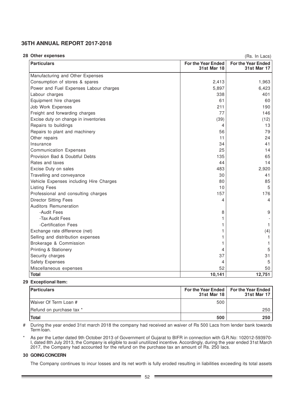#### **28 Other expenses**

(Rs. In Lacs)

| <b>Particulars</b>                      | For the Year Ended<br><b>31st Mar 18</b> | <b>For the Year Ended</b><br>31st Mar 17 |
|-----------------------------------------|------------------------------------------|------------------------------------------|
| Manufacturing and Other Expenses        |                                          |                                          |
| Consumption of stores & spares          | 2,413                                    | 1,963                                    |
| Power and Fuel Expenses Labour charges  | 5,897                                    | 6,423                                    |
| Labour charges                          | 338                                      | 401                                      |
| Equipment hire charges                  | 61                                       | 60                                       |
| Job Work Expenses                       | 211                                      | 190                                      |
| Freight and forwarding charges          | 77                                       | 146                                      |
| Excise duty on change in inventories    | (39)                                     | (12)                                     |
| Repairs to buildings                    | 4                                        | 13                                       |
| Repairs to plant and machinery          | 56                                       | 79                                       |
| Other repairs                           | 11                                       | 24                                       |
| Insurance                               | 34                                       | 41                                       |
| <b>Communication Expenses</b>           | 25                                       | 14                                       |
| Provision Bad & Doubtful Debts          | 135                                      | 65                                       |
| Rates and taxes                         | 44                                       | 14                                       |
| Excise Duty on sales                    | 483                                      | 2,920                                    |
| Travelling and conveyance               | 30                                       | 41                                       |
| Vehicle Expenses including Hire Charges | 80                                       | 85                                       |
| <b>Listing Fees</b>                     | 10                                       | 5                                        |
| Professional and consulting charges     | 157                                      | 176                                      |
| <b>Director Sitting Fees</b>            | 4                                        | 4                                        |
| <b>Auditors Remuneration</b>            |                                          |                                          |
| -Audit Fees                             | 8                                        | 9                                        |
| -Tax Audit Fees                         |                                          |                                          |
| -Certification Fees                     |                                          |                                          |
| Exchange rate difference (net)          | 1                                        | (4)                                      |
| Selling and distribution expenses       |                                          |                                          |
| Brokerage & Commission                  |                                          |                                          |
| Printing & Stationery                   | 4                                        | 5                                        |
| Security charges                        | 37                                       | 31                                       |
| Safety Expenses                         | 4                                        | 5                                        |
| Miscellaneous expenses                  | 52                                       | 50                                       |
| <b>Total</b>                            | 10,141                                   | 12,751                                   |

### **29 Exceptional Item:**

| <b>Particulars</b>       | 31st Mar 18 | For the Year Ended   For the Year Ended  <br>31st Mar 17 |
|--------------------------|-------------|----------------------------------------------------------|
| Waiver Of Term Loan #    | 500         |                                                          |
| Refund on purchase tax * |             | 250                                                      |
| Total                    | 500         | 250                                                      |

# During the year ended 31st march 2018 the company had received an waiver of Rs 500 Lacs from lender bank towards Term loan.

\* As per the Letter dated 9th October 2013 of Government of Gujarat to BIFR in connection with G.R.No: 102012-593970- I, dated 8th July 2013, the Company is eligible to avail unutilized incentive. Accordingly, during the year ended 31st March 2017, the Company had accounted for the refund on the purchase tax an amount of Rs. 250 lacs.

### **30 GOING CONCERN**

The Company continues to incur losses and its net worth is fully eroded resulting in liabilities exceeding its total assets

-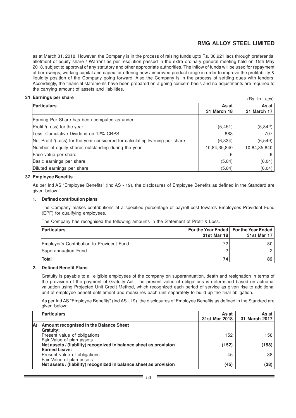$(Dc \ln \log c)$ 

as at March 31, 2018. However, the Company is in the process of raising funds upto Rs. 36,921 lacs through preferential allotment of equity share / Warrant as per resolution passed in the extra ordinary general meeting held on 15th May 2018, subject to approval of any statutory and other appropriate authorities. The inflow of funds will be used for repayment of borrowings, working capital and capex for offering new / improved product range in order to improve the profitability & liquidity position of the Company going forward. Also the Company is in the process of settling dues with lenders. Accordingly, the financial statements have been prepared on a going concern basis and no adjustments are required to the carrying amount of assets and liabilities.

### **31 Earnings per share**

|                                                                              |                    | 11 10. 111 LUVOI |
|------------------------------------------------------------------------------|--------------------|------------------|
| Particulars                                                                  | As at              | As at I          |
|                                                                              | <b>31 March 18</b> | 31 March 17      |
| Earning Per Share has been computed as under                                 |                    |                  |
| Profit /(Loss) for the year                                                  | (5, 451)           | (5,842)          |
| Less: Cumulative Dividend on 12% CRPS                                        | 883                | 707              |
| Net Profit /(Loss) for the year considered for calculating Earning per share | (6, 334)           | (6, 549)         |
| Number of equity shares outstanding during the year                          | 10,84,35,840       | 10,84,35,840     |
| Face value per share                                                         | 6                  | 6                |
| Basic earnings per share                                                     | (5.84)             | (6.04)           |
| Diluted earnings per share                                                   | (5.84)             | (6.04)           |

### **32 Employee Benefits**

As per Ind AS "Employee Benefits" (Ind AS - 19), the disclosures of Employee Benefits as defined in the Standard are given below:

### **1. Defined contribution plans**

The Company makes contributions at a specified percentage of payroll cost towards Employees Provident Fund (EPF) for qualifying employees.

The Company has recognised the following amounts in the Statement of Profit & Loss.

| <b>Particulars</b>                        | 31st Mar 18 | For the Year Ended   For the Year Ended  <br>31st Mar 17 |
|-------------------------------------------|-------------|----------------------------------------------------------|
| Employer's Contribution to Provident Fund | 72          | 80 l                                                     |
| Superannuation Fund                       |             |                                                          |
| Total                                     | 74          |                                                          |

### **2. Defined Benefit Plans**

Gratuity is payable to all eligible employees of the company on superannuation, death and resignation in terms of the provision of the payment of Gratuity Act. The present value of obligations is determined based on actuarial valuation using Projected Unit Credit Method, which recognized each period of service as given rise to additional unit of employee benefit entitlement and measures each unit separately to build up the final obligation.

As per Ind AS "Employee Benefits" (Ind AS - 19), the disclosures of Employee Benefits as defined in the Standard are given below:

|     | <b>Particulars</b>                                                                             | As at<br>31st Mar 2018 | As at<br>31 March 2017 |
|-----|------------------------------------------------------------------------------------------------|------------------------|------------------------|
| IA) | Amount recognised in the Balance Sheet<br>Gratuity:                                            |                        |                        |
|     | Present value of obligations                                                                   | 152                    | 158                    |
|     | Fair Value of plan assets                                                                      |                        |                        |
|     | Net assets / (liability) recognized in balance sheet as provision                              | (152)                  | (158)                  |
|     | <b>Earned Leave:</b>                                                                           |                        |                        |
|     | Present value of obligations                                                                   | 45                     | 38                     |
|     | Fair Value of plan assets<br>Net assets / (liability) recognized in balance sheet as provision | (45)                   | (38)                   |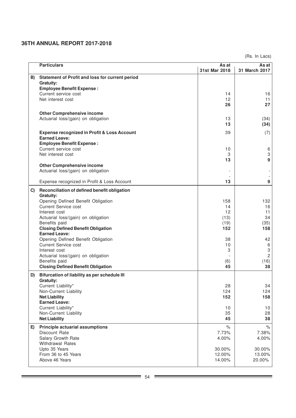(Rs. In Lacs)

|    | <b>Particulars</b>                                                | As at         | As at           |
|----|-------------------------------------------------------------------|---------------|-----------------|
| B) | Statement of Profit and loss for current period                   | 31st Mar 2018 | 31 March 2017   |
|    | <b>Gratuity:</b>                                                  |               |                 |
|    | <b>Employee Benefit Expense:</b>                                  |               |                 |
|    | Current service cost                                              | 14            | 16              |
|    | Net interest cost                                                 | 12            | 11              |
|    |                                                                   | 26            | 27              |
|    | <b>Other Comprehensive income</b>                                 |               |                 |
|    | Actuarial loss/(gain) on obligation                               | 13            | (34)            |
|    |                                                                   | 13            | (34)            |
|    | <b>Expense recognized in Profit &amp; Loss Account</b>            | 39            | (7)             |
|    | <b>Earned Leave:</b>                                              |               |                 |
|    | <b>Employee Benefit Expense:</b>                                  |               |                 |
|    | Current service cost                                              | 10            | 6               |
|    | Net interest cost                                                 | 3             | 3               |
|    | <b>Other Comprehensive income</b>                                 | 13            | 9               |
|    | Actuarial loss/(gain) on obligation                               |               |                 |
|    |                                                                   |               |                 |
|    | Expense recognized in Profit & Loss Account                       | 13            | 9               |
| C) | Reconciliation of defined benefit obligation                      |               |                 |
|    | <b>Gratuity:</b>                                                  |               |                 |
|    | Opening Defined Benefit Obligation                                | 158           | 132             |
|    | <b>Current Service cost</b>                                       | 14            | 16              |
|    | Interest cost                                                     | 12            | 11              |
|    | Actuarial loss/(gain) on obligation                               | (13)          | 34              |
|    | Benefits paid                                                     | (19)          | (35)            |
|    | <b>Closing Defined Benefit Obligation</b><br><b>Earned Leave:</b> | 152           | 158             |
|    | Opening Defined Benefit Obligation                                | 38            | 42              |
|    | <b>Current Service cost</b>                                       | 10            | 6               |
|    | Interest cost                                                     | 3             | 3               |
|    | Actuarial loss/(gain) on obligation                               |               | $\overline{c}$  |
|    | Benefits paid                                                     | (6)           | (16)            |
|    | <b>Closing Defined Benefit Obligation</b>                         | 45            | 38              |
| D) | Bifurcation of liability as per schedule III                      |               |                 |
|    | <b>Gratuity:</b>                                                  |               |                 |
|    | Current Liability*                                                | 28            | 34              |
|    | Non-Current Liability                                             | 124           | 124             |
|    | <b>Net Liability</b><br><b>Earned Leave:</b>                      | 152           | 158             |
|    | Current Liability*                                                | 10            | 10 <sub>1</sub> |
|    | Non-Current Liability                                             | 35            | 28              |
|    | <b>Net Liability</b>                                              | 45            | 38              |
| E) | <b>Principle actuarial assumptions</b>                            | $\%$          | $\%$            |
|    | Discount Rate                                                     | 7.73%         | 7.38%           |
|    | Salary Growth Rate                                                | 4.00%         | 4.00%           |
|    | <b>Withdrawal Rates</b>                                           |               |                 |
|    | Upto 35 Years                                                     | 30.00%        | 30.00%          |
|    | From 36 to 45 Years                                               | 12.00%        | 13.00%          |
|    | Above 46 Years                                                    | 14.00%        | 20.00%          |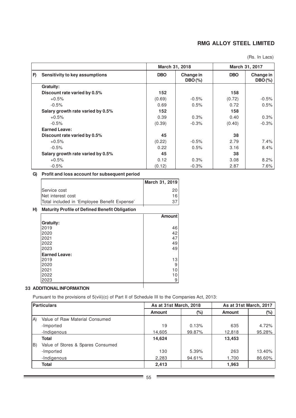(Rs. In Lacs)

|    | March 31, 2018                    |            |                        | March 31, 2017 |                        |
|----|-----------------------------------|------------|------------------------|----------------|------------------------|
| F) | Sensitivity to key assumptions    | <b>DBO</b> | Change in<br>$DBO(\%)$ | <b>DBO</b>     | Change in<br>$DBO(\%)$ |
|    | Gratuity:                         |            |                        |                |                        |
|    | Discount rate varied by 0.5%      | 152        |                        | 158            |                        |
|    | $+0.5%$                           | (0.69)     | $-0.5%$                | (0.72)         | $-0.5%$                |
|    | $-0.5%$                           | 0.69       | 0.5%                   | 0.72           | 0.5%                   |
|    | Salary growth rate varied by 0.5% | 152        |                        | 158            |                        |
|    | $+0.5%$                           | 0.39       | 0.3%                   | 0.40           | 0.3%                   |
|    | $-0.5%$                           | (0.39)     | $-0.3%$                | (0.40)         | $-0.3%$                |
|    | <b>Earned Leave:</b>              |            |                        |                |                        |
|    | Discount rate varied by 0.5%      | 45         |                        | 38             |                        |
|    | $+0.5%$                           | (0.22)     | $-0.5%$                | 2.79           | $7.4\%$                |
|    | $-0.5%$                           | 0.22       | 0.5%                   | 3.16           | 8.4%                   |
|    | Salary growth rate varied by 0.5% | 45         |                        | 38             |                        |
|    | $+0.5%$                           | 0.12       | 0.3%                   | 3.08           | 8.2%                   |
|    | $-0.5%$                           | (0.12)     | $-0.3%$                | 2.87           | 7.6%                   |

# **G) Profit and loss account for subsequent period**

|                                              | March 31, 2019 |
|----------------------------------------------|----------------|
| Service cost                                 | 20             |
| Net interest cost                            | 16             |
| Total included in 'Employee Benefit Expense' |                |

# **H) Maturity Profile of Defined Benefit Obligation**

|                                           | <b>Amount</b>  |
|-------------------------------------------|----------------|
| <b>Gratuity:</b>                          |                |
| 2019                                      | 46             |
| 2020                                      | 42             |
| 2021                                      | 47             |
| 2022                                      | 49             |
| 2023                                      | 49             |
| <b>Earned Leave:</b>                      |                |
| 2019                                      | 13             |
| 2020                                      | 9              |
| 2021                                      | 10             |
| 2022                                      | 10             |
| 2023                                      | 9 <sub>1</sub> |
| <b>INIFODIAATIONI</b><br><b>DITIONIAI</b> |                |

# **33 ADDITIONAL INFORMATION**

Pursuant to the provisions of 5(viii)(c) of Part II of Schedule III to the Companies Act, 2013:

| Particulars |                                   |               | As at 31st March, 2018 |               | As at 31st March, 2017 |  |
|-------------|-----------------------------------|---------------|------------------------|---------------|------------------------|--|
|             |                                   | <b>Amount</b> | (%)                    | <b>Amount</b> | $(\%)$                 |  |
| IA)         | Value of Raw Material Consumed    |               |                        |               |                        |  |
|             | -Imported                         | 19            | 0.13%                  | 635           | 4.72%                  |  |
|             | -Indigenous                       | 14,605        | 99.87%                 | 12,818        | 95.28%                 |  |
|             | <b>Total</b>                      | 14,624        |                        | 13,453        |                        |  |
| B)          | Value of Stores & Spares Consumed |               |                        |               |                        |  |
|             | -Imported                         | 130           | 5.39%                  | 263           | 13.40%                 |  |
|             | -Indigenous                       | 2,283         | 94.61%                 | 1,700         | 86.60%                 |  |
|             | <b>Total</b>                      | 2,413         |                        | 1,963         |                        |  |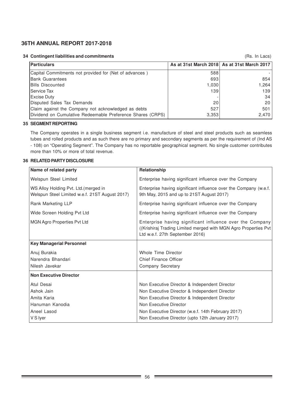**34 Contingent liabilities and commitments**

(Rs. In Lacs)

| <b>Particulars</b>                                         |       | As at 31st March 2018 As at 31st March 2017 |
|------------------------------------------------------------|-------|---------------------------------------------|
| Capital Commitments not provided for (Net of advances)     | 588   |                                             |
| <b>Bank Guarantees</b>                                     | 693   | 854                                         |
| <b>IBills Discounted</b>                                   | 1,030 | 1.264                                       |
| <b>Service Tax</b>                                         | 139   | 139                                         |
| <b>Excise Duty</b>                                         |       | 34                                          |
| Disputed Sales Tax Demands                                 | 20    | 20                                          |
| Claim against the Company not acknowledged as debts        | 527   | 501                                         |
| Dividend on Cumulative Redeemable Preference Shares (CRPS) | 3,353 | 2,470                                       |

### **35 SEGMENT REPORTING**

The Company operates in a single business segment i.e. manufacture of steel and steel products such as seamless tubes and rolled products and as such there are no primary and secondary segments as per the requirement of (Ind AS - 108) on "Operating Segment". The Company has no reportable geographical segment. No single customer contributes more than 10% or more of total revenue.

## **36 RELATED PARTY DISCLOSURE**

| Name of related party                                                                   | Relationship                                                                                                                                                    |
|-----------------------------------------------------------------------------------------|-----------------------------------------------------------------------------------------------------------------------------------------------------------------|
| Welspun Steel Limited                                                                   | Enterprise having significant influence over the Company                                                                                                        |
| WS Alloy Holding Pvt. Ltd. (merged in<br>Welspun Steel Limited w.e.f. 21ST August 2017) | Enterprise having significant influence over the Company (w.e.f.<br>9th May, 2015 and up to 21ST August 2017)                                                   |
| Rank Marketing LLP                                                                      | Enterprise having significant influence over the Company                                                                                                        |
| Wide Screen Holding Pvt Ltd                                                             | Enterprise having significant influence over the Company                                                                                                        |
| <b>MGN Agro Properties Pvt Ltd</b>                                                      | Enterprise having significant influence over the Company<br>((Krishiraj Trading Limited merged with MGN Agro Properties Pvt)<br>Ltd w.e.f. 27th September 2016) |
| <b>Key Managerial Personnel</b>                                                         |                                                                                                                                                                 |
| Anuj Burakia                                                                            | Whole Time Director                                                                                                                                             |
| Narendra Bhandari                                                                       | <b>Chief Finance Officer</b>                                                                                                                                    |
| Nilesh Javekar                                                                          | <b>Company Secretary</b>                                                                                                                                        |
| <b>Non Executive Director</b>                                                           |                                                                                                                                                                 |
| Atul Desai                                                                              | Non Executive Director & Independent Director                                                                                                                   |
| Ashok Jain                                                                              | Non Executive Director & Independent Director                                                                                                                   |
| Amita Karia                                                                             | Non Executive Director & Independent Director                                                                                                                   |
| Hanuman Kanodia                                                                         | Non Executive Director                                                                                                                                          |
| Aneel Lasod                                                                             | Non Executive Director (w.e.f. 14th February 2017)                                                                                                              |
| V S lyer                                                                                | Non Executive Director (upto 12th January 2017)                                                                                                                 |

 $\overline{\phantom{0}}$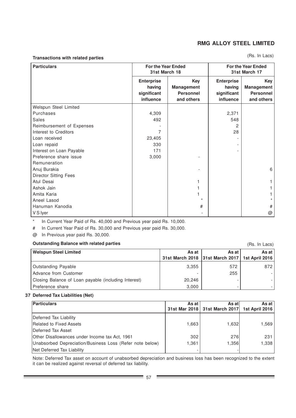### **Transactions with related parties**

### (Rs. In Lacs)

(Rs. In Lacs)

| <b>Particulars</b>           | <b>For the Year Ended</b><br>31st March 18              |                                                            | <b>For the Year Ended</b><br>31st March 17                     |                                                            |
|------------------------------|---------------------------------------------------------|------------------------------------------------------------|----------------------------------------------------------------|------------------------------------------------------------|
|                              | <b>Enterprise</b><br>having<br>significant<br>influence | Key<br><b>Management</b><br><b>Personnel</b><br>and others | <b>Enterprise</b><br>having<br>significant<br><b>influence</b> | Key<br><b>Management</b><br><b>Personnel</b><br>and others |
| Welspun Steel Limited        |                                                         |                                                            |                                                                |                                                            |
| Purchases                    | 4,309                                                   |                                                            | 2,371                                                          |                                                            |
| Sales                        | 492                                                     |                                                            | 548                                                            |                                                            |
| Reimbursement of Expenses    |                                                         |                                                            | 2                                                              |                                                            |
| Interest to Creditors        | 7                                                       |                                                            | 28                                                             |                                                            |
| Loan received                | 23,405                                                  |                                                            |                                                                |                                                            |
| Loan repaid                  | 330                                                     |                                                            |                                                                |                                                            |
| Interest on Loan Payable     | 171                                                     |                                                            |                                                                |                                                            |
| Preference share issue       | 3,000                                                   |                                                            |                                                                |                                                            |
| Remuneration                 |                                                         |                                                            |                                                                |                                                            |
| Anuj Burakia                 |                                                         |                                                            |                                                                | 6                                                          |
| <b>Director Sitting Fees</b> |                                                         |                                                            |                                                                |                                                            |
| Atul Desai                   |                                                         |                                                            |                                                                |                                                            |
| Ashok Jain                   |                                                         |                                                            |                                                                |                                                            |
| Amita Karia                  |                                                         |                                                            |                                                                |                                                            |
| Aneel Lasod                  |                                                         | ÷                                                          |                                                                |                                                            |
| Hanuman Kanodia              |                                                         | #                                                          |                                                                | $\#$                                                       |
| V S Iyer                     |                                                         |                                                            |                                                                | @                                                          |

\* In Current Year Paid of Rs. 40,000 and Previous year paid Rs. 10,000.

# In Current Year Paid of Rs. 30,000 and Previous year paid Rs. 30,000.

@ In Previous year paid Rs. 30,000.

# **Outstanding Balance with related parties**

| <b>Welspun Steel Limited</b>                         | As at                                            | As at | As at |
|------------------------------------------------------|--------------------------------------------------|-------|-------|
|                                                      | 31st March 2018 31st March 2017   1st April 2016 |       |       |
| <b>Outstanding Payable</b>                           | 3.355                                            | 572   | 872   |
| Advance from Customer                                |                                                  | 255   |       |
| Closing Balance of Loan payable (including Interest) | 20,246                                           |       |       |
| Preference share                                     | 3,000                                            |       |       |

### **37 Deferred Tax Liabilities (Net)**

| Particulars                                              | As at | As atl                                           | As at I |
|----------------------------------------------------------|-------|--------------------------------------------------|---------|
|                                                          |       | 31st Mar 2018   31st March 2017   1st April 2016 |         |
| Deferred Tax Liability                                   |       |                                                  |         |
| Related to Fixed Assets                                  | 1.663 | 1.6321                                           | 1.569   |
| Deferred Tax Asset                                       |       |                                                  |         |
| Other Disallowances under Income tax Act, 1961           | 302   | 276                                              | 231     |
| Unabsorbed Depreciation/Business Loss (Refer note below) | 1.361 | 1.3561                                           | 1,338   |
| Net Deferred Tax Liability                               |       |                                                  |         |

Note: Deferred Tax asset on account of unabsorbed depreciation and business loss has been recognized to the extent it can be realized against reversal of deferred tax liability.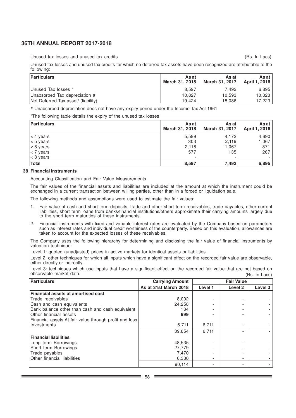Unused tax losses and unused tax credits

(Rs. In Lacs)

Unused tax losses and unused tax credits for which no deferred tax assets have been recognized are attributable to the following:

| <b>Particulars</b>                  | As at<br>March 31, 2018 | As at l<br>March 31, 2017 | As at l<br>April 1, 2016 |
|-------------------------------------|-------------------------|---------------------------|--------------------------|
| Unused Tax losses *                 | 8.597                   | 7.492                     | 6.895                    |
| Unabsorbed Tax depreciation #       | 10.827                  | 10.593                    | 10.328                   |
| Net Deferred Tax asset/ (liability) | 19.424                  | 18.086                    | 17,223                   |

# Unabsorbed depreciation does not have any expiry period under the Income Tax Act 1961

\*The following table details the expiry of the unused tax losses

| <b>Particulars</b> | As at<br>March 31, 2018 | As at l<br>March 31, 2017 | As at I<br>April 1, 2016 |
|--------------------|-------------------------|---------------------------|--------------------------|
| $ < 4$ years       | 5,599                   | 4,172                     | 4,690                    |
| $ < 5$ years       | 303                     | 2,119                     | 1,067                    |
| $ < 6$ years       | 2,118                   | 1.067                     | 871                      |
| $<$ 7 years        | 577                     | 135                       | 267                      |
| $ < 8$ years       |                         |                           |                          |
| Total              | 8,597                   | 7,492                     | 6,895                    |

#### **38 Financial Instruments**

Accounting Classification and Fair Value Measurements

The fair values of the financial assets and liabilities are included at the amount at which the instrument could be exchanged in a current transaction between willing parties, other than in a forced or liquidation sale.

The following methods and assumptions were used to estimate the fair values:

- 1. Fair value of cash and short-term deposits, trade and other short term receivables, trade payables, other current liabilities, short term loans from banks/financial institutions/others approximate their carrying amounts largely due to the short-term maturities of these instruments.
- 2. Financial instruments with fixed and variable interest rates are evaluated by the Company based on parameters such as interest rates and individual credit worthiness of the counterparty. Based on this evaluation, allowances are taken to account for the expected losses of these receivables.

The Company uses the following hierarchy for determining and disclosing the fair value of financial instruments by valuation technique:

Level 1: quoted (unadjusted) prices in active markets for identical assets or liabilities.

Level 2: other techniques for which all inputs which have a significant effect on the recorded fair value are observable, either directly or indirectly.

Level 3: techniques which use inputs that have a significant effect on the recorded fair value that are not based on observable market data. (Rs. In Lacs)

| <b>Particulars</b>                                     | <b>Carrying Amount</b> | <b>Fair Value</b>        |         |         |
|--------------------------------------------------------|------------------------|--------------------------|---------|---------|
|                                                        | As at 31st March 2018  | Level 1                  | Level 2 | Level 3 |
| <b>Financial assets at amortised cost</b>              |                        |                          |         |         |
| Trade receivables                                      | 8,002                  |                          |         |         |
| Cash and cash equivalents                              | 24,258                 |                          |         |         |
| Bank balance other than cash and cash equivalent       | 184                    |                          |         |         |
| Other financial assets                                 | 699                    |                          |         |         |
| Financial assets At fair value through profit and loss |                        |                          |         |         |
| Investments                                            | 6,711                  | 6,711                    |         |         |
|                                                        | 39,854                 | 6.711                    |         |         |
| <b>Financial liabilities</b>                           |                        |                          |         |         |
| Long term Borrowings                                   | 48,535                 |                          |         |         |
| Short term Borrowings                                  | 27,779                 |                          |         |         |
| Trade payables                                         | 7,470                  |                          |         |         |
| Other financial liabilities                            | 6,330                  | $\overline{\phantom{a}}$ |         |         |
|                                                        | 90.114                 |                          |         |         |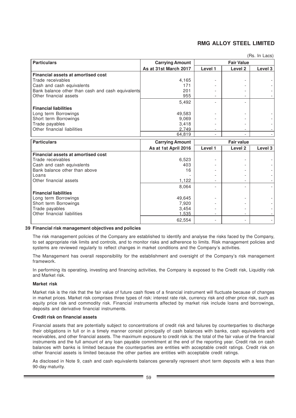| <b>Particulars</b>                                | <b>Carrying Amount</b> |         | <b>Fair Value</b>  |         |
|---------------------------------------------------|------------------------|---------|--------------------|---------|
|                                                   | As at 31st March 2017  | Level 1 | Level 2            | Level 3 |
| <b>Financial assets at amortised cost</b>         |                        |         |                    |         |
| Trade receivables                                 | 4,165                  |         |                    |         |
| Cash and cash equivalents                         | 171                    |         |                    |         |
| Bank balance other than cash and cash equivalents | 201                    |         |                    |         |
| Other financial assets                            | 955                    |         |                    |         |
|                                                   | 5,492                  |         |                    |         |
| <b>Financial liabilities</b>                      |                        |         |                    |         |
| Long term Borrowings                              | 49,583                 |         |                    |         |
| Short term Borrowings                             | 9,069                  |         |                    |         |
| Trade payables                                    | 3,418                  |         |                    |         |
| Other financial liabilities                       | 2.749                  |         |                    |         |
|                                                   | 64,819                 |         |                    |         |
| <b>Particulars</b>                                | <b>Carrying Amount</b> |         | <b>Fair value</b>  |         |
|                                                   | As at 1st April 2016   | Level 1 | Level <sub>2</sub> | Level 3 |
| Financial assets at amortised cost                |                        |         |                    |         |
| Trade receivables                                 | 6,523                  |         |                    |         |
| Cash and cash equivalents                         | 403                    |         |                    |         |
| Bank balance other than above                     | 16                     |         |                    |         |
| Loans                                             |                        |         |                    |         |
| Other financial assets                            | 1,122                  |         |                    |         |
|                                                   | 8,064                  |         |                    |         |
| <b>Financial liabilities</b>                      |                        |         |                    |         |
| Long term Borrowings                              | 49,645                 |         |                    |         |
| Short term Borrowings                             | 7,920                  |         |                    |         |
| Trade payables                                    | 3,454                  |         |                    |         |
| Other financial liabilities                       | 1,535                  |         |                    |         |
|                                                   | 62,554                 |         |                    |         |

### (Rs. In Lacs)

### **39 Financial risk management objectives and policies**

The risk management policies of the Company are established to identify and analyse the risks faced by the Company, to set appropriate risk limits and controls, and to monitor risks and adherence to limits. Risk management policies and systems are reviewed regularly to reflect changes in market conditions and the Company's activities.

The Management has overall responsibility for the establishment and oversight of the Company's risk management framework.

In performing its operating, investing and financing activities, the Company is exposed to the Credit risk, Liquidity risk and Market risk.

### **Market risk**

Market risk is the risk that the fair value of future cash flows of a financial instrument will fluctuate because of changes in market prices. Market risk comprises three types of risk: interest rate risk, currency risk and other price risk, such as equity price risk and commodity risk. Financial instruments affected by market risk include loans and borrowings, deposits and derivative financial instruments.

### **Credit risk on financial assets**

Financial assets that are potentially subject to concentrations of credit risk and failures by counterparties to discharge their obligations in full or in a timely manner consist principally of cash balances with banks, cash equivalents and receivables, and other financial assets. The maximum exposure to credit risk is: the total of the fair value of the financial instruments and the full amount of any loan payable commitment at the end of the reporting year. Credit risk on cash balances with banks is limited because the counterparties are entities with acceptable credit ratings. Credit risk on other financial assets is limited because the other parties are entities with acceptable credit ratings.

As disclosed in Note 9, cash and cash equivalents balances generally represent short term deposits with a less than 90-day maturity.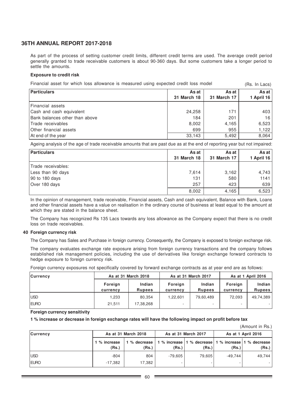As part of the process of setting customer credit limits, different credit terms are used. The average credit period generally granted to trade receivable customers is about 90-360 days. But some customers take a longer period to settle the amounts.

### **Exposure to credit risk**

|  | Financial asset for which loss allowance is measured using expected credit loss model |  |  |  | (Rs. In Lacs) |
|--|---------------------------------------------------------------------------------------|--|--|--|---------------|
|--|---------------------------------------------------------------------------------------|--|--|--|---------------|

| <b>Particulars</b>             | As at<br><b>31 March 18</b> | As at<br><b>31 March 17</b> | As at<br>1 April 16 |
|--------------------------------|-----------------------------|-----------------------------|---------------------|
| l Financial assets             |                             |                             |                     |
| Cash and cash equivalent       | 24,258                      | 171                         | 403                 |
| Bank balances other than above | 184                         | 201                         | 16                  |
| Trade receivables              | 8,002                       | 4,165                       | 6,523               |
| Other financial assets         | 699                         | 955                         | 1,122               |
| At end of the year             | 33,143                      | 5,492                       | 8,064               |

Ageing analysis of the age of trade receivable amounts that are past due as at the end of reporting year but not impaired:

| <b>Particulars</b> | As at<br><b>31 March 18</b> | As at<br>31 March 17 | As at $ $<br>1 April 16 |
|--------------------|-----------------------------|----------------------|-------------------------|
| Trade receivables: |                             |                      |                         |
| Less than 90 days  | 7,614                       | 3,162                | 4,743                   |
| 90 to 180 days     | 131                         | 580                  | 1141                    |
| Over 180 days      | 257                         | 423                  | 639                     |
|                    | 8,002                       | 4,165                | 6,523                   |

In the opinion of management, trade receivable, Financial assets, Cash and cash equivalent, Balance with Bank, Loans and other financial assets have a value on realisation in the ordinary course of business at least equal to the amount at which they are stated in the balance sheet.

The Company has recognized Rs 135 Lacs towards any loss allowance as the Company expect that there is no credit loss on trade receivables.

### **40 Foreign currency risk**

The Company has Sales and Purchase in foreign currency. Consequently, the Company is exposed to foreign exchange risk.

The company evaluates exchange rate exposure arising from foreign currency transactions and the company follows established risk management policies, including the use of derivatives like foreign exchange forward contracts to hedge exposure to foreign currency risk.

|  |  |  |  |  | Foreign currency exposures not specifically covered by forward exchange contracts as at year end are as follows: |  |  |  |
|--|--|--|--|--|------------------------------------------------------------------------------------------------------------------|--|--|--|
|  |  |  |  |  |                                                                                                                  |  |  |  |

| <b>Currency</b> | As at 31 March 2018 |               |          | As at 31 March 2017 | As at 1 April 2016 |               |  |
|-----------------|---------------------|---------------|----------|---------------------|--------------------|---------------|--|
|                 | Foreign             | Indian        | Foreign  | Indian              | Foreign            | Indian        |  |
|                 | currency            | <b>Rupees</b> | currency | <b>Rupees</b>       | currency           | <b>Rupees</b> |  |
| <b>IUSD</b>     | 1,233               | 80.354        | 1,22,601 | 79,60,489           | 72,093             | 49,74,389     |  |
| <b>IEURO</b>    | 21,511              | 17,38,268     | ۰        | ٠                   |                    |               |  |

**Foreign currency sensitivity**

**1 % increase or decrease in foreign exchange rates will have the following impact on profit before tax**

|                 |                       |                     |         |                                    |                    | (Amount in Rs.)                    |  |
|-----------------|-----------------------|---------------------|---------|------------------------------------|--------------------|------------------------------------|--|
| <b>Currency</b> |                       | As at 31 March 2018 |         | As at 31 March 2017                | As at 1 April 2016 |                                    |  |
|                 | 1 % increase<br>(Rs.) | % decrease<br>(Rs.) | (Rs.)   | 1 % increase 1 % decrease<br>(Rs.) | (Rs.)              | 1 % increase 1 % decrease<br>(Rs.) |  |
| <b>IUSD</b>     | $-804$                | 804                 | -79.605 | 79,605                             | $-49.744$          | 49.744                             |  |
| <b>IEURO</b>    | $-17,382$             | 17,382              |         |                                    |                    |                                    |  |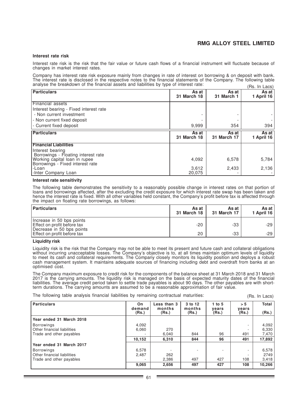#### **Interest rate risk**

Interest rate risk is the risk that the fair value or future cash flows of a financial instrument will fluctuate because of changes in market interest rates.

Company has interest rate risk exposure mainly from changes in rate of interest on borrowing & on deposit with bank. The interest rate is disclosed in the respective notes to the financial statements of the Company. The following table analyse the breakdown of the financial assets and liabilities by type of interest rate:  $(Dc \ln \log c)$ 

|                                                                   |                             |                             | 11 13. 111 Lavo <i>1</i> |
|-------------------------------------------------------------------|-----------------------------|-----------------------------|--------------------------|
| <b>Particulars</b>                                                | As at<br><b>31 March 18</b> | As at<br>31 March 1         | As at<br>1 April 16      |
| Financial assets                                                  |                             |                             |                          |
| Interest bearing - Fixed interest rate                            |                             |                             |                          |
| - Non current investment                                          |                             |                             |                          |
| - Non current fixed deposit                                       |                             |                             |                          |
| l - Current fixed deposit                                         | 9,999                       | 354                         | 394                      |
| <b>Particulars</b>                                                | As at<br><b>31 March 18</b> | As at<br><b>31 March 17</b> | As at l<br>1 April 16    |
| <b>Financial Liabilities</b>                                      |                             |                             |                          |
| Interest bearing<br>Borrowings - Floating interest rate           |                             |                             |                          |
| Working capital loan in rupee<br>Borrowings - Fixed interest rate | 4,092                       | 6,578                       | 5,784                    |
| -Loan<br>I-Inter Company Loan                                     | 3,612<br>20,075             | 2,433                       | 2,136                    |

#### **Interest rate sensitivity**

The following table demonstrates the sensitivity to a reasonably possible change in interest rates on that portion of loans and borrowings affected, after the excluding the credit exposure for which interest rate swap has been taken and hence the interest rate is fixed. With all other variables held constant, the Company's profit before tax is affected through the impact on floating rate borrowings, as follows:

| <b>Particulars</b>                                                                    | As at<br>31 March 18 | As at<br>31 March 17 | As at l<br>1 April 16 |
|---------------------------------------------------------------------------------------|----------------------|----------------------|-----------------------|
| Increase in 50 bps points<br>Effect on profit before tax<br>Decrease in 50 bps points | $-20$                | $-33$                | $-29$                 |
| Effect on profit before tax                                                           | 20                   | $-33$                | -29 '                 |

### **Liquidity risk**

Liquidity risk is the risk that the Company may not be able to meet its present and future cash and collateral obligations without incurring unacceptable losses. The Company's objective is to, at all times maintain optimum levels of liquidity to meet its cash and collateral requirements. The Company closely monitors its liquidity position and deploys a robust cash management system. It maintains adequate sources of financing including debt and overdraft from banks at an optimised cost.

The Company maximum exposure to credit risk for the components of the balance sheet at 31 March 2018 and 31 March 2017 is the carrying amounts. The liquidity risk is managed on the basis of expected maturity dates of the financial liabilities. The average credit period taken to settle trade payables is about 90 days. The other payables are with shortterm durations. The carrying amounts are assumed to be a reasonable approximation of fair value.

The following table analysis financial liabilities by remaining contractual maturities:

(Rs. In Lacs)

| <b>Particulars</b>          | On.<br>demand<br>(Rs.) | Less than 3<br>months<br>(Rs.) | 3 to 12<br>months<br>(Rs.) | 1 to $5$<br>vears<br>(Rs.) | > 5<br>vears<br>(Rs.)    | <b>Total</b><br>(Rs.) |
|-----------------------------|------------------------|--------------------------------|----------------------------|----------------------------|--------------------------|-----------------------|
|                             |                        |                                |                            |                            |                          |                       |
| Year ended 31 March 2018    |                        |                                |                            |                            |                          |                       |
| <b>Borrowings</b>           | 4,092                  |                                |                            |                            | ۰                        | 4,092                 |
| Other financial liabilities | 6.060                  | 270                            |                            |                            |                          | 6,330                 |
| Trade and other payables    |                        | 6,040                          | 844                        | 96                         | 491                      | 7,470                 |
|                             | 10.152                 | 6,310                          | 844                        | 96                         | 491                      | 17,892                |
| Year ended 31 March 2017    |                        |                                |                            |                            |                          |                       |
| <b>Borrowings</b>           | 6,578                  |                                |                            |                            | ÷.                       | 6,578                 |
| Other financial liabilities | 2.487                  | 262                            |                            |                            | $\overline{\phantom{a}}$ | 2749                  |
| Trade and other payables    |                        | 2,386                          | 497                        | 427                        | 108                      | 3,418                 |
|                             | 9,065                  | 2,656                          | 497                        | 427                        | 108                      | 10,266                |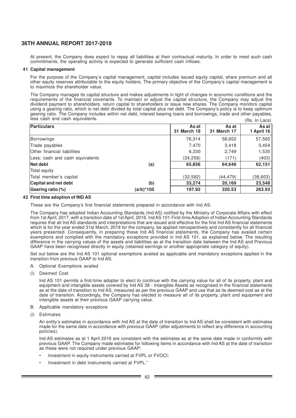At present, the Company does expect to repay all liabilities at their contractual maturity. In order to meet such cash commitments, the operating activity is expected to generate sufficient cash inflows.

### **41 Capital management**

For the purpose of the Company's capital management, capital includes issued equity capital, share premium and all other equity reserves attributable to the equity holders. The primary objective of the Company's capital management is to maximize the shareholder value.

The Company manages its capital structure and makes adjustments in light of changes in economic conditions and the requirements of the financial covenants. To maintain or adjust the capital structure, the Company may adjust the dividend payment to shareholders, return capital to shareholders or issue new shares. The Company monitors capital using a gearing ratio, which is net debt divided by total capital plus net debt. The Company's policy is to keep optimum gearing ratio. The Company includes within net debt, interest bearing loans and borrowings, trade and other payables, less cash and cash equivalents.  $(Dc \ln \log c)$ 

| <b>Particulars</b>              |           | As at       | As at       | As at      |  |  |
|---------------------------------|-----------|-------------|-------------|------------|--|--|
|                                 |           | 31 March 18 | 31 March 17 | 1 April 16 |  |  |
| Borrowings                      |           | 76,314      | 58,652      | 57,565     |  |  |
| Trade payables                  |           | 7,470       | 3,418       | 3,454      |  |  |
| Other financial liabilities     |           | 6,330       | 2,749       | 1,535      |  |  |
| Less: cash and cash equivalents |           | (24, 258)   | (171)       | (403)      |  |  |
| Net debt                        | (a)       | 65,856      | 64,648      | 62,151     |  |  |
| Total equity                    |           |             |             |            |  |  |
| Total member's capital          |           | (32, 582)   | (44,479)    | (38, 603)  |  |  |
| Capital and net debt            | (b)       | 33,274      | 20,169      | 23,548     |  |  |
| Gearing ratio (%)               | (a/b)*100 | 197.92      | 320.53      | 263.93     |  |  |

### **42 First time adoption of IND AS**

These are the Company's first financial statements prepared in accordance with Ind AS.

The Company has adopted Indian Accounting Standards (Ind AS) notified by the Ministry of Corporate Affairs with effect from 1st April, 2017, with a transition date of 1st April, 2016. Ind AS 101-First-time Adoption of Indian Accounting Standards requires that all Ind AS standards and interpretations that are issued and effective for the first Ind AS financial statements which is for the year ended 31st March, 2018 for the company, be applied retrospectively and consistently for all financial years presented. Consequently, in preparing these Ind AS financial statements, the Company has availed certain exemptions and complied with the mandatory exceptions provided in Ind AS 101, as explained below. The resulting difference in the carrying values of the assets and liabilities as at the transition date between the Ind AS and Previous GAAP have been recognised directly in equity (retained earnings or another appropriate category of equity).

Set out below are the Ind AS 101 optional exemptions availed as applicable and mandatory exceptions applied in the transition from previous GAAP to Ind AS.

- **Optional Exemptions availed**
- (i) Deemed Cost

Ind AS 101 permits a first-time adopter to elect to continue with the carrying value for all of its property, plant and equipment and intangible assets covered by Ind AS 38 - Intangible Assets as recognised in the financial statements as at the date of transition to Ind AS, measured as per the previous GAAP and use that as its deemed cost as at the date of transition. Accordingly, the Company has elected to measure all of its property, plant and equipment and intangible assets at their previous GAAP carrying value.

- B. Applicable mandatory exceptions
- (i) Estimates

An entity's estimates in accordance with Ind AS at the date of transition to Ind AS shall be consistent with estimates made for the same date in accordance with previous GAAP (after adjustments to reflect any difference in accounting policies).

Ind AS estimates as at 1 April 2016 are consistent with the estimates as at the same date made in conformity with previous GAAP. The Company made estimates for following items in accordance with Ind AS at the date of transition as these were not required under previous GAAP:

- Investment in equity instruments carried at FVPL or FVOCI;
- Investment in debt instruments carried at FVPL."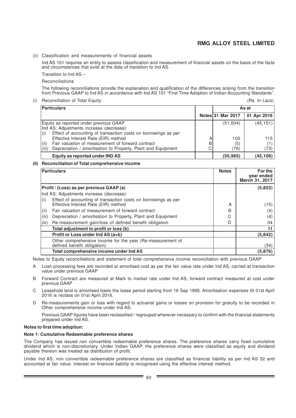(ii) Classification and measurements of financial assets

Ind AS 101 requires an entity to assess classification and measurement of financial assets on the basis of the facts and circumstances that exist at the date of transition to Ind AS.

Transition to Ind AS –

Reconciliations

The following reconciliations provide the explanation and qualification of the differences arising from the transition from Previous GAAP to Ind AS in accordance with Ind AS 101 "First Time Adoption of Indian Accounting Standards".

(i) Reconciliation of Total Equity:

(Rs. In Lacs)

| Particulars                                                                                                                         |        | As at             |             |  |  |
|-------------------------------------------------------------------------------------------------------------------------------------|--------|-------------------|-------------|--|--|
|                                                                                                                                     |        | Notes 31 Mar 2017 | 01 Apr 2016 |  |  |
| Equity as reported under previous GAAP<br>Ind AS: Adjustments increase (decrease):                                                  |        | (51,004)          | (45, 151)   |  |  |
| Effect of accounting of transaction costs on borrowings as per<br>(i)<br>Effective Interest Rate (EIR) method                       | А      | 100               | 115         |  |  |
| (iii)<br>Fair valuation of measurement of forward contract<br>(iii)<br>Depreciation / amortisation to Property, Plant and Equipment | B<br>С | (5)<br>(76)       | (1)<br>(73) |  |  |
| Equity as reported under IND AS                                                                                                     |        | (50, 985)         | (45, 109)   |  |  |

### **(ii) Reconciliation of Total comprehensive income**

|                                          | Particulars                                                                                            | <b>Notes</b> | For the<br>year ended<br>March 31, 2017 |
|------------------------------------------|--------------------------------------------------------------------------------------------------------|--------------|-----------------------------------------|
| Profit / (Loss) as per previous GAAP (a) |                                                                                                        |              | (5, 853)                                |
|                                          | Ind AS: Adjustments increase (decrease):                                                               |              |                                         |
| (i)                                      | Effect of accounting of transaction costs on borrowings as per<br>Effective Interest Rate (EIR) method | A            | (15)                                    |
| (ii)                                     | Fair valuation of measurement of forward contract                                                      | B            | (4)                                     |
| (iii)                                    | Depreciation / amortisation to Property, Plant and Equipment                                           | C            | (4)                                     |
| (iv)                                     | Re-measurement gain/loss of defined benefit obligation                                                 | D            | 34                                      |
|                                          | Total adjustment to profit or loss (b)                                                                 |              | 11                                      |
|                                          | Profit or Loss under Ind AS (a+b)                                                                      |              | (5,842)                                 |
|                                          | Other comprehensive income for the year (Re-measurement of<br>defined benefit obligation)              |              | (34)                                    |
|                                          | Total comprehensive income under Ind AS                                                                |              | (5,876)                                 |

Notes to Equity reconciliations and statement of total comprehensive income reconciliation with previous GAAP

- A Loan processing fees are recorded at amortised cost as per the fair value rate under Ind AS, carried at transaction value under previous GAAP
- B Forward Contract are measured at Mark to market rate under Ind AS, forward contract measured at cost under previous GAAP
- C Leasehold land is amortised basis the lease period starting from 16 Sep 1995. Amortisation expenses till 01st April 2016 is reclass on 01st April 2016.
- D Re-measurements gain or loss with regard to actuarial gains or losses on provision for gratuity to be recorded in Other comprehensive income under Ind AS.

Previous GAAP figures have been reclassified / regrouped wherever necessary to confirm with the financial statements prepared under Ind AS.

### **Notes to first time adoption:**

### **Note 1: Cumulative Redeemable preference shares**

The Company has issued non convertible redeemable preference shares. The preference shares carry fixed cumulative dividend which is non-discretionary. Under Indian GAAP, the preference shares were classified as equity and dividend payable thereon was treated as distribution of profit.

Under Ind AS, non convertible redeemable preference shares are classified as financial liability as per Ind AS 32 and accounted at fair value. Interest on financial liability is recognised using the effective interest method.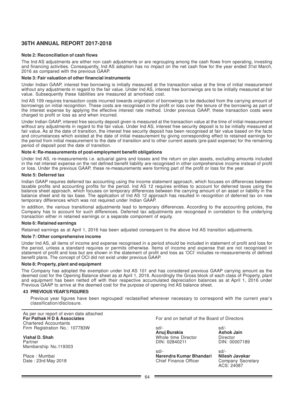### **Note 2: Reconciliation of cash flows**

The Ind AS adjustments are either non cash adjustments or are regrouping among the cash flows from operating, investing and financing activities. Consequently, Ind AS adoption has no impact on the net cash flow for the year ended 31st March, 2016 as compared with the previous GAAP.

#### **Note 3: Fair valuation of other financial instruments**

Under Indian GAAP, interest free borrowing is initially measured at the transaction value at the time of initial measurement without any adjustments in regard to the fair value. Under Ind AS, interest free borrowings are to be initially measured at fair value. Subsequently these liabilities are measured at amortised cost.

Ind AS 109 requires transaction costs incurred towards origination of borrowings to be deducted from the carrying amount of borrowings on initial recognition. These costs are recognised in the profit or loss over the tenure of the borrowing as part of the interest expense by applying the effective interest rate method. Under previous GAAP, these transaction costs were charged to profit or loss as and when incurred.

Under Indian GAAP, interest free security deposit given is measured at the transaction value at the time of initial measurement without any adjustments in regard to the fair value. Under Ind AS, interest free security deposit is to be initially measured at fair value. As at the date of transition, the interest free security deposit has been recognised at fair value based on the facts and circumstances which existed at the date of initial measurement by giving corresponding effect to retained earnings for the period from initial measurement to the date of transition and to other current assets (pre-paid expense) for the remaining period of deposit post the date of transition.

#### **Note 4: Re-measurements of post-employment benefit obligations**

Under Ind AS, re-measurements i.e. actuarial gains and losses and the return on plan assets, excluding amounts included in the net interest expense on the net defined benefit liability are recognised in other comprehensive income instead of profit or loss. Under the previous GAAP, these re-measurements were forming part of the profit or loss for the year.

#### **Note 5: Deferred tax**

Indian GAAP requires deferred tax accounting using the income statement approach, which focuses on differences between taxable profits and accounting profits for the period. Ind AS 12 requires entities to account for deferred taxes using the balance sheet approach, which focuses on temporary differences between the carrying amount of an asset or liability in the balance sheet and its tax base. The application of Ind AS 12 approach has resulted in recognition of deferred tax on new temporary differences which was not required under Indian GAAP.

In addition, the various transitional adjustments lead to temporary differences. According to the accounting policies, the Company has to account for such differences. Deferred tax adjustments are recognised in correlation to the underlying transaction either in retained earnings or a separate component of equity.

#### **Note 6: Retained earnings**

Retained earnings as at April 1, 2016 has been adjusted consequent to the above Ind AS transition adjustments.

#### **Note 7: Other comprehensive income**

Under Ind AS, all items of income and expense recognised in a period should be included in statement of profit and loss for the period, unless a standard requires or permits otherwise. Items of income and expense that are not recognised in statement of profit and loss but are shown in the statement of profit and loss as 'OCI' includes re-measurements of defined benefit plans. The concept of OCI did not exist under previous GAAP.

#### **Note 8: Property, plant and equipment**

The Company has adopted the exemption under Ind AS 101 and has considered previous GAAP carrying amount as the deemed cost for the Opening Balance sheet as at April 1, 2016. Accordingly the Gross block of each class of Property, plant and equipment has been netted off with their respective accumulated depreciation balances as at April 1, 2016 under Previous GAAP to arrive at the deemed cost for the purpose of opening Ind AS balance sheet.

### **43 PREVIOUS YEAR'S FIGURES**

Previous year figures have been regrouped/ reclassified wherever necessary to correspond with the current year's classification/disclosure.

| As per our report of even date attached<br>For Pathak H D & Associates<br><b>Chartered Accountants</b> | For and on behalf of the Board of Directors                |                                                              |  |
|--------------------------------------------------------------------------------------------------------|------------------------------------------------------------|--------------------------------------------------------------|--|
| Firm Registration No.: 107783W                                                                         | $sd/-$<br>Anuj Burakia                                     | $sd/$ -<br><b>Ashok Jain</b>                                 |  |
| Vishal D. Shah<br>Partner<br>Membership No.119303                                                      | Whole time Director<br>DIN: 02840211                       | Director<br>DIN: 00007189                                    |  |
| Place: Mumbai<br>Date: 23rd May 2018                                                                   | $sd/-$<br>Narendra Kumar Bhandari<br>Chief Finance Officer | $sd/$ -<br>Nilesh Javekar<br>Company Secretary<br>ACS: 24087 |  |